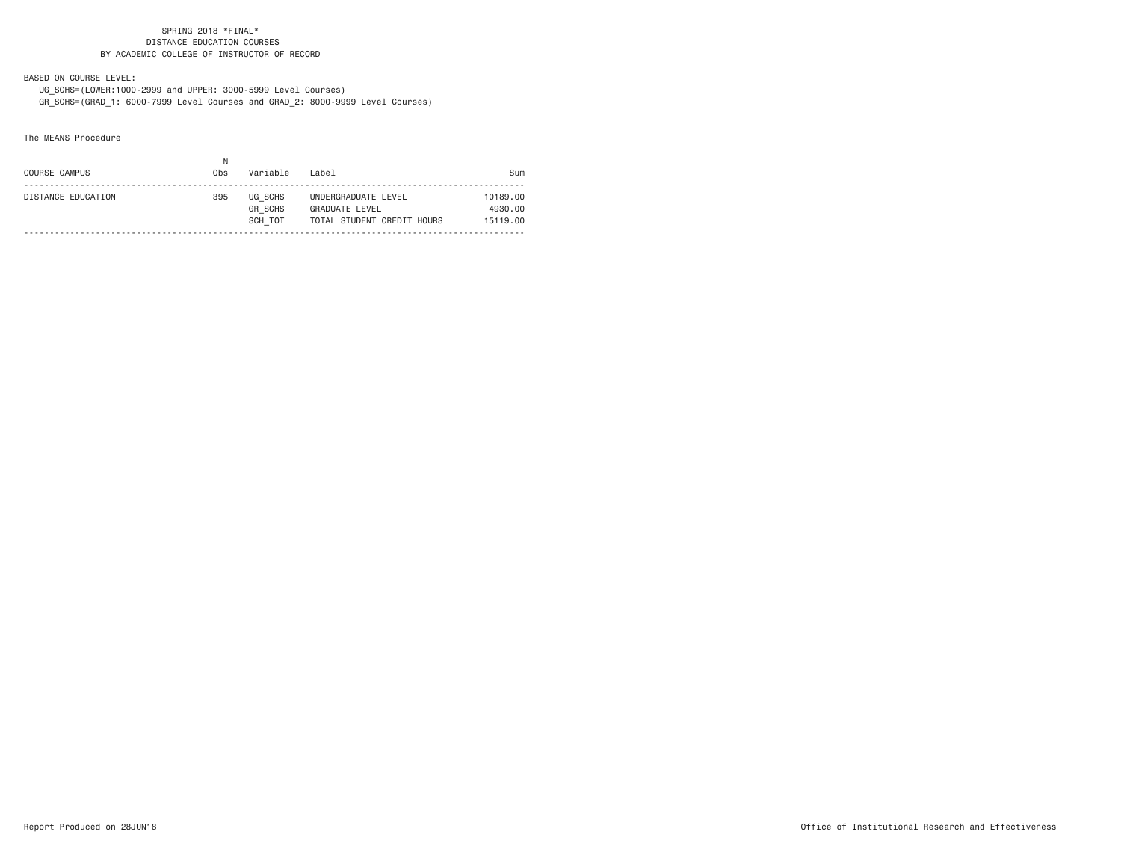BASED ON COURSE LEVEL:

 UG\_SCHS=(LOWER:1000-2999 and UPPER: 3000-5999 Level Courses) GR\_SCHS=(GRAD\_1: 6000-7999 Level Courses and GRAD\_2: 8000-9999 Level Courses)

The MEANS Procedure

|                                                                                  | COURSE CAMPUS      | Obs | Variable | Label               | Sum                             |
|----------------------------------------------------------------------------------|--------------------|-----|----------|---------------------|---------------------------------|
| <b>GR SCHS</b><br><b>GRADUATE LEVEL</b><br>TOTAL STUDENT CREDIT HOURS<br>SCH TOT | DISTANCE EDUCATION | 395 | UG SCHS  | UNDERGRADUATE LEVEL | 10189.00<br>4930.00<br>15119.00 |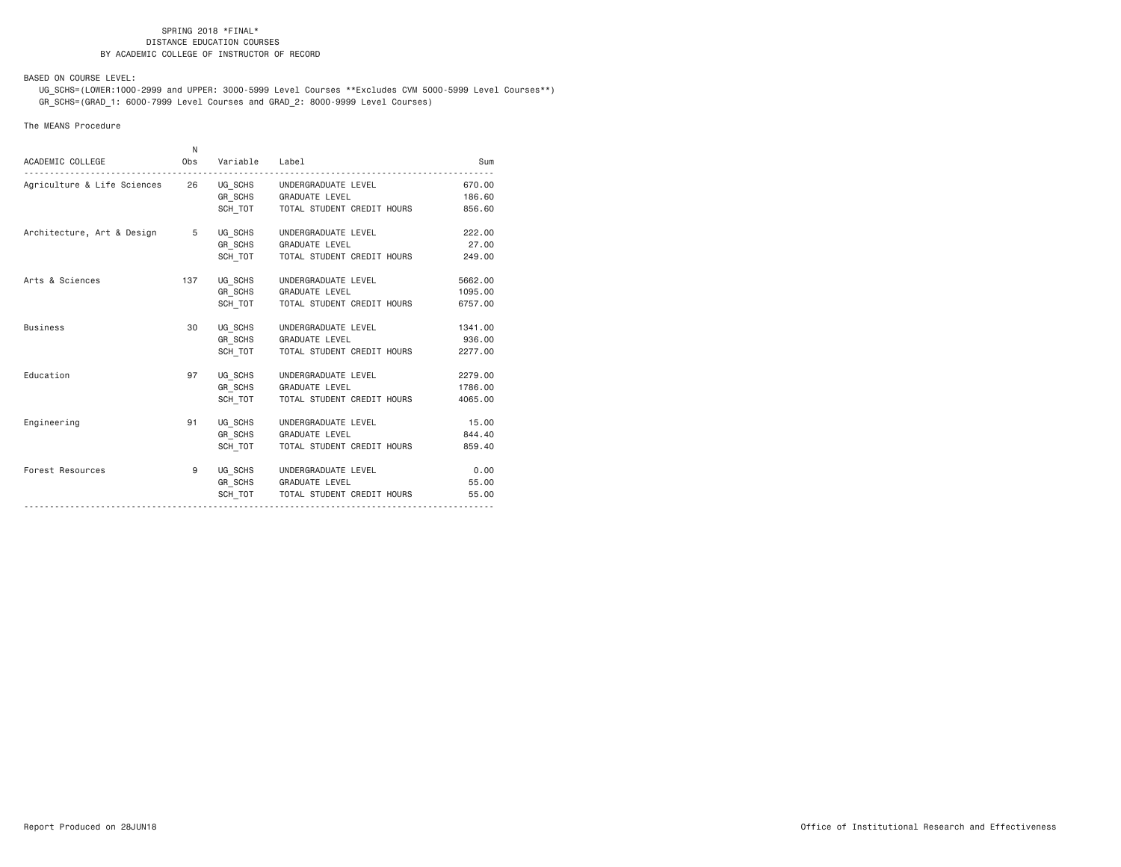BASED ON COURSE LEVEL:

 UG\_SCHS=(LOWER:1000-2999 and UPPER: 3000-5999 Level Courses \*\*Excludes CVM 5000-5999 Level Courses\*\*) GR\_SCHS=(GRAD\_1: 6000-7999 Level Courses and GRAD\_2: 8000-9999 Level Courses)

## The MEANS Procedure

| ACADEMIC COLLEGE                     | N   | Obs Variable Label |                                                                                             | Sum                           |
|--------------------------------------|-----|--------------------|---------------------------------------------------------------------------------------------|-------------------------------|
|                                      |     |                    | GR SCHS GRADUATE LEVEL<br>SCH_TOT   TOTAL STUDENT CREDIT HOURS                              | 670.00<br>186.60<br>856.60    |
| Architecture, Art & Design 5 UG SCHS |     | GR SCHS<br>SCH TOT | UNDERGRADUATE LEVEL<br><b>GRADUATE LEVEL</b><br>TOTAL STUDENT CREDIT HOURS                  | 222,00<br>27,00<br>249.00     |
| Arts & Sciences                      | 137 | UG SCHS            | UNDERGRADUATE LEVEL<br>GR_SCHS GRADUATE LEVEL<br>SCH TOT   TOTAL STUDENT CREDIT HOURS       | 5662.00<br>1095.00<br>6757.00 |
| <b>Business</b>                      | 30  | UG SCHS<br>SCH TOT | UNDERGRADUATE LEVEL<br>GR_SCHS GRADUATE LEVEL<br>TOTAL STUDENT CREDIT HOURS                 | 1341.00<br>936.00<br>2277.00  |
| Education                            | 97  | UG SCHS<br>SCH TOT | UNDERGRADUATE LEVEL<br>GR SCHS GRADUATE LEVEL<br>TOTAL STUDENT CREDIT HOURS                 | 2279.00<br>1786.00<br>4065.00 |
| Engineering                          | 91  | GR SCHS<br>SCH TOT | UG SCHS UNDERGRADUATE LEVEL<br><b>GRADUATE LEVEL</b><br>TOTAL STUDENT CREDIT HOURS          | 15.00<br>844.40<br>859.40     |
| Forest Resources                     | 9   |                    | UG SCHS UNDERGRADUATE LEVEL<br>GR SCHS GRADUATE LEVEL<br>SCH TOT TOTAL STUDENT CREDIT HOURS | 0.00<br>55.00<br>55.00        |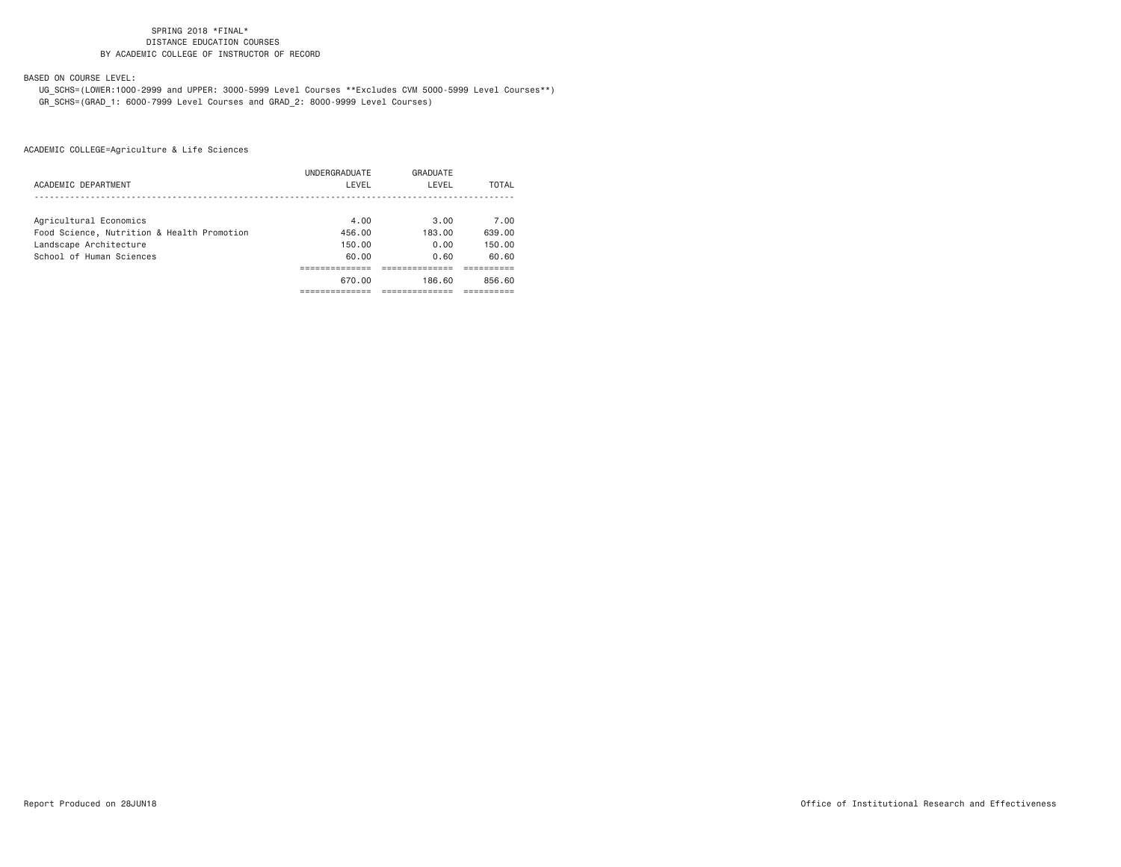BASED ON COURSE LEVEL:

 UG\_SCHS=(LOWER:1000-2999 and UPPER: 3000-5999 Level Courses \*\*Excludes CVM 5000-5999 Level Courses\*\*) GR\_SCHS=(GRAD\_1: 6000-7999 Level Courses and GRAD\_2: 8000-9999 Level Courses)

|                                            | UNDERGRADUATE | GRADUATE |        |
|--------------------------------------------|---------------|----------|--------|
| ACADEMIC DEPARTMENT                        | LEVEL         | LEVEL    | TOTAL  |
|                                            |               |          |        |
| Agricultural Economics                     | 4.00          | 3.00     | 7.00   |
| Food Science, Nutrition & Health Promotion | 456.00        | 183.00   | 639.00 |
| Landscape Architecture                     | 150.00        | 0.00     | 150.00 |
| School of Human Sciences                   | 60.00         | 0.60     | 60.60  |
|                                            |               |          |        |
|                                            | 670.00        | 186.60   | 856.60 |
|                                            |               |          |        |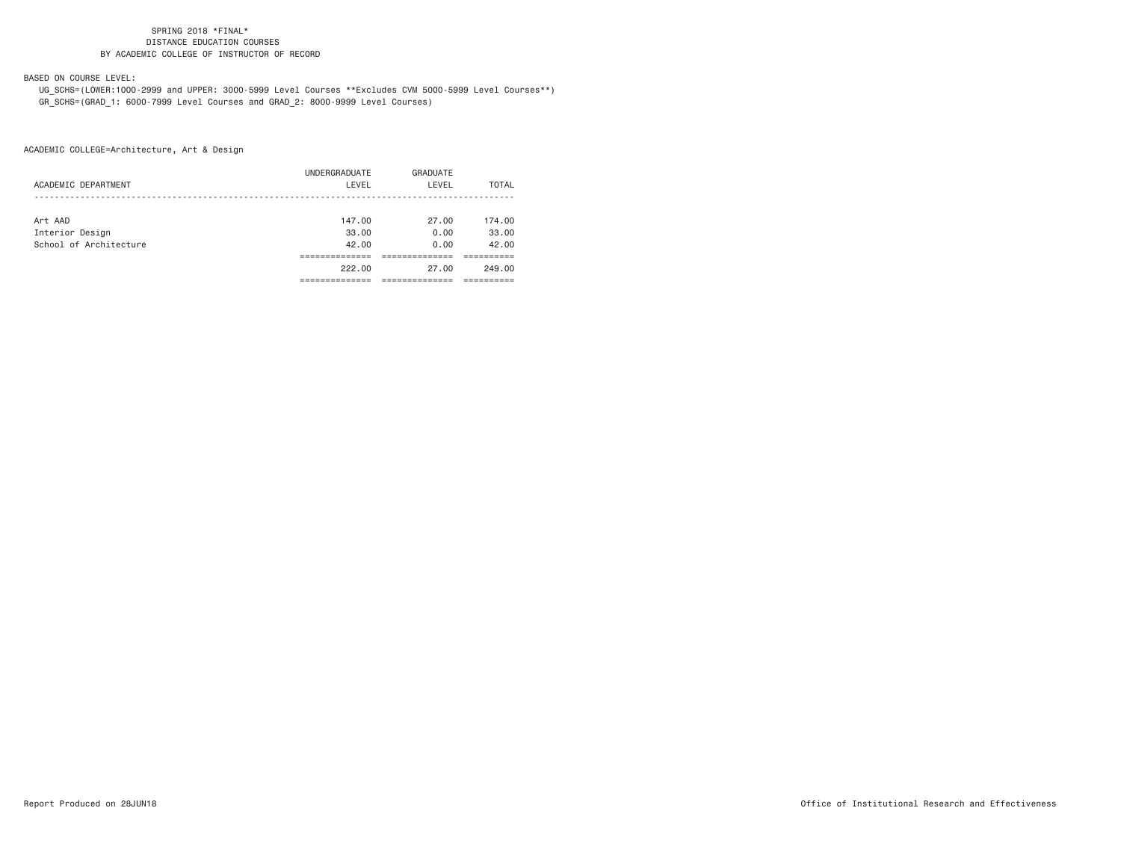BASED ON COURSE LEVEL:

 UG\_SCHS=(LOWER:1000-2999 and UPPER: 3000-5999 Level Courses \*\*Excludes CVM 5000-5999 Level Courses\*\*) GR\_SCHS=(GRAD\_1: 6000-7999 Level Courses and GRAD\_2: 8000-9999 Level Courses)

|                        | UNDERGRADUATE | GRADUATE |        |
|------------------------|---------------|----------|--------|
| ACADEMIC DEPARTMENT    | LEVEL         | LEVEL    | TOTAL  |
|                        |               |          |        |
| Art AAD                | 147.00        | 27.00    | 174.00 |
| Interior Design        | 33.00         | 0.00     | 33.00  |
| School of Architecture | 42.00         | 0.00     | 42.00  |
|                        |               |          |        |
|                        | 222.00        | 27.00    | 249.00 |
|                        |               |          |        |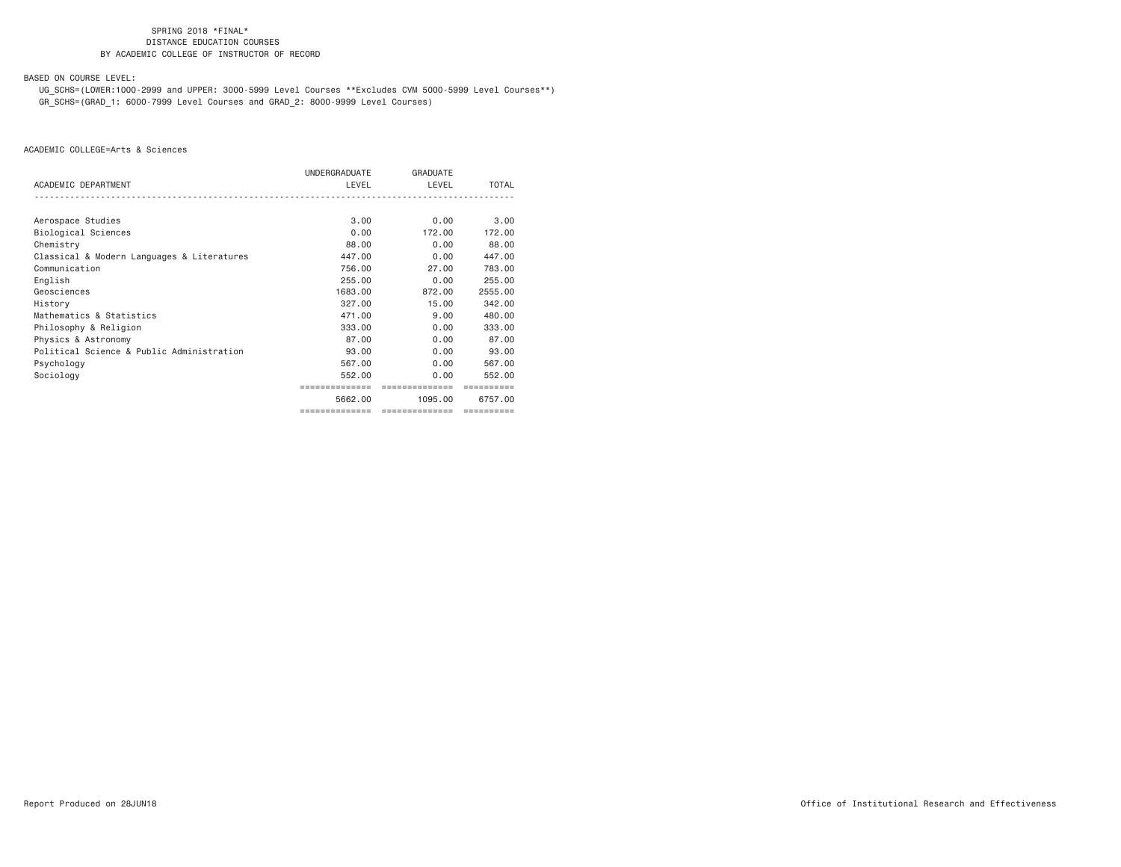BASED ON COURSE LEVEL:

 UG\_SCHS=(LOWER:1000-2999 and UPPER: 3000-5999 Level Courses \*\*Excludes CVM 5000-5999 Level Courses\*\*) GR\_SCHS=(GRAD\_1: 6000-7999 Level Courses and GRAD\_2: 8000-9999 Level Courses)

|                                            | UNDERGRADUATE  | GRADUATE       |         |
|--------------------------------------------|----------------|----------------|---------|
| ACADEMIC DEPARTMENT                        | LEVEL          | LEVEL          | TOTAL   |
|                                            |                |                |         |
| Aerospace Studies                          | 3.00           | 0.00           | 3.00    |
| Biological Sciences                        | 0.00           | 172.00         | 172.00  |
| Chemistry                                  | 88,00          | 0.00           | 88,00   |
| Classical & Modern Languages & Literatures | 447.00         | 0.00           | 447.00  |
| Communication                              | 756.00         | 27.00          | 783,00  |
| English                                    | 255,00         | 0.00           | 255,00  |
| Geosciences                                | 1683.00        | 872.00         | 2555.00 |
| History                                    | 327,00         | 15.00          | 342,00  |
| Mathematics & Statistics                   | 471.00         | 9.00           | 480.00  |
| Philosophy & Religion                      | 333,00         | 0.00           | 333,00  |
| Physics & Astronomy                        | 87.00          | 0.00           | 87.00   |
| Political Science & Public Administration  | 93,00          | 0.00           | 93,00   |
| Psychology                                 | 567.00         | 0.00           | 567.00  |
| Sociology                                  | 552,00         | 0.00           | 552.00  |
|                                            |                | ============   |         |
|                                            | 5662.00        | 1095,00        | 6757.00 |
|                                            | ============== | ============== |         |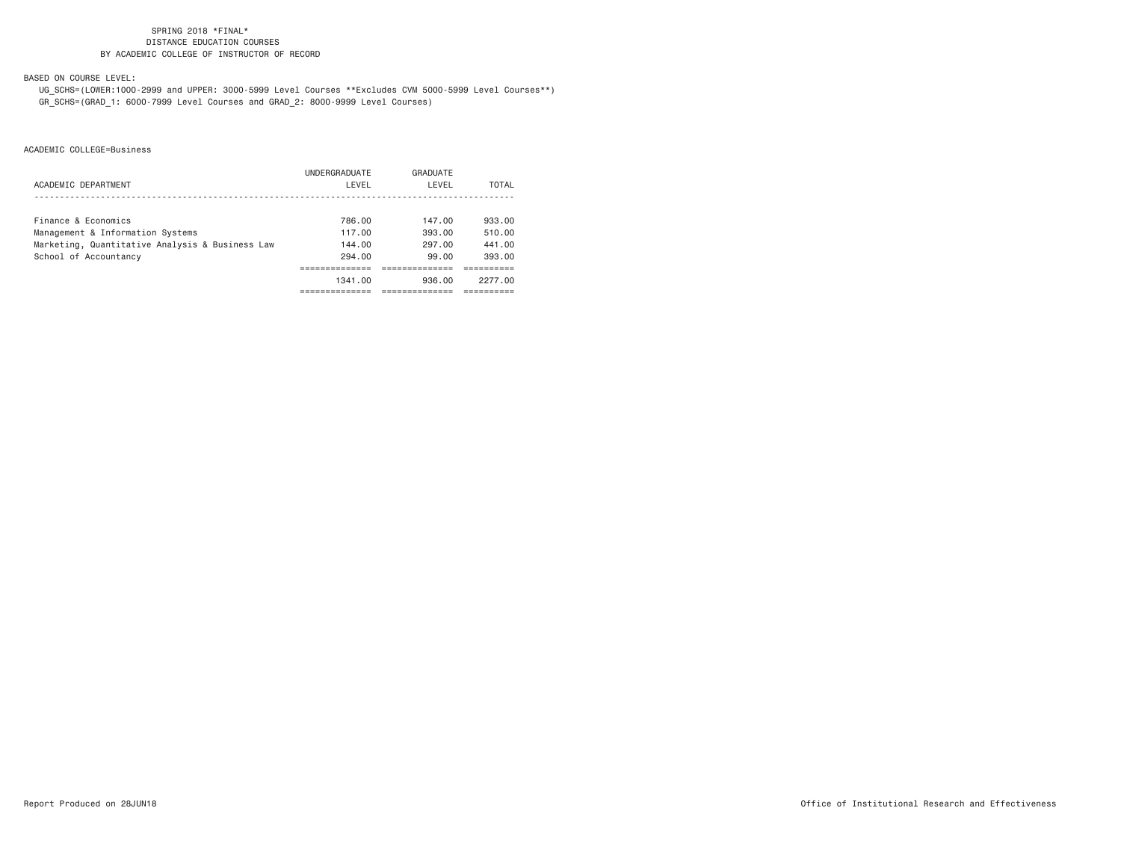BASED ON COURSE LEVEL:

 UG\_SCHS=(LOWER:1000-2999 and UPPER: 3000-5999 Level Courses \*\*Excludes CVM 5000-5999 Level Courses\*\*) GR\_SCHS=(GRAD\_1: 6000-7999 Level Courses and GRAD\_2: 8000-9999 Level Courses)

|                                                 | UNDERGRADUATE | GRADUATE |         |
|-------------------------------------------------|---------------|----------|---------|
| ACADEMIC DEPARTMENT                             | LEVEL         | LEVEL    | TOTAL   |
|                                                 |               |          |         |
| Finance & Economics                             | 786.00        | 147.00   | 933.00  |
| Management & Information Systems                | 117.00        | 393.00   | 510.00  |
| Marketing, Quantitative Analysis & Business Law | 144.00        | 297.00   | 441.00  |
| School of Accountancy                           | 294.00        | 99.00    | 393.00  |
|                                                 |               |          |         |
|                                                 | 1341.00       | 936.00   | 2277.00 |
|                                                 |               |          |         |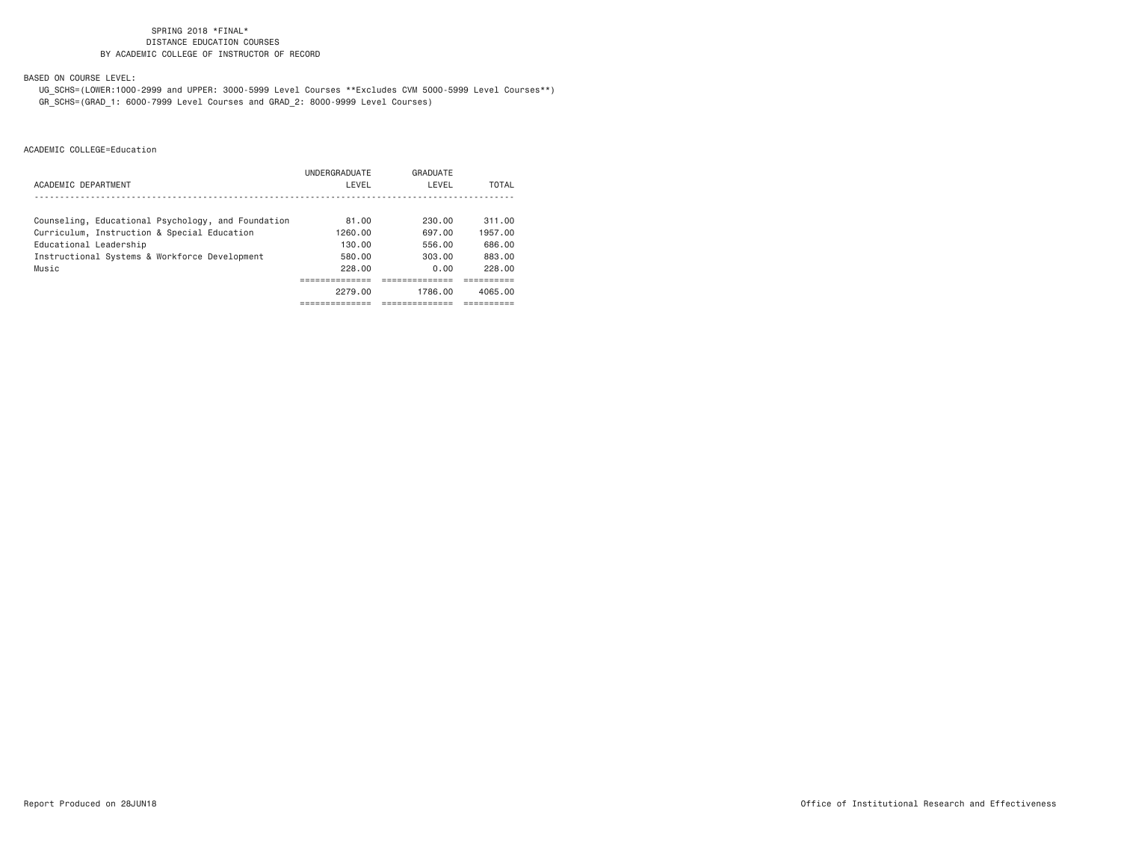BASED ON COURSE LEVEL:

 UG\_SCHS=(LOWER:1000-2999 and UPPER: 3000-5999 Level Courses \*\*Excludes CVM 5000-5999 Level Courses\*\*) GR\_SCHS=(GRAD\_1: 6000-7999 Level Courses and GRAD\_2: 8000-9999 Level Courses)

|                                                    | UNDERGRADUATE | GRADUATE |         |
|----------------------------------------------------|---------------|----------|---------|
| ACADEMIC DEPARTMENT                                | LEVEL         | LEVEL    | TOTAL   |
|                                                    |               |          |         |
| Counseling, Educational Psychology, and Foundation | 81.00         | 230.00   | 311.00  |
| Curriculum, Instruction & Special Education        | 1260.00       | 697.00   | 1957.00 |
| Educational Leadership                             | 130.00        | 556.00   | 686.00  |
| Instructional Systems & Workforce Development      | 580.00        | 303.00   | 883.00  |
| Music                                              | 228.00        | 0.00     | 228,00  |
|                                                    |               |          |         |
|                                                    | 2279.00       | 1786.00  | 4065.00 |
|                                                    |               |          |         |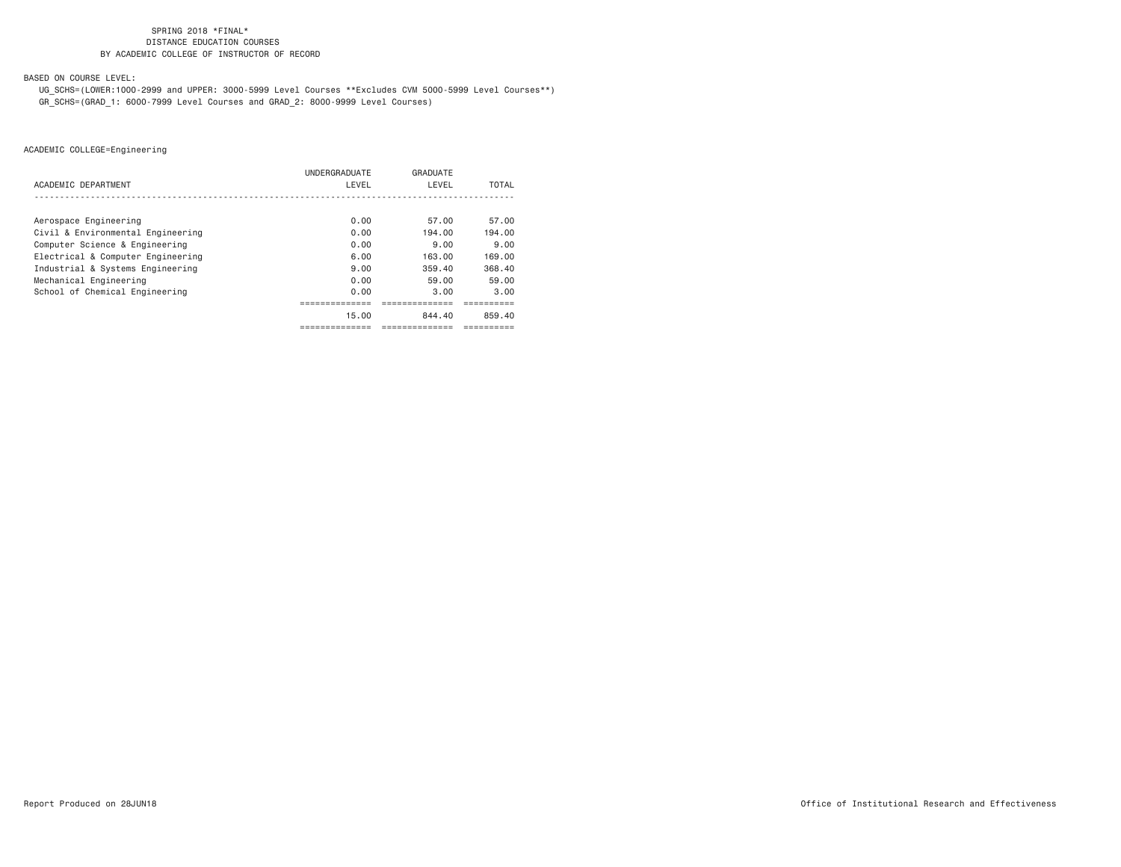BASED ON COURSE LEVEL:

 UG\_SCHS=(LOWER:1000-2999 and UPPER: 3000-5999 Level Courses \*\*Excludes CVM 5000-5999 Level Courses\*\*) GR\_SCHS=(GRAD\_1: 6000-7999 Level Courses and GRAD\_2: 8000-9999 Level Courses)

|                                   | <b>UNDERGRADUATE</b> | GRADUATE |        |
|-----------------------------------|----------------------|----------|--------|
| ACADEMIC DEPARTMENT               | LEVEL                | LEVEL    | TOTAL  |
|                                   |                      |          |        |
| Aerospace Engineering             | 0.00                 | 57.00    | 57.00  |
| Civil & Environmental Engineering | 0.00                 | 194.00   | 194.00 |
| Computer Science & Engineering    | 0.00                 | 9.00     | 9.00   |
| Electrical & Computer Engineering | 6.00                 | 163.00   | 169.00 |
| Industrial & Systems Engineering  | 9.00                 | 359.40   | 368.40 |
| Mechanical Engineering            | 0.00                 | 59.00    | 59,00  |
| School of Chemical Engineering    | 0.00                 | 3.00     | 3.00   |
|                                   |                      |          |        |
|                                   | 15.00                | 844.40   | 859.40 |
|                                   | ------------         |          |        |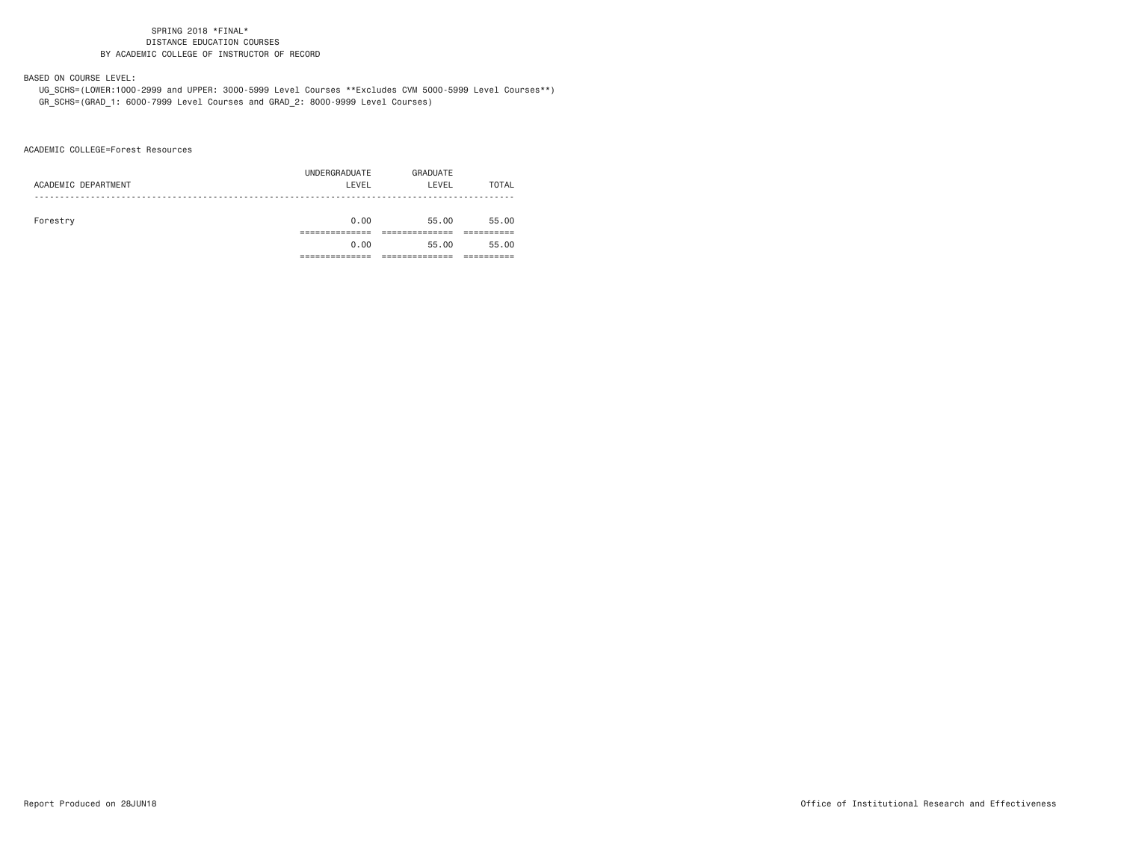BASED ON COURSE LEVEL:

 UG\_SCHS=(LOWER:1000-2999 and UPPER: 3000-5999 Level Courses \*\*Excludes CVM 5000-5999 Level Courses\*\*) GR\_SCHS=(GRAD\_1: 6000-7999 Level Courses and GRAD\_2: 8000-9999 Level Courses)

ACADEMIC COLLEGE=Forest Resources

|                     | UNDERGRADUATE | GRADUATE |       |
|---------------------|---------------|----------|-------|
| ACADEMIC DEPARTMENT | LEVEL         | LEVEL    | TOTAL |
|                     |               |          |       |
|                     |               |          |       |
| Forestry            | 0.00          | 55.00    | 55.00 |
|                     |               |          |       |
|                     | 0.00          | 55.00    | 55.00 |
|                     |               |          |       |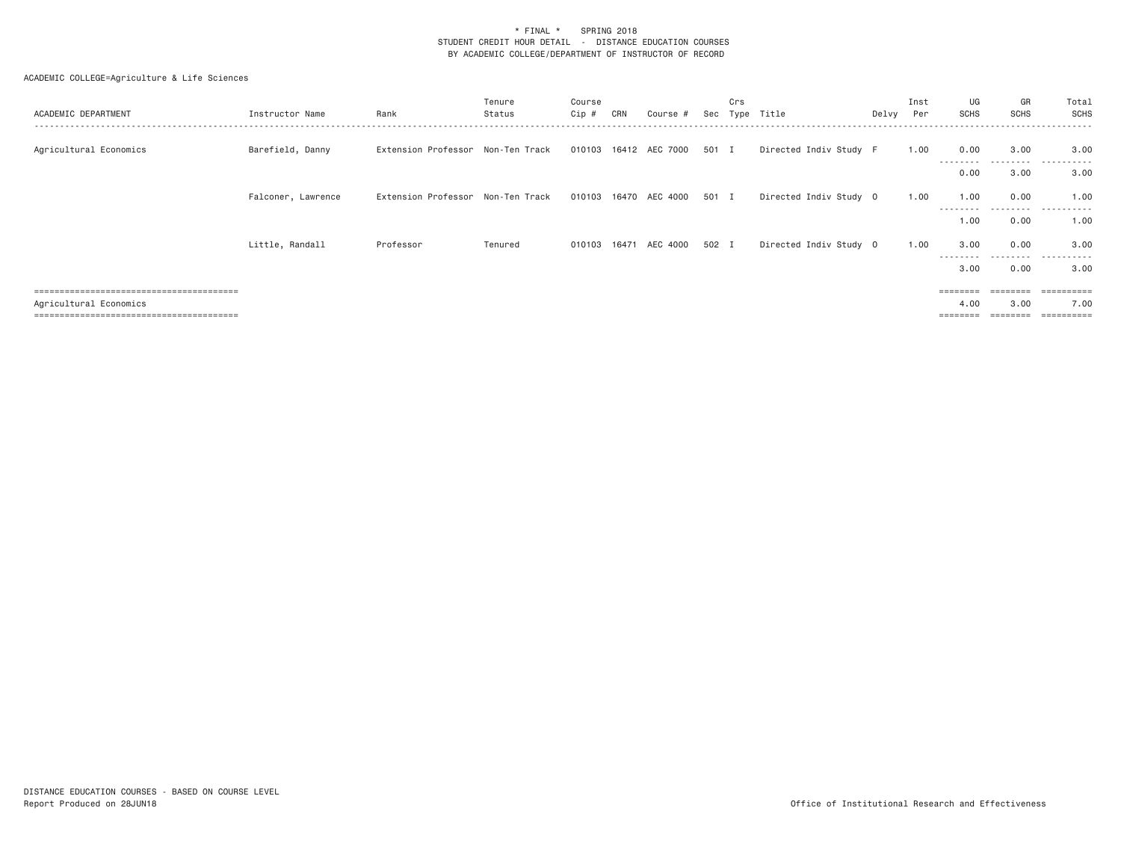| ACADEMIC DEPARTMENT                  | Instructor Name    | Rank                              | Tenure<br>Status | Course<br>Cip # | CRN | Course #                    | Sec   | Crs | Type Title             | Delvy Per | Inst | UG<br>SCHS        | GR<br><b>SCHS</b> | Total<br>SCHS         |
|--------------------------------------|--------------------|-----------------------------------|------------------|-----------------|-----|-----------------------------|-------|-----|------------------------|-----------|------|-------------------|-------------------|-----------------------|
| Agricultural Economics               | Barefield, Danny   | Extension Professor Non-Ten Track |                  |                 |     | 010103  16412  AEC  7000    | 501 I |     | Directed Indiv Study F |           | 1.00 | 0.00<br>--------- | 3.00<br>--------- | 3.00<br>.             |
|                                      |                    |                                   |                  |                 |     |                             |       |     |                        |           |      | 0.00              | 3.00              | 3.00                  |
|                                      | Falconer, Lawrence | Extension Professor Non-Ten Track |                  |                 |     | 010103 16470 AEC 4000 501 I |       |     | Directed Indiv Study 0 |           | 1,00 | 1.00<br>--------- | 0.00<br>------    | 1.00<br>.             |
|                                      |                    |                                   |                  |                 |     |                             |       |     |                        |           |      | 1.00              | 0.00              | 1.00                  |
|                                      | Little, Randall    | Professor                         | Tenured          |                 |     | 010103  16471  AEC  4000    | 502 I |     | Directed Indiv Study 0 |           | 1.00 | 3.00              | 0.00<br>--------- | 3.00<br>.             |
|                                      |                    |                                   |                  |                 |     |                             |       |     |                        |           |      | 3.00              | 0.00              | 3.00                  |
|                                      |                    |                                   |                  |                 |     |                             |       |     |                        |           |      | ========          |                   | =========             |
| Agricultural Economics               |                    |                                   |                  |                 |     |                             |       |     |                        |           |      | 4.00              | 3.00              | 7.00                  |
| ==================================== |                    |                                   |                  |                 |     |                             |       |     |                        |           |      |                   |                   | $=$ = = = = = = = = = |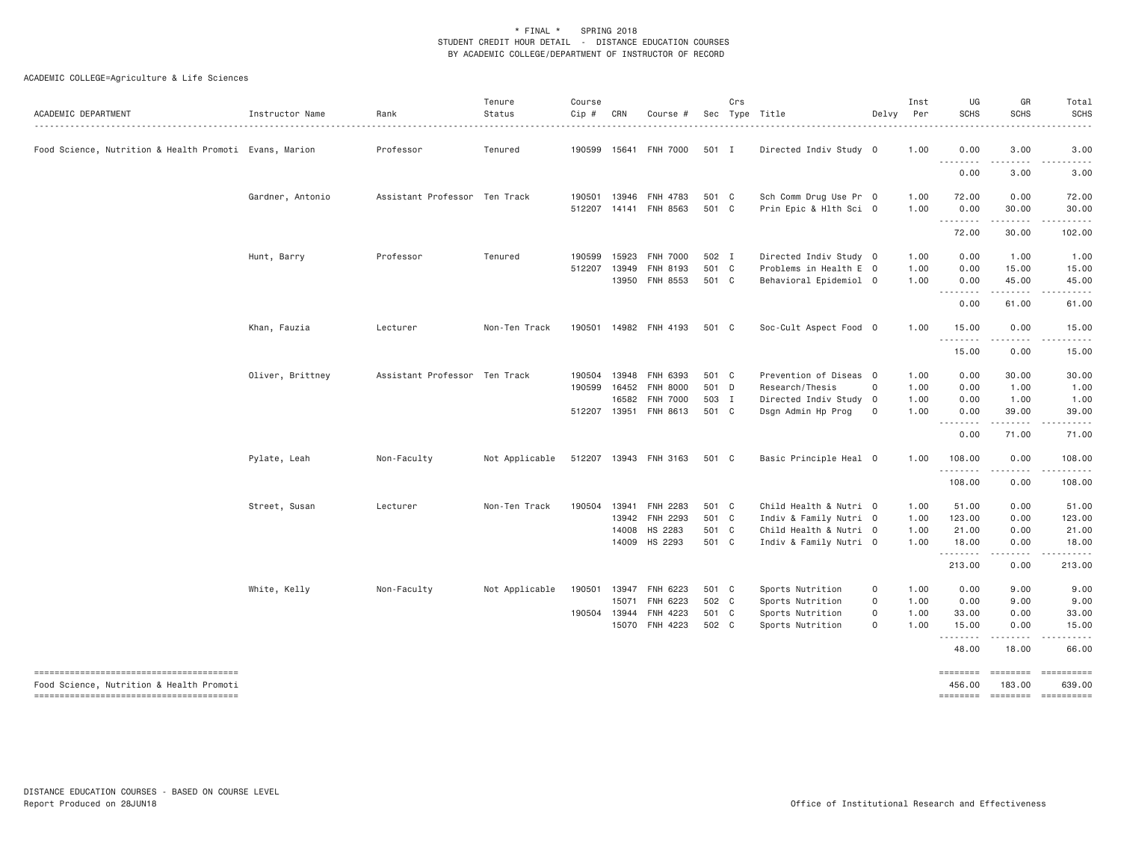| ACADEMIC DEPARTMENT                                    | Instructor Name  | Rank                          | Tenure<br>Status | Course<br>$Cip \#$ | CRN          | Course #                 | Sec   | Crs | Type Title             | Delvy               | Inst<br>Per | UG<br><b>SCHS</b>  | GR<br><b>SCHS</b>        | Total<br><b>SCHS</b>                                                                                                                                                                                                                                                                                                                                                                                                                                                                   |
|--------------------------------------------------------|------------------|-------------------------------|------------------|--------------------|--------------|--------------------------|-------|-----|------------------------|---------------------|-------------|--------------------|--------------------------|----------------------------------------------------------------------------------------------------------------------------------------------------------------------------------------------------------------------------------------------------------------------------------------------------------------------------------------------------------------------------------------------------------------------------------------------------------------------------------------|
| Food Science, Nutrition & Health Promoti Evans, Marion |                  | Professor                     | Tenured          |                    |              | 190599  15641  FNH  7000 | 501 I |     | Directed Indiv Study 0 |                     | 1.00        | 0.00               | 3.00                     | 3.00                                                                                                                                                                                                                                                                                                                                                                                                                                                                                   |
|                                                        |                  |                               |                  |                    |              |                          |       |     |                        |                     |             | .<br>0.00          | .<br>3.00                | .<br>3.00                                                                                                                                                                                                                                                                                                                                                                                                                                                                              |
|                                                        | Gardner, Antonio | Assistant Professor Ten Track |                  | 190501             | 13946        | FNH 4783                 | 501 C |     | Sch Comm Drug Use Pr 0 |                     | 1.00        | 72.00              | 0.00                     | 72.00                                                                                                                                                                                                                                                                                                                                                                                                                                                                                  |
|                                                        |                  |                               |                  |                    |              | 512207 14141 FNH 8563    | 501 C |     | Prin Epic & Hlth Sci 0 |                     | 1.00        | 0.00<br><u>.</u>   | 30.00<br>$- - - - - - -$ | 30.00<br>.                                                                                                                                                                                                                                                                                                                                                                                                                                                                             |
|                                                        |                  |                               |                  |                    |              |                          |       |     |                        |                     |             | 72.00              | 30.00                    | 102.00                                                                                                                                                                                                                                                                                                                                                                                                                                                                                 |
|                                                        | Hunt, Barry      | Professor                     | Tenured          | 190599             | 15923        | <b>FNH 7000</b>          | 502 I |     | Directed Indiv Study 0 |                     | 1.00        | 0.00               | 1.00                     | 1.00                                                                                                                                                                                                                                                                                                                                                                                                                                                                                   |
|                                                        |                  |                               |                  | 512207             | 13949        | FNH 8193                 | 501 C |     | Problems in Health E 0 |                     | 1.00        | 0.00               | 15.00                    | 15.00                                                                                                                                                                                                                                                                                                                                                                                                                                                                                  |
|                                                        |                  |                               |                  |                    |              | 13950 FNH 8553           | 501 C |     | Behavioral Epidemiol 0 |                     | 1.00        | 0.00<br>.          | 45.00<br>.               | 45.00<br>.                                                                                                                                                                                                                                                                                                                                                                                                                                                                             |
|                                                        |                  |                               |                  |                    |              |                          |       |     |                        |                     |             | 0.00               | 61.00                    | 61.00                                                                                                                                                                                                                                                                                                                                                                                                                                                                                  |
|                                                        | Khan, Fauzia     | Lecturer                      | Non-Ten Track    |                    |              | 190501 14982 FNH 4193    | 501 C |     | Soc-Cult Aspect Food 0 |                     | 1.00        | 15.00<br>.         | 0.00<br>.                | 15.00<br>.                                                                                                                                                                                                                                                                                                                                                                                                                                                                             |
|                                                        |                  |                               |                  |                    |              |                          |       |     |                        |                     |             | 15.00              | 0.00                     | 15.00                                                                                                                                                                                                                                                                                                                                                                                                                                                                                  |
|                                                        | Oliver, Brittney | Assistant Professor Ten Track |                  | 190504             | 13948        | FNH 6393                 | 501 C |     | Prevention of Diseas 0 |                     | 1.00        | 0.00               | 30.00                    | 30.00                                                                                                                                                                                                                                                                                                                                                                                                                                                                                  |
|                                                        |                  |                               |                  | 190599             | 16452        | <b>FNH 8000</b>          | 501 D |     | Research/Thesis        | $\mathbf 0$         | 1.00        | 0.00               | 1.00                     | 1.00                                                                                                                                                                                                                                                                                                                                                                                                                                                                                   |
|                                                        |                  |                               |                  |                    | 16582        | <b>FNH 7000</b>          | 503 I |     | Directed Indiv Study 0 |                     | 1.00        | 0.00               | 1.00                     | 1.00                                                                                                                                                                                                                                                                                                                                                                                                                                                                                   |
|                                                        |                  |                               |                  |                    |              | 512207 13951 FNH 8613    | 501 C |     | Dsgn Admin Hp Prog     | 0                   | 1.00        | 0.00<br>--------   | 39.00<br>.               | 39.00<br>.                                                                                                                                                                                                                                                                                                                                                                                                                                                                             |
|                                                        |                  |                               |                  |                    |              |                          |       |     |                        |                     |             | 0.00               | 71.00                    | 71.00                                                                                                                                                                                                                                                                                                                                                                                                                                                                                  |
|                                                        | Pylate, Leah     | Non-Faculty                   | Not Applicable   |                    |              | 512207 13943 FNH 3163    | 501 C |     | Basic Principle Heal 0 |                     | 1.00        | 108.00<br><u>.</u> | 0.00<br>.                | 108.00<br>.                                                                                                                                                                                                                                                                                                                                                                                                                                                                            |
|                                                        |                  |                               |                  |                    |              |                          |       |     |                        |                     |             | 108.00             | 0.00                     | 108.00                                                                                                                                                                                                                                                                                                                                                                                                                                                                                 |
|                                                        | Street, Susan    | Lecturer                      | Non-Ten Track    | 190504             | 13941        | FNH 2283                 | 501 C |     | Child Health & Nutri 0 |                     | 1.00        | 51.00              | 0.00                     | 51.00                                                                                                                                                                                                                                                                                                                                                                                                                                                                                  |
|                                                        |                  |                               |                  |                    |              | 13942 FNH 2293           | 501 C |     | Indiv & Family Nutri 0 |                     | 1.00        | 123.00             | 0.00                     | 123.00                                                                                                                                                                                                                                                                                                                                                                                                                                                                                 |
|                                                        |                  |                               |                  |                    | 14008        | HS 2283                  | 501 C |     | Child Health & Nutri 0 |                     | 1.00        | 21.00              | 0.00                     | 21.00                                                                                                                                                                                                                                                                                                                                                                                                                                                                                  |
|                                                        |                  |                               |                  |                    |              | 14009 HS 2293            | 501 C |     | Indiv & Family Nutri 0 |                     | 1.00        | 18.00<br><u>.</u>  | 0.00<br>.                | 18,00<br>.                                                                                                                                                                                                                                                                                                                                                                                                                                                                             |
|                                                        |                  |                               |                  |                    |              |                          |       |     |                        |                     |             | 213.00             | 0.00                     | 213.00                                                                                                                                                                                                                                                                                                                                                                                                                                                                                 |
|                                                        | White, Kelly     | Non-Faculty                   | Not Applicable   |                    |              | 190501 13947 FNH 6223    | 501 C |     | Sports Nutrition       | 0                   | 1.00        | 0.00               | 9.00                     | 9.00                                                                                                                                                                                                                                                                                                                                                                                                                                                                                   |
|                                                        |                  |                               |                  |                    | 15071        | FNH 6223                 | 502 C |     | Sports Nutrition       | 0                   | 1.00        | 0.00               | 9.00                     | 9.00                                                                                                                                                                                                                                                                                                                                                                                                                                                                                   |
|                                                        |                  |                               |                  |                    | 190504 13944 | FNH 4223                 | 501 C |     | Sports Nutrition       | $\mathsf{O}\xspace$ | 1.00        | 33.00              | 0.00                     | 33.00                                                                                                                                                                                                                                                                                                                                                                                                                                                                                  |
|                                                        |                  |                               |                  |                    | 15070        | FNH 4223                 | 502 C |     | Sports Nutrition       | $\Omega$            | 1.00        | 15.00<br>.         | 0.00<br>.                | 15.00<br>.                                                                                                                                                                                                                                                                                                                                                                                                                                                                             |
|                                                        |                  |                               |                  |                    |              |                          |       |     |                        |                     |             | 48.00              | 18.00                    | 66.00                                                                                                                                                                                                                                                                                                                                                                                                                                                                                  |
| Food Science, Nutrition & Health Promoti               |                  |                               |                  |                    |              |                          |       |     |                        |                     |             | ========<br>456.00 | ========<br>183.00       | ==========<br>639,00                                                                                                                                                                                                                                                                                                                                                                                                                                                                   |
|                                                        |                  |                               |                  |                    |              |                          |       |     |                        |                     |             | ========           | ========                 | $\begin{array}{cccccccccc} \multicolumn{2}{c}{} & \multicolumn{2}{c}{} & \multicolumn{2}{c}{} & \multicolumn{2}{c}{} & \multicolumn{2}{c}{} & \multicolumn{2}{c}{} & \multicolumn{2}{c}{} & \multicolumn{2}{c}{} & \multicolumn{2}{c}{} & \multicolumn{2}{c}{} & \multicolumn{2}{c}{} & \multicolumn{2}{c}{} & \multicolumn{2}{c}{} & \multicolumn{2}{c}{} & \multicolumn{2}{c}{} & \multicolumn{2}{c}{} & \multicolumn{2}{c}{} & \multicolumn{2}{c}{} & \multicolumn{2}{c}{} & \mult$ |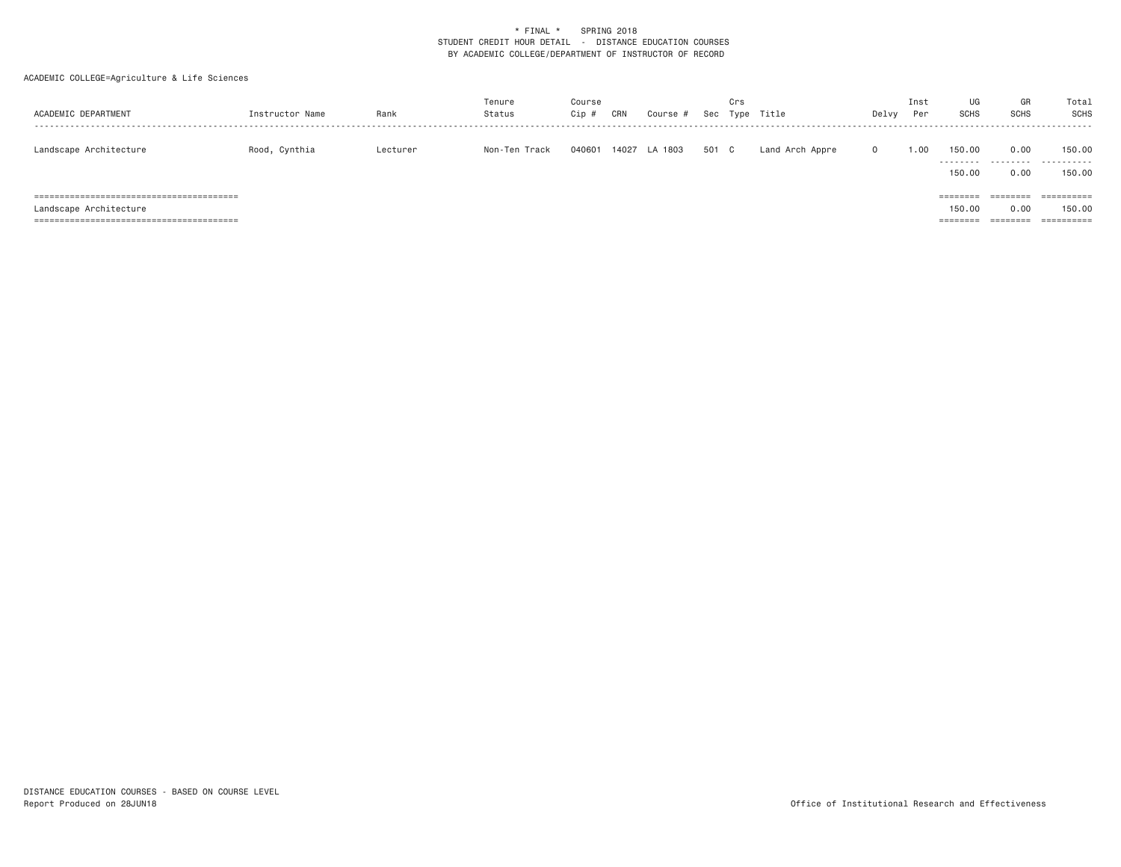| ACADEMIC DEPARTMENT    | Instructor Name | Rank     | Tenure<br>Status | Course<br>Cip | CRN   | Course  | Sec   | Crs<br>Type | Title           | Delvy      | Inst<br>Per | UG<br><b>SCHS</b>                       | GR<br><b>SCHS</b>            | Total<br>SCHS                      |
|------------------------|-----------------|----------|------------------|---------------|-------|---------|-------|-------------|-----------------|------------|-------------|-----------------------------------------|------------------------------|------------------------------------|
| Landscape Architecture | Rood, Cynthia   | Lecturer | Non-Ten Track    | 040601        | 14027 | LA 1803 | 501 C |             | Land Arch Appre | $^{\circ}$ | 1.00        | 150.00<br>---------<br>150.00           | 0.00<br>.<br>0.00            | 150.00<br>-----------<br>150.00    |
| Landscape Architecture |                 |          |                  |               |       |         |       |             |                 |            |             | $=$ = = = = = = =<br>150.00<br>======== | ========<br>0.00<br>======== | ==========<br>150.00<br>========== |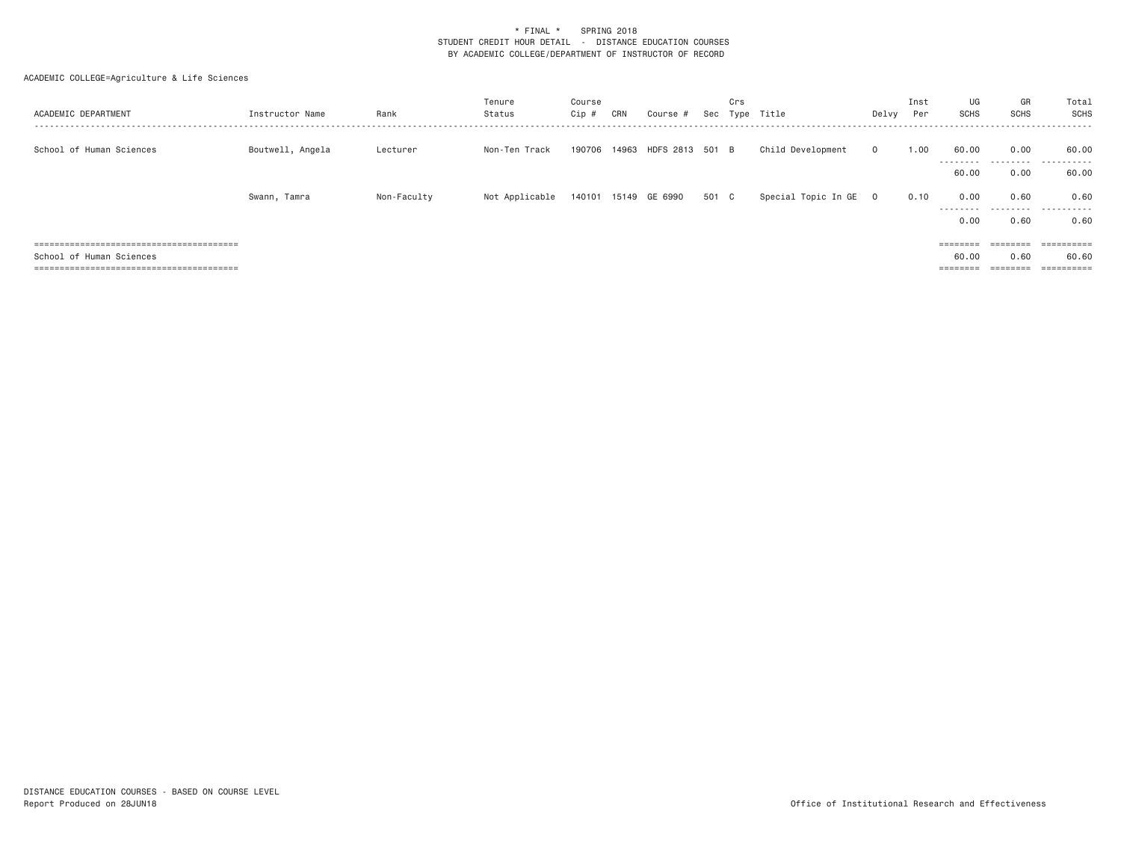| ACADEMIC DEPARTMENT      | Instructor Name  | Rank        | Tenure<br>Status | Course<br>Cip # | CRN | Course #                     | Sec   | Crs | Type Title          | Delvy          | Inst<br>Per | UG<br>SCHS                | GR<br>SCHS                                                              | Total<br>SCHS         |
|--------------------------|------------------|-------------|------------------|-----------------|-----|------------------------------|-------|-----|---------------------|----------------|-------------|---------------------------|-------------------------------------------------------------------------|-----------------------|
| School of Human Sciences | Boutwell, Angela | Lecturer    | Non-Ten Track    |                 |     | 190706 14963 HDFS 2813 501 B |       |     | Child Development   | $\mathbf{0}$   | 1.00        | 60.00<br>--------         | 0.00                                                                    | 60.00<br>.            |
|                          |                  |             |                  |                 |     |                              |       |     |                     |                |             | 60.00                     | 0.00                                                                    | 60.00                 |
|                          | Swann, Tamra     | Non-Faculty | Not Applicable   |                 |     | 140101 15149 GE 6990         | 501 C |     | Special Topic In GE | $\overline{0}$ | 0.10        | 0.00<br>---------<br>0.00 | 0.60<br>.<br>0.60                                                       | 0.60<br>.<br>0.60     |
|                          |                  |             |                  |                 |     |                              |       |     |                     |                |             |                           |                                                                         |                       |
|                          |                  |             |                  |                 |     |                              |       |     |                     |                |             | $=$ = = = = = = =         | ========                                                                | ==========            |
| School of Human Sciences |                  |             |                  |                 |     |                              |       |     |                     |                |             | 60.00                     | 0.60                                                                    | 60.60                 |
|                          |                  |             |                  |                 |     |                              |       |     |                     |                |             | $=$ = = = = = = =         | $\qquad \qquad \equiv \equiv \equiv \equiv \equiv \equiv \equiv \equiv$ | $=$ = = = = = = = = = |
|                          |                  |             |                  |                 |     |                              |       |     |                     |                |             |                           |                                                                         |                       |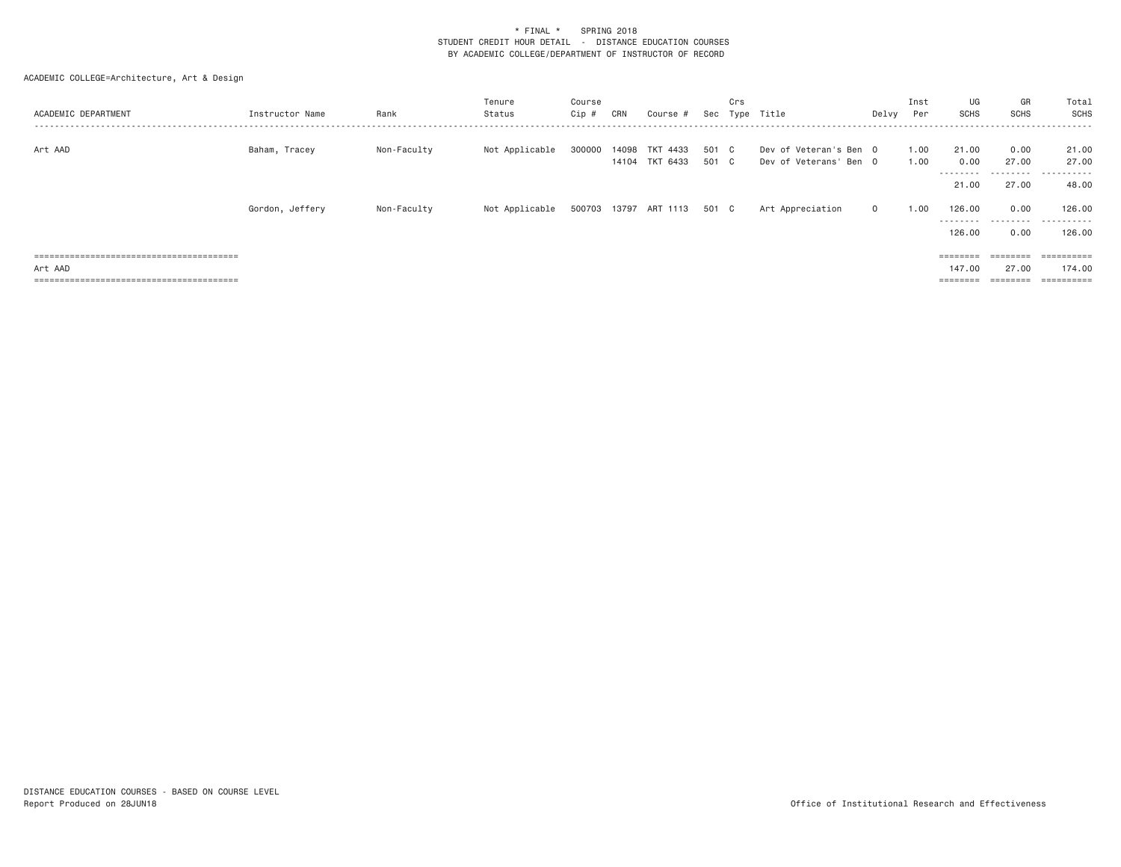| ACADEMIC DEPARTMENT | Instructor Name | Rank        | Tenure<br>Status | Course<br>Cip # | CRN | Course #                         |                | Crs | Sec Type Title                                   | Delvy   | Inst<br>Per  | UG<br>SCHS                | GR<br><b>SCHS</b>          | Total<br>SCHS       |
|---------------------|-----------------|-------------|------------------|-----------------|-----|----------------------------------|----------------|-----|--------------------------------------------------|---------|--------------|---------------------------|----------------------------|---------------------|
| Art AAD             | Baham, Tracey   | Non-Faculty | Not Applicable   | 300000          |     | 14098 TKT 4433<br>14104 TKT 6433 | 501 C<br>501 C |     | Dev of Veteran's Ben 0<br>Dev of Veterans' Ben 0 |         | 1.00<br>1.00 | 21,00<br>0.00<br>-------- | 0.00<br>27.00<br>--------- | 21.00<br>27.00<br>. |
|                     |                 |             |                  |                 |     |                                  |                |     |                                                  |         |              | 21.00                     | 27.00                      | 48.00               |
|                     | Gordon, Jeffery | Non-Faculty | Not Applicable   |                 |     | 500703 13797 ART 1113 501 C      |                |     | Art Appreciation                                 | $\circ$ | 1.00         | 126,00<br>--------        | 0.00<br>.                  | 126.00<br>.         |
|                     |                 |             |                  |                 |     |                                  |                |     |                                                  |         |              | 126,00                    | 0.00                       | 126.00              |
|                     |                 |             |                  |                 |     |                                  |                |     |                                                  |         |              | $=$ = = = = = = =         | ========                   | ==========          |
| Art AAD             |                 |             |                  |                 |     |                                  |                |     |                                                  |         |              | 147.00                    | 27.00                      | 174.00              |
|                     |                 |             |                  |                 |     |                                  |                |     |                                                  |         |              | $=$ = = = = = = =         | ========                   | ==========          |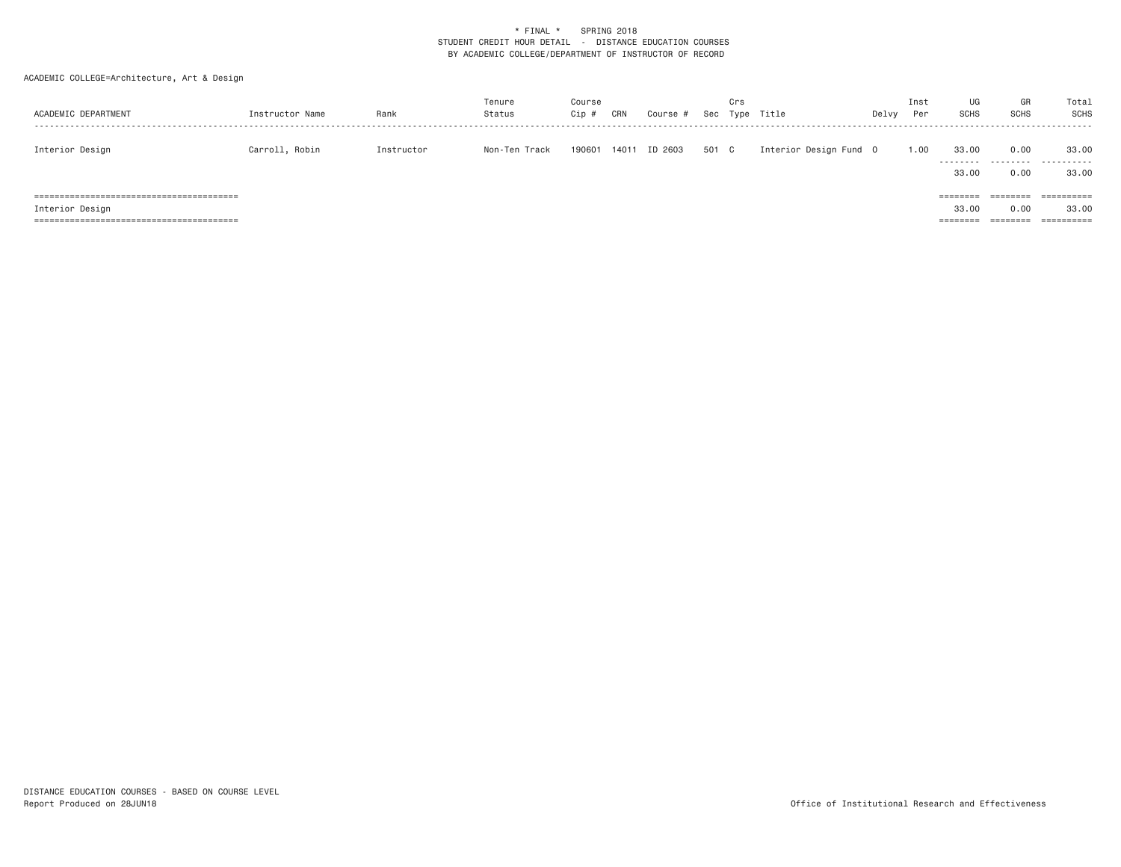| ACADEMIC DEPARTMENT | Instructor Name | Rank       | Tenure<br>Status | Course<br>Cip | CRN   | Course  | Sec   | Crs<br>Type | Title                  | Delvy | Inst<br>Per | UG<br><b>SCHS</b>                      | GR<br><b>SCHS</b>            | Total<br>SCHS                     |
|---------------------|-----------------|------------|------------------|---------------|-------|---------|-------|-------------|------------------------|-------|-------------|----------------------------------------|------------------------------|-----------------------------------|
| Interior Design     | Carroll, Robin  | Instructor | Non-Ten Track    | 190601        | 14011 | ID 2603 | 501 C |             | Interior Design Fund 0 |       | 1.00        | 33,00<br>---------<br>33,00            | 0.00<br>0.00                 | 33,00<br>.<br>33.00               |
| Interior Design     |                 |            |                  |               |       |         |       |             |                        |       |             | $=$ = = = = = = =<br>33,00<br>======== | ========<br>0.00<br>======== | ==========<br>33,00<br>========== |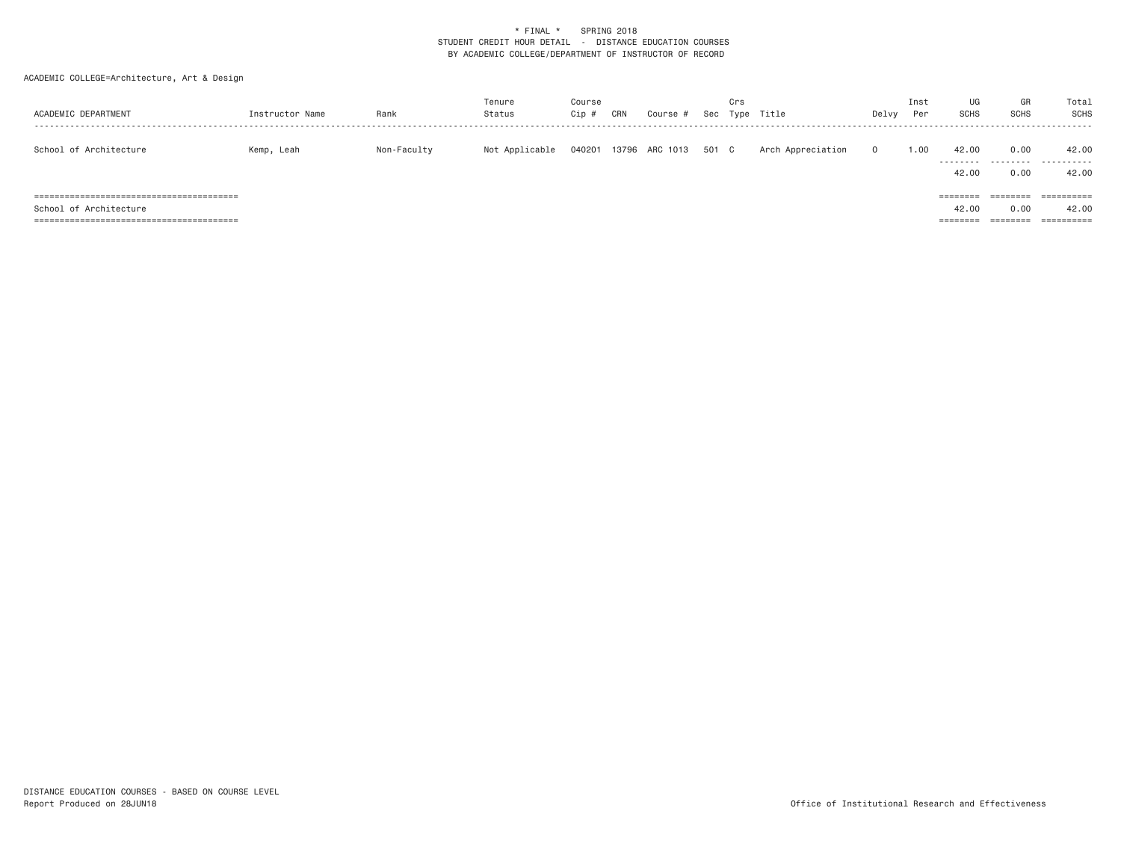| ACADEMIC DEPARTMENT    | Instructor Name | Rank        | Tenure<br>Status | Course<br>Cip | CRN   | Course   | Sec   | Crs<br>Type | Title             | Delvy | Inst<br>Per | UG<br><b>SCHS</b>             | GR<br><b>SCHS</b>                     | Total<br>SCHS                     |
|------------------------|-----------------|-------------|------------------|---------------|-------|----------|-------|-------------|-------------------|-------|-------------|-------------------------------|---------------------------------------|-----------------------------------|
| School of Architecture | Kemp, Leah      | Non-Faculty | Not Applicable   | 040201        | 13796 | ARC 1013 | 501 C |             | Arch Appreciation | 0     | 1.00        | 42.00<br>---------<br>42.00   | 0.00<br>0.00                          | 42.00<br>.<br>42.00               |
| School of Architecture |                 |             |                  |               |       |          |       |             |                   |       |             | ========<br>42.00<br>======== | $=$ = = = = = = =<br>0.00<br>======== | ==========<br>42.00<br>========== |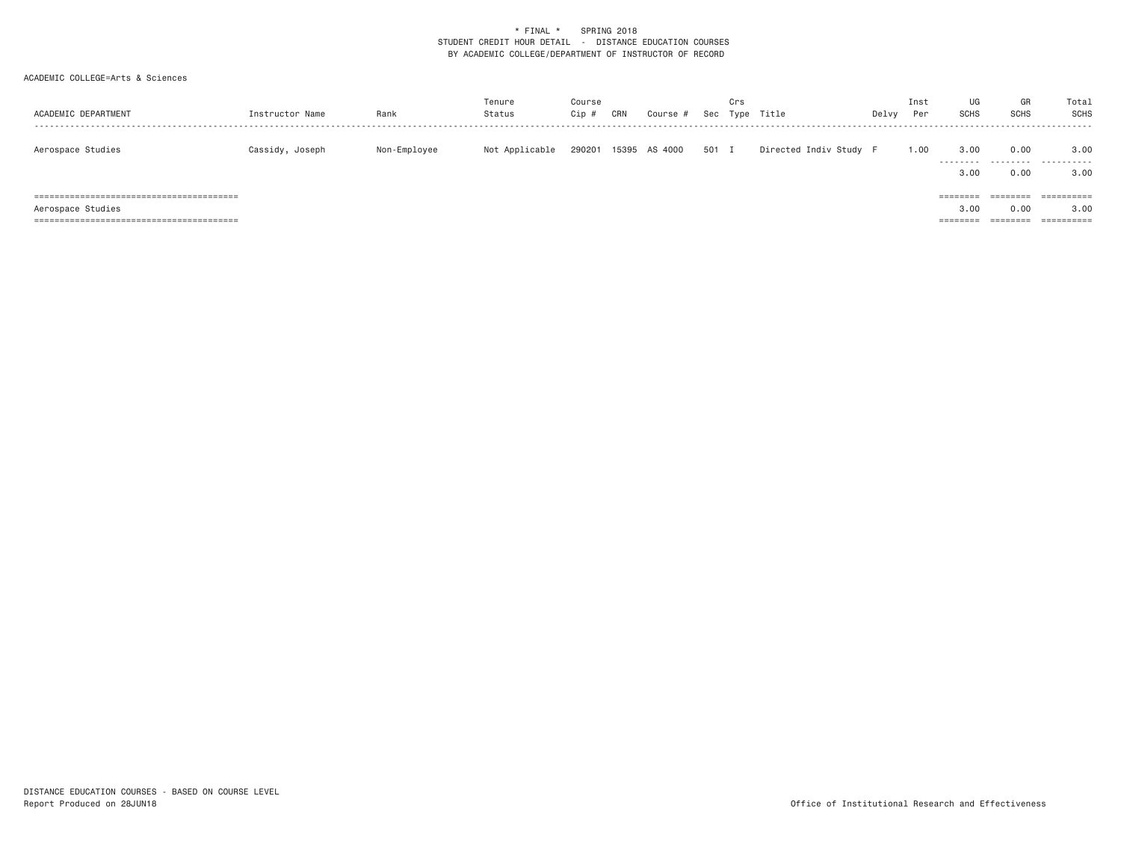| ACADEMIC DEPARTMENT | Instructor Name | Rank         | Tenure<br>Status | Course<br>Cip # | CRN | Course #      | Sec   | Crs | Type Title             | Delvy | Inst<br>Per | UG<br><b>SCHS</b>            | GR<br><b>SCHS</b> | Total<br>SCHS                    |
|---------------------|-----------------|--------------|------------------|-----------------|-----|---------------|-------|-----|------------------------|-------|-------------|------------------------------|-------------------|----------------------------------|
| Aerospace Studies   | Cassidy, Joseph | Non-Employee | Not Applicable   | 290201          |     | 15395 AS 4000 | 501 I |     | Directed Indiv Study F |       | 1.00        | 3,00<br>.<br>3.00            | 0.00<br>.<br>0.00 | 3,00<br>.<br>3,00                |
| Aerospace Studies   |                 |              |                  |                 |     |               |       |     |                        |       |             | ========<br>3.00<br>======== | 0.00              | ==========<br>3,00<br>========== |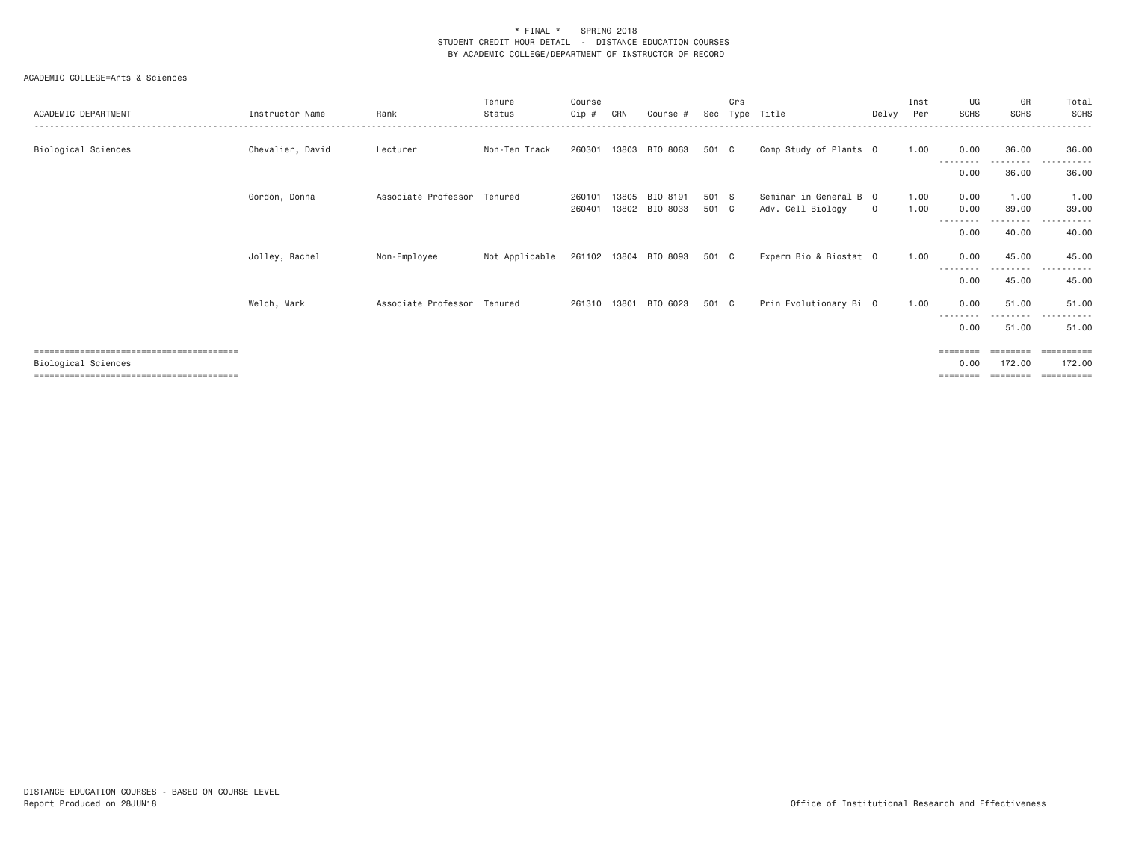| ACADEMIC DEPARTMENT | Instructor Name  | Rank                        | Tenure<br>Status | Course<br>Cip #  | CRN   | Course #                   | Sec            | Crs | Type Title                                  | Delvy Per | Inst         | UG<br>SCHS                   | GR<br><b>SCHS</b>    | Total<br><b>SCHS</b>                           |
|---------------------|------------------|-----------------------------|------------------|------------------|-------|----------------------------|----------------|-----|---------------------------------------------|-----------|--------------|------------------------------|----------------------|------------------------------------------------|
| Biological Sciences | Chevalier, David | Lecturer                    | Non-Ten Track    | 260301           |       | 13803 BIO 8063             | 501 C          |     | Comp Study of Plants 0                      |           | 1.00         | 0.00<br>--------             | 36.00<br>- - - - - - | 36.00                                          |
|                     |                  |                             |                  |                  |       |                            |                |     |                                             |           |              | 0.00                         | 36.00                | 36.00                                          |
|                     | Gordon, Donna    | Associate Professor Tenured |                  | 260101<br>260401 | 13805 | BIO 8191<br>13802 BIO 8033 | 501 S<br>501 C |     | Seminar in General B 0<br>Adv. Cell Biology | $\circ$   | 1.00<br>1.00 | 0.00<br>0.00<br>--------     | 1.00<br>39.00<br>.   | 1.00<br>39.00<br>.                             |
|                     |                  |                             |                  |                  |       |                            |                |     |                                             |           |              | 0.00                         | 40.00                | 40.00                                          |
|                     | Jolley, Rachel   | Non-Employee                | Not Applicable   |                  |       | 261102 13804 BIO 8093      | 501 C          |     | Experm Bio & Biostat 0                      |           | 1.00         | 0.00<br>--------             | 45.00                | 45.00<br>$  -$                                 |
|                     |                  |                             |                  |                  |       |                            |                |     |                                             |           |              | 0.00                         | 45.00                | 45.00                                          |
|                     | Welch, Mark      | Associate Professor Tenured |                  | 261310 13801     |       | BIO 6023                   | 501 C          |     | Prin Evolutionary Bi 0                      |           | 1.00         | 0.00                         | 51.00                | 51.00<br>$  -$<br>- - - - - -                  |
|                     |                  |                             |                  |                  |       |                            |                |     |                                             |           |              | 0.00                         | 51.00                | 51.00                                          |
| Biological Sciences |                  |                             |                  |                  |       |                            |                |     |                                             |           |              | ========<br>0.00<br>======== | ========<br>172.00   | -----------<br>172.00<br>$=$ = = = = = = = = = |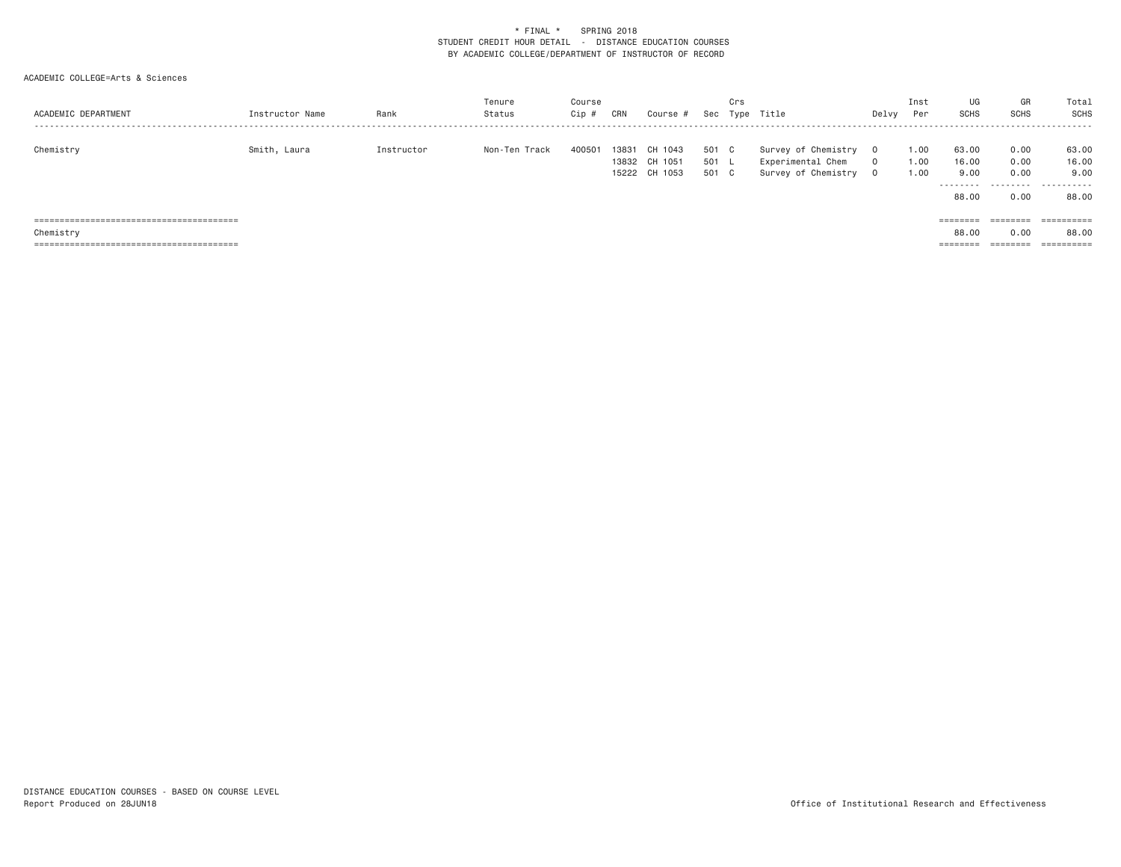| ACADEMIC DEPARTMENT | Instructor Name | Rank       | Tenure<br>Status | Course<br>Cip # | CRN   | Course #      | Sec   | Crs | Type Title          | Delvy    | Inst<br>Per | UG<br><b>SCHS</b> | GR<br><b>SCHS</b> | Total<br><b>SCHS</b>  |
|---------------------|-----------------|------------|------------------|-----------------|-------|---------------|-------|-----|---------------------|----------|-------------|-------------------|-------------------|-----------------------|
| Chemistry           | Smith, Laura    | Instructor | Non-Ten Track    | 400501          | 13831 | CH 1043       | 501   | C.  | Survey of Chemistry |          | 1.00        | 63.00             | 0.00              | 63.00                 |
|                     |                 |            |                  |                 |       | 13832 CH 1051 | 501 L |     | Experimental Chem   |          | 1.00        | 16.00             | 0.00              | 16.00                 |
|                     |                 |            |                  |                 |       | 15222 CH 1053 | 501   | C C | Survey of Chemistry | $\Omega$ | 1.00        | 9.00              | 0.00              | 9.00                  |
|                     |                 |            |                  |                 |       |               |       |     |                     |          |             | .                 |                   | .                     |
|                     |                 |            |                  |                 |       |               |       |     |                     |          |             | 88.00             | 0.00              | 88.00                 |
|                     |                 |            |                  |                 |       |               |       |     |                     |          |             |                   |                   |                       |
|                     |                 |            |                  |                 |       |               |       |     |                     |          |             | ========          | ========          | ==========            |
| Chemistry           |                 |            |                  |                 |       |               |       |     |                     |          |             | 88.00             | 0.00              | 88,00                 |
|                     |                 |            |                  |                 |       |               |       |     |                     |          |             | ========          | ========          | $=$ = = = = = = = = = |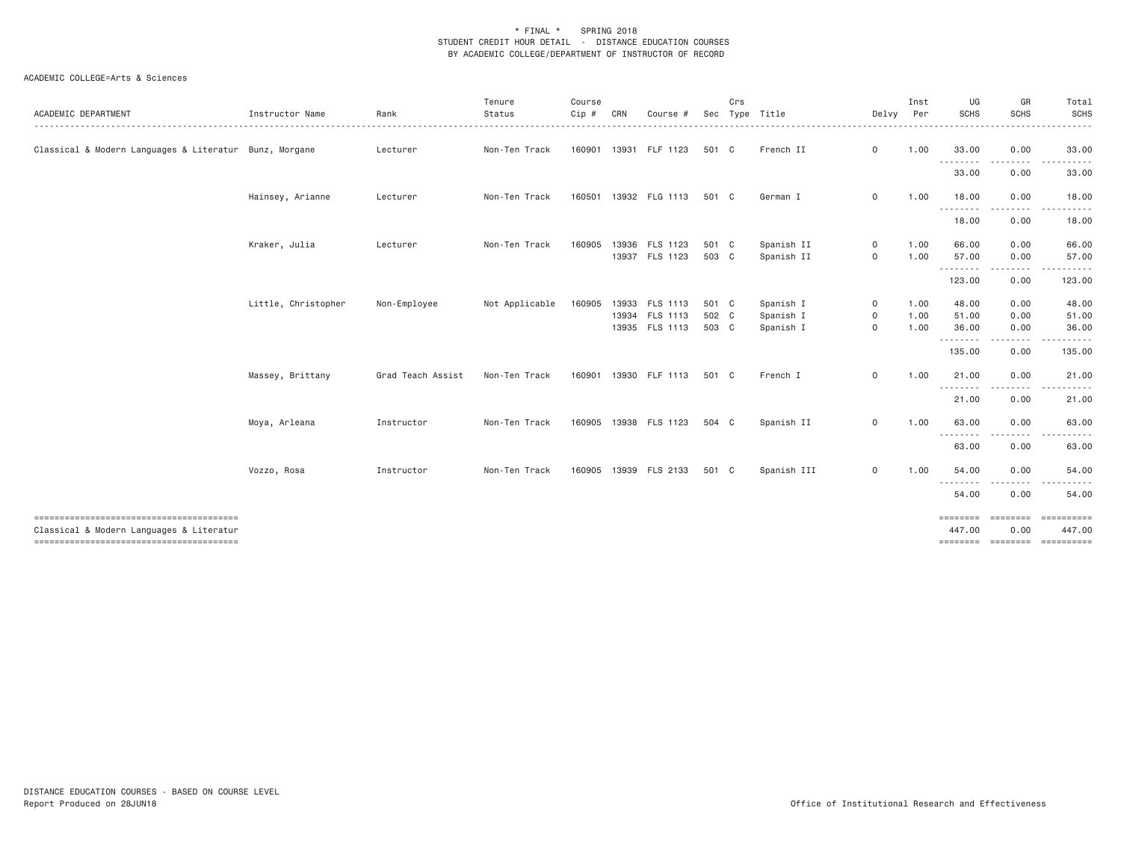| ACADEMIC DEPARTMENT                                                                | Instructor Name     | Rank              | Tenure<br>Status<br>------------ | Course<br>Cip # | CRN   | Course #                                           | Sec                     | Crs | Type Title                          | Delvy                   | Inst<br>Per<br>------- | UG<br><b>SCHS</b>       | GR<br><b>SCHS</b>                                  | Total<br>SCHS<br>.               |
|------------------------------------------------------------------------------------|---------------------|-------------------|----------------------------------|-----------------|-------|----------------------------------------------------|-------------------------|-----|-------------------------------------|-------------------------|------------------------|-------------------------|----------------------------------------------------|----------------------------------|
| Classical & Modern Languages & Literatur Bunz, Morgane                             |                     | Lecturer          | Non-Ten Track                    | 160901          |       | 13931 FLF 1123                                     | 501 C                   |     | French II                           | $\circ$                 | 1.00                   | 33.00                   | 0.00                                               | 33,00                            |
|                                                                                    |                     |                   |                                  |                 |       |                                                    |                         |     |                                     |                         |                        | <b></b><br>33.00        | <b><i><u><u> - - - - - - -</u></u></i></b><br>0.00 | . <u>.</u> .<br>$- - -$<br>33.00 |
|                                                                                    | Hainsey, Arianne    | Lecturer          | Non-Ten Track                    | 160501          |       | 13932 FLG 1113                                     | 501 C                   |     | German I                            | $\circ$                 | 1.00                   | 18.00                   | 0.00                                               | 18.00                            |
|                                                                                    |                     |                   |                                  |                 |       |                                                    |                         |     |                                     |                         |                        | ---------<br>18.00      | -----<br>0.00                                      | ------<br>18.00                  |
|                                                                                    | Kraker, Julia       | Lecturer          | Non-Ten Track                    | 160905          | 13936 | FLS 1123<br>13937 FLS 1123                         | 501 C<br>503 C          |     | Spanish II<br>Spanish II            | $\mathsf{O}$<br>$\circ$ | 1.00<br>1.00           | 66.00<br>57.00          | 0.00<br>0.00                                       | 66.00<br>57.00                   |
|                                                                                    |                     |                   |                                  |                 |       |                                                    |                         |     |                                     |                         |                        | .<br>123.00             | -----<br>0.00                                      | .<br>123.00                      |
|                                                                                    | Little, Christopher | Non-Employee      | Not Applicable                   | 160905          |       | 13933 FLS 1113<br>13934 FLS 1113<br>13935 FLS 1113 | 501 C<br>502 C<br>503 C |     | Spanish I<br>Spanish I<br>Spanish I | 0<br>0<br>$\circ$       | 1.00<br>1.00<br>1.00   | 48.00<br>51.00<br>36.00 | 0.00<br>0.00<br>0.00                               | 48.00<br>51.00<br>36.00          |
|                                                                                    |                     |                   |                                  |                 |       |                                                    |                         |     |                                     |                         |                        | .<br>135.00             | .<br>0.00                                          | 135.00                           |
|                                                                                    | Massey, Brittany    | Grad Teach Assist | Non-Ten Track                    | 160901          |       | 13930 FLF 1113                                     | 501 C                   |     | French I                            | $\circ$                 | 1.00                   | 21.00<br>.              | 0.00<br>.                                          | 21.00<br>.                       |
|                                                                                    |                     |                   |                                  |                 |       |                                                    |                         |     |                                     |                         |                        | 21.00                   | 0.00                                               | 21.00                            |
|                                                                                    | Moya, Arleana       | Instructor        | Non-Ten Track                    | 160905          |       | 13938 FLS 1123                                     | 504 C                   |     | Spanish II                          | $\circ$                 | 1.00                   | 63.00                   | 0.00                                               | 63.00                            |
|                                                                                    |                     |                   |                                  |                 |       |                                                    |                         |     |                                     |                         |                        | .<br>63.00              | .<br>0.00                                          | 63.00                            |
|                                                                                    | Vozzo, Rosa         | Instructor        | Non-Ten Track                    | 160905          |       | 13939 FLS 2133                                     | 501 C                   |     | Spanish III                         | $\circ$                 | 1.00                   | 54.00                   | 0.00                                               | 54.00                            |
|                                                                                    |                     |                   |                                  |                 |       |                                                    |                         |     |                                     |                         |                        | .<br>54.00              | 0.00                                               | 54.00                            |
| --------------------------------------<br>Classical & Modern Languages & Literatur |                     |                   |                                  |                 |       |                                                    |                         |     |                                     |                         |                        | 447.00                  | ==================<br>0.00                         | ==========<br>447.00             |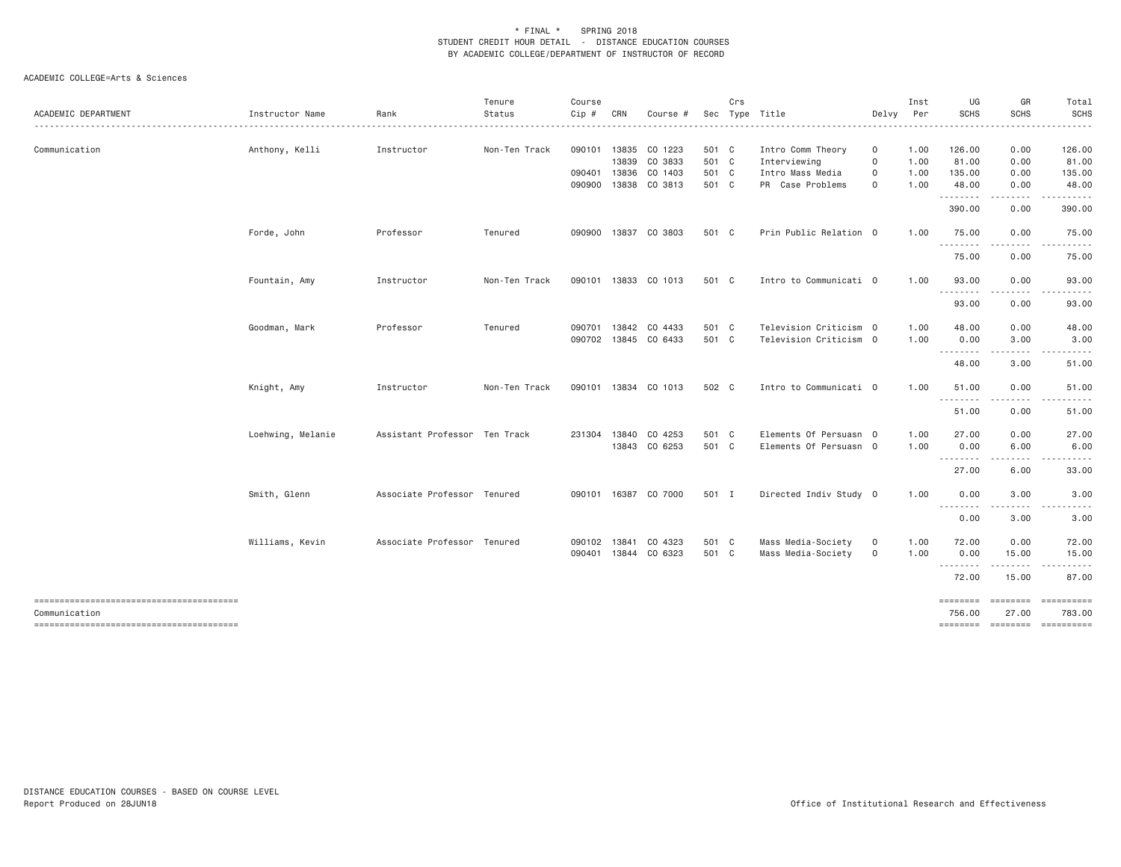|                                        |                   |                               | Tenure        | Course       |       |                      |       | Crs |                        |                     | Inst | UG                              | GR                                                                               | Total       |
|----------------------------------------|-------------------|-------------------------------|---------------|--------------|-------|----------------------|-------|-----|------------------------|---------------------|------|---------------------------------|----------------------------------------------------------------------------------|-------------|
| ACADEMIC DEPARTMENT                    | Instructor Name   | Rank                          | Status        | $Cip$ #      | CRN   | Course #             |       |     | Sec Type Title         | Delvy               | Per  | <b>SCHS</b>                     | SCHS                                                                             | <b>SCHS</b> |
| Communication                          | Anthony, Kelli    | Instructor                    | Non-Ten Track | 090101       |       | 13835 CO 1223        | 501 C |     | Intro Comm Theory      | 0                   | 1.00 | 126.00                          | 0.00                                                                             | 126.00      |
|                                        |                   |                               |               |              | 13839 | CO 3833              | 501 C |     | Interviewing           | 0                   | 1.00 | 81.00                           | 0.00                                                                             | 81.00       |
|                                        |                   |                               |               | 090401       | 13836 | CO 1403              | 501 C |     | Intro Mass Media       | 0                   | 1.00 | 135.00                          | 0.00                                                                             | 135.00      |
|                                        |                   |                               |               | 090900       | 13838 | CO 3813              | 501 C |     | PR Case Problems       | $\mathbf 0$         | 1.00 | 48.00<br>--------               | 0.00<br>.                                                                        | 48.00       |
|                                        |                   |                               |               |              |       |                      |       |     |                        |                     |      | 390.00                          | 0.00                                                                             | 390.00      |
|                                        | Forde, John       | Professor                     | Tenured       | 090900       |       | 13837 CO 3803        | 501 C |     | Prin Public Relation 0 |                     | 1.00 | 75.00                           | 0.00                                                                             | 75.00       |
|                                        |                   |                               |               |              |       |                      |       |     |                        |                     |      | 75.00                           | 0.00                                                                             | 75.00       |
|                                        | Fountain, Amy     | Instructor                    | Non-Ten Track |              |       | 090101 13833 CO 1013 | 501 C |     | Intro to Communicati 0 |                     | 1,00 | 93.00<br><u>.</u>               | 0.00                                                                             | 93.00       |
|                                        |                   |                               |               |              |       |                      |       |     |                        |                     |      | 93.00                           | 0.00                                                                             | 93.00       |
|                                        | Goodman, Mark     | Professor                     | Tenured       | 090701       | 13842 | CO 4433              | 501 C |     | Television Criticism 0 |                     | 1.00 | 48.00                           | 0.00                                                                             | 48.00       |
|                                        |                   |                               |               |              |       | 090702 13845 CO 6433 | 501 C |     | Television Criticism 0 |                     | 1.00 | 0.00                            | 3.00                                                                             | 3.00        |
|                                        |                   |                               |               |              |       |                      |       |     |                        |                     |      | .<br>48.00                      | 3.00                                                                             | 51.00       |
|                                        | Knight, Amy       | Instructor                    | Non-Ten Track |              |       | 090101 13834 CO 1013 | 502 C |     | Intro to Communicati 0 |                     | 1.00 | 51,00                           | 0.00                                                                             | 51.00       |
|                                        |                   |                               |               |              |       |                      |       |     |                        |                     |      | .<br>51.00                      | -----<br>0.00                                                                    | 51.00       |
|                                        | Loehwing, Melanie | Assistant Professor Ten Track |               | 231304 13840 |       | CO 4253              | 501 C |     | Elements Of Persuasn 0 |                     | 1.00 | 27.00                           | 0.00                                                                             | 27.00       |
|                                        |                   |                               |               |              |       | 13843 CO 6253        | 501 C |     | Elements Of Persuasn 0 |                     | 1.00 | 0.00                            | 6.00                                                                             | 6.00        |
|                                        |                   |                               |               |              |       |                      |       |     |                        |                     |      | --------<br>27.00               | 6.00                                                                             | 33.00       |
|                                        | Smith, Glenn      | Associate Professor Tenured   |               |              |       | 090101 16387 CO 7000 | 501 I |     | Directed Indiv Study 0 |                     | 1.00 | 0.00<br>.                       | 3.00                                                                             | 3.00        |
|                                        |                   |                               |               |              |       |                      |       |     |                        |                     |      | 0.00                            | 3.00                                                                             | 3.00        |
|                                        | Williams, Kevin   | Associate Professor Tenured   |               | 090102       | 13841 | CO 4323              | 501 C |     | Mass Media-Society     | 0                   | 1.00 | 72.00                           | 0.00                                                                             | 72.00       |
|                                        |                   |                               |               | 090401       |       | 13844 CO 6323        | 501 C |     | Mass Media-Society     | $\mathsf{O}\xspace$ | 1.00 | 0.00<br><u> - - - - - - - -</u> | 15.00                                                                            | 15.00       |
|                                        |                   |                               |               |              |       |                      |       |     |                        |                     |      | 72.00                           | 15.00                                                                            | 87.00       |
| Communication                          |                   |                               |               |              |       |                      |       |     |                        |                     |      | ========<br>756.00              | $\qquad \qquad \equiv \equiv \equiv \equiv \equiv \equiv \equiv \equiv$<br>27.00 | 783.00      |
| -------------------------------------- |                   |                               |               |              |       |                      |       |     |                        |                     |      |                                 | ======== ======== =========                                                      |             |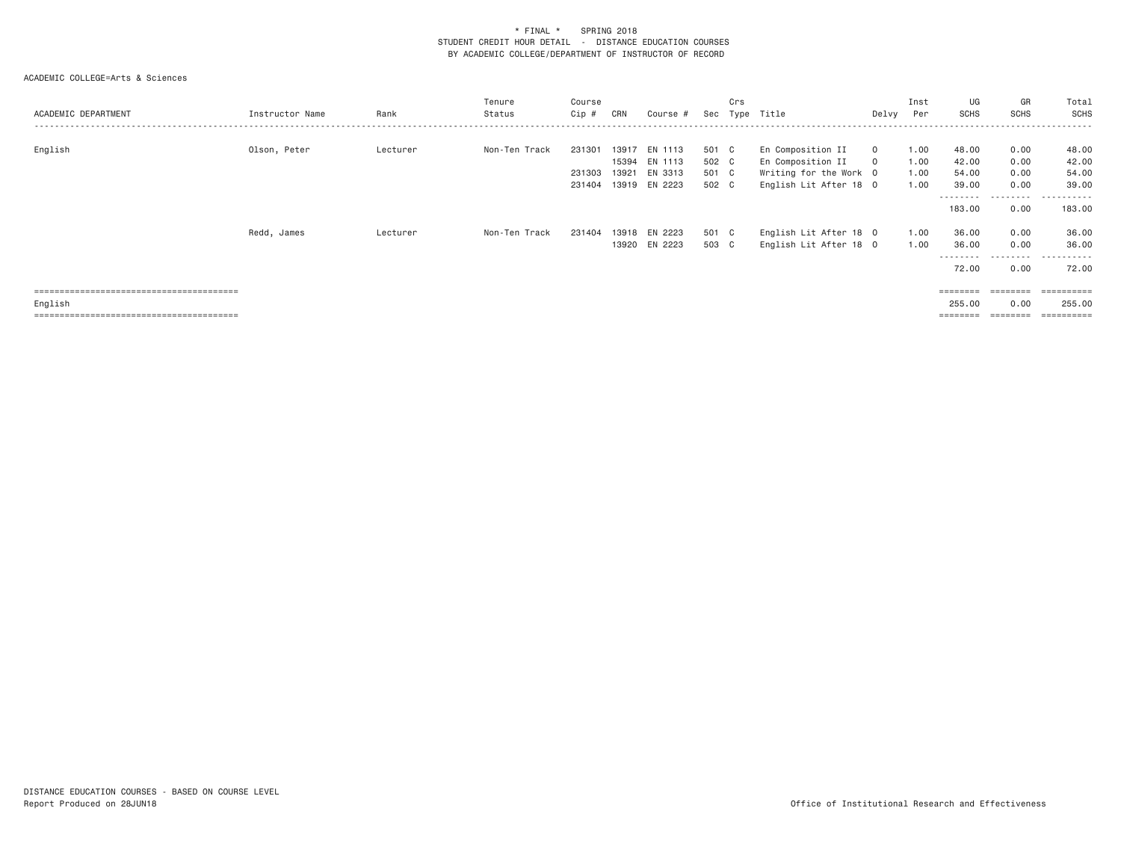| ACADEMIC DEPARTMENT | Instructor Name | Rank     | Tenure<br>Status | Course<br>Cip #            | CRN   | Course #                                                   | Sec                              | Crs<br>Type | Title                                                                                      | Delvy              | Inst<br>Per                  | UG<br><b>SCHS</b>                    | GR<br><b>SCHS</b>                 | Total<br>SCHS                                |
|---------------------|-----------------|----------|------------------|----------------------------|-------|------------------------------------------------------------|----------------------------------|-------------|--------------------------------------------------------------------------------------------|--------------------|------------------------------|--------------------------------------|-----------------------------------|----------------------------------------------|
| English             | Olson, Peter    | Lecturer | Non-Ten Track    | 231301<br>231303<br>231404 | 13917 | EN 1113<br>15394 EN 1113<br>13921 EN 3313<br>13919 EN 2223 | 501 C<br>502 C<br>501 C<br>502 C |             | En Composition II<br>En Composition II<br>Writing for the Work 0<br>English Lit After 18 0 | $\circ$<br>$\circ$ | 1.00<br>1.00<br>1.00<br>1.00 | 48.00<br>42.00<br>54.00<br>39.00     | 0.00<br>0.00<br>0.00<br>0.00      | 48.00<br>42.00<br>54.00<br>39.00             |
|                     |                 |          |                  |                            |       |                                                            |                                  |             |                                                                                            |                    |                              | ---------<br>183.00                  | .<br>0.00                         | .<br>183.00                                  |
|                     | Redd, James     | Lecturer | Non-Ten Track    | 231404                     | 13918 | EN 2223<br>13920 EN 2223                                   | 501 C<br>503 C                   |             | English Lit After 18 0<br>English Lit After 18 0                                           |                    | 1.00<br>1.00                 | 36.00<br>36.00<br>---------<br>72.00 | 0.00<br>0.00<br>---------<br>0.00 | 36.00<br>36.00<br>.<br>72.00                 |
| English             |                 |          |                  |                            |       |                                                            |                                  |             |                                                                                            |                    |                              | 255.00                               | --------<br>0.00<br>========      | $=$ = = = = = = = = =<br>255.00<br>========= |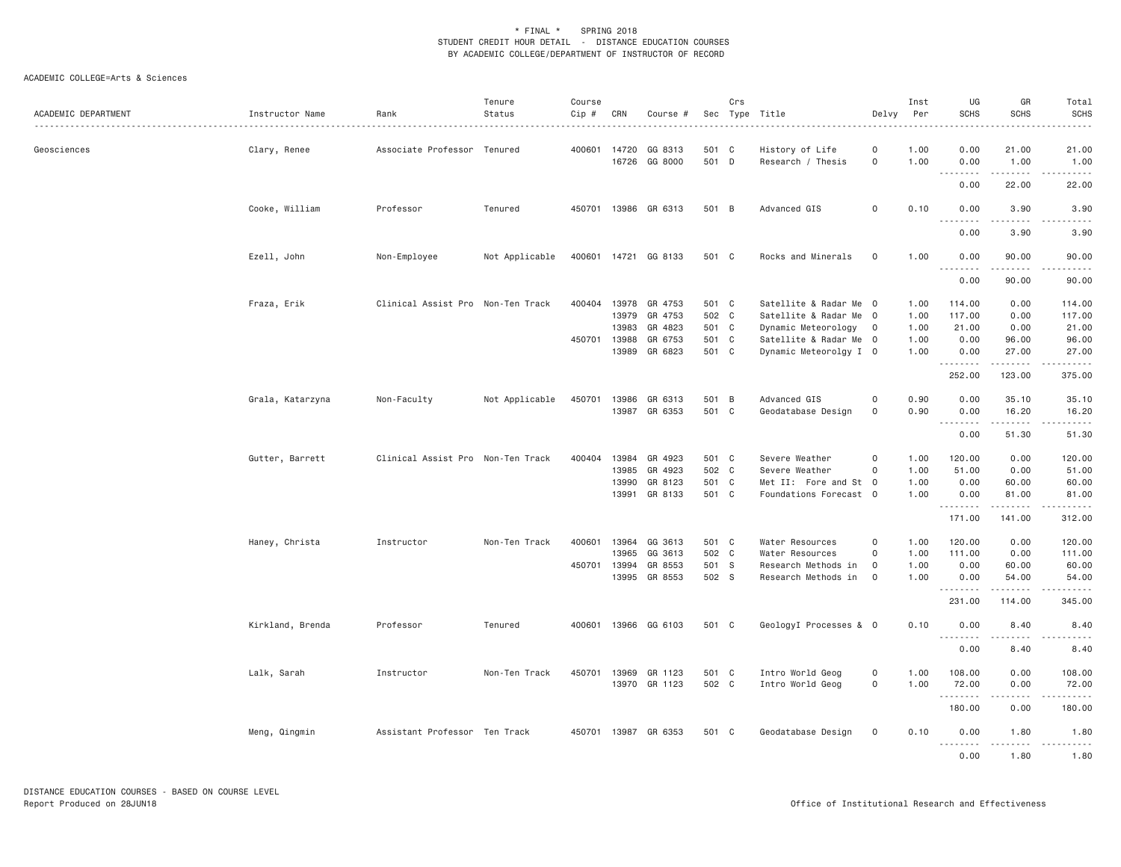| ACADEMIC DEPARTMENT | Instructor Name  | Rank<br><u>.</u>                  | Tenure<br>Status | Course<br>Cip # | CRN          | Course #             |       | Crs | Sec Type Title<br>.    | Delvy               | Inst<br>Per | UG<br><b>SCHS</b>          | GR<br><b>SCHS</b>                                                                                                                                                                        | Total<br><b>SCHS</b> |
|---------------------|------------------|-----------------------------------|------------------|-----------------|--------------|----------------------|-------|-----|------------------------|---------------------|-------------|----------------------------|------------------------------------------------------------------------------------------------------------------------------------------------------------------------------------------|----------------------|
| Geosciences         | Clary, Renee     | Associate Professor Tenured       |                  | 400601          | 14720        | GG 8313              | 501 C |     | History of Life        | 0                   | 1.00        | 0.00                       | 21.00                                                                                                                                                                                    | 21.00                |
|                     |                  |                                   |                  |                 | 16726        | GG 8000              | 501 D |     | Research / Thesis      | $\mathsf{O}\xspace$ | 1.00        | 0.00                       | 1.00<br>د د د د د                                                                                                                                                                        | 1.00<br>.            |
|                     |                  |                                   |                  |                 |              |                      |       |     |                        |                     |             | 0.00                       | 22.00                                                                                                                                                                                    | 22.00                |
|                     | Cooke, William   | Professor                         | Tenured          | 450701          |              | 13986 GR 6313        | 501 B |     | Advanced GIS           | $\mathsf{O}\xspace$ | 0.10        | 0.00<br>$\frac{1}{2}$<br>. | 3.90                                                                                                                                                                                     | 3.90                 |
|                     |                  |                                   |                  |                 |              |                      |       |     |                        |                     |             | 0.00                       | 3.90                                                                                                                                                                                     | 3.90                 |
|                     | Ezell, John      | Non-Employee                      | Not Applicable   |                 |              | 400601 14721 GG 8133 | 501 C |     | Rocks and Minerals     | $\mathbf 0$         | 1.00        | 0.00<br><u>.</u>           | 90.00<br>$- - - - -$                                                                                                                                                                     | 90.00                |
|                     |                  |                                   |                  |                 |              |                      |       |     |                        |                     |             | 0.00                       | 90.00                                                                                                                                                                                    | 90.00                |
|                     | Fraza, Erik      | Clinical Assist Pro Non-Ten Track |                  | 400404          | 13978        | GR 4753              | 501 C |     | Satellite & Radar Me 0 |                     | 1.00        | 114.00                     | 0.00                                                                                                                                                                                     | 114.00               |
|                     |                  |                                   |                  |                 | 13979        | GR 4753              | 502 C |     | Satellite & Radar Me 0 |                     | 1.00        | 117.00                     | 0.00                                                                                                                                                                                     | 117.00               |
|                     |                  |                                   |                  |                 | 13983        | GR 4823              | 501 C |     | Dynamic Meteorology    | $\overline{0}$      | 1.00        | 21.00                      | 0.00                                                                                                                                                                                     | 21.00                |
|                     |                  |                                   |                  |                 | 450701 13988 | GR 6753              | 501 C |     | Satellite & Radar Me 0 |                     | 1.00        | 0.00                       | 96.00                                                                                                                                                                                    | 96.00                |
|                     |                  |                                   |                  |                 | 13989        | GR 6823              | 501 C |     | Dynamic Meteorolgy I 0 |                     | 1.00        | 0.00<br>. <b>.</b>         | 27.00<br>$\frac{1}{2} \left( \frac{1}{2} \right) \left( \frac{1}{2} \right) \left( \frac{1}{2} \right) \left( \frac{1}{2} \right) \left( \frac{1}{2} \right) \left( \frac{1}{2} \right)$ | 27.00                |
|                     |                  |                                   |                  |                 |              |                      |       |     |                        |                     |             | 252.00                     | 123.00                                                                                                                                                                                   | 375.00               |
|                     | Grala, Katarzyna | Non-Faculty                       | Not Applicable   | 450701          | 13986        | GR 6313              | 501 B |     | Advanced GIS           | $\mathsf{O}\xspace$ | 0.90        | 0.00                       | 35.10                                                                                                                                                                                    | 35.10                |
|                     |                  |                                   |                  |                 |              | 13987 GR 6353        | 501 C |     | Geodatabase Design     | $\mathsf{O}\xspace$ | 0.90        | 0.00<br>.                  | 16.20<br>د د د د د                                                                                                                                                                       | 16.20<br>. <u>.</u>  |
|                     |                  |                                   |                  |                 |              |                      |       |     |                        |                     |             | 0.00                       | 51.30                                                                                                                                                                                    | 51.30                |
|                     | Gutter, Barrett  | Clinical Assist Pro Non-Ten Track |                  | 400404          | 13984        | GR 4923              | 501 C |     | Severe Weather         | $\mathsf{O}\xspace$ | 1.00        | 120.00                     | 0.00                                                                                                                                                                                     | 120.00               |
|                     |                  |                                   |                  |                 | 13985        | GR 4923              | 502 C |     | Severe Weather         | $\mathsf{O}\xspace$ | 1.00        | 51.00                      | 0.00                                                                                                                                                                                     | 51.00                |
|                     |                  |                                   |                  |                 | 13990        | GR 8123              | 501 C |     | Met II: Fore and St 0  |                     | 1.00        | 0.00                       | 60.00                                                                                                                                                                                    | 60.00                |
|                     |                  |                                   |                  |                 | 13991        | GR 8133              | 501 C |     | Foundations Forecast 0 |                     | 1.00        | 0.00                       | 81.00                                                                                                                                                                                    | 81.00                |
|                     |                  |                                   |                  |                 |              |                      |       |     |                        |                     |             | .<br>171.00                | $- - - - -$<br>141.00                                                                                                                                                                    | 312.00               |
|                     | Haney, Christa   | Instructor                        | Non-Ten Track    | 400601          | 13964        | GG 3613              | 501 C |     | Water Resources        | 0                   | 1.00        | 120.00                     | 0.00                                                                                                                                                                                     | 120.00               |
|                     |                  |                                   |                  |                 | 13965        | GG 3613              | 502 C |     | Water Resources        | $\mathbf 0$         | 1.00        | 111.00                     | 0.00                                                                                                                                                                                     | 111.00               |
|                     |                  |                                   |                  |                 | 450701 13994 | GR 8553              | 501 S |     | Research Methods in    | 0                   | 1.00        | 0.00                       | 60.00                                                                                                                                                                                    | 60.00                |
|                     |                  |                                   |                  |                 |              | 13995 GR 8553        | 502 S |     | Research Methods in    | $\mathsf{O}$        | 1.00        | 0.00<br>.                  | 54.00<br>.                                                                                                                                                                               | 54.00<br>------      |
|                     |                  |                                   |                  |                 |              |                      |       |     |                        |                     |             | 231.00                     | 114.00                                                                                                                                                                                   | 345.00               |
|                     | Kirkland, Brenda | Professor                         | Tenured          | 400601          |              | 13966 GG 6103        | 501 C |     | GeologyI Processes & 0 |                     | 0.10        | 0.00                       | 8.40                                                                                                                                                                                     | 8.40                 |
|                     |                  |                                   |                  |                 |              |                      |       |     |                        |                     |             | .<br>0.00                  | .<br>8.40                                                                                                                                                                                | 8.40                 |
|                     | Lalk, Sarah      | Instructor                        | Non-Ten Track    | 450701          | 13969        | GR 1123              | 501 C |     | Intro World Geog       | $\mathsf{O}\xspace$ | 1.00        | 108.00                     | 0.00                                                                                                                                                                                     | 108.00               |
|                     |                  |                                   |                  |                 |              | 13970 GR 1123        | 502 C |     | Intro World Geog       | $\mathsf{O}\xspace$ | 1.00        | 72.00                      | 0.00                                                                                                                                                                                     | 72.00                |
|                     |                  |                                   |                  |                 |              |                      |       |     |                        |                     |             | . <b>.</b><br>180.00       | 0.00                                                                                                                                                                                     | 180.00               |
|                     | Meng, Qingmin    | Assistant Professor Ten Track     |                  |                 |              | 450701 13987 GR 6353 | 501 C |     | Geodatabase Design     | 0                   | 0.10        | 0.00                       | 1.80                                                                                                                                                                                     | 1.80                 |
|                     |                  |                                   |                  |                 |              |                      |       |     |                        |                     |             | .<br>0.00                  | 1.80                                                                                                                                                                                     | 1.80                 |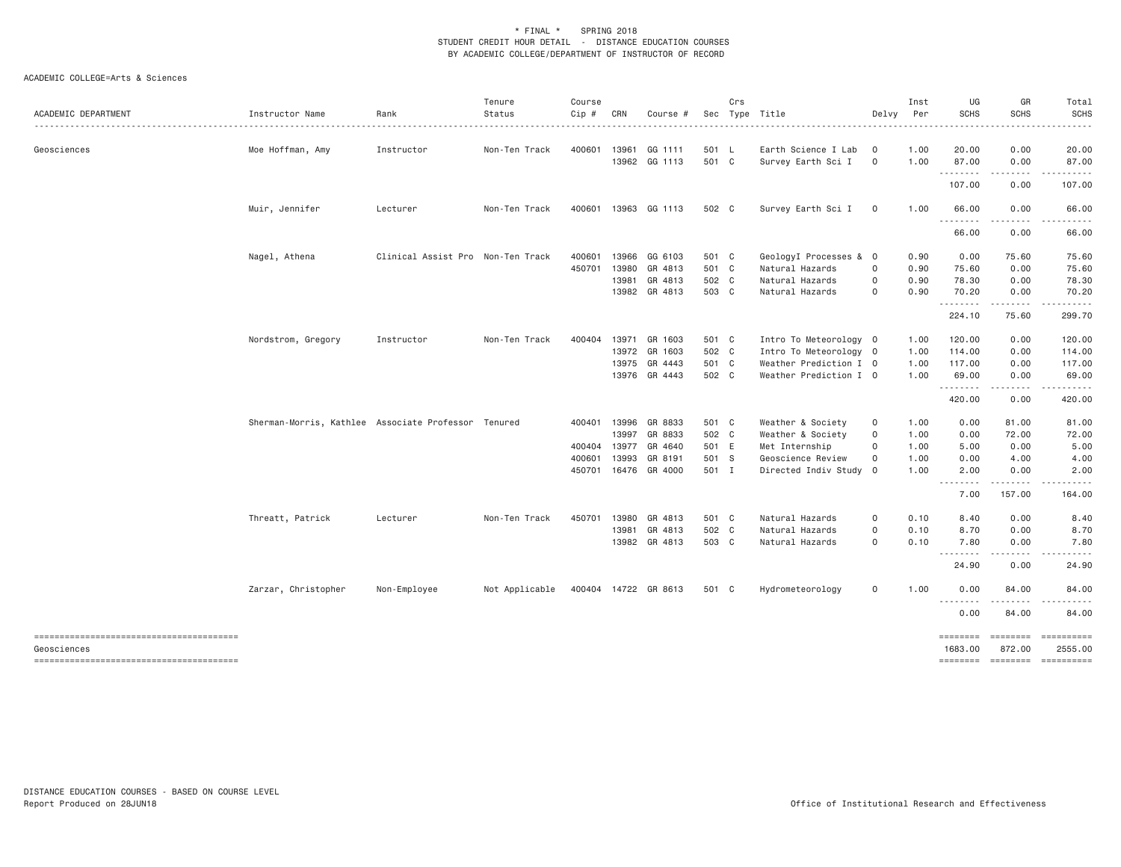| ACADEMIC DEPARTMENT                    | Instructor Name                                     | Rank                              | Tenure<br>Status | Course<br>Cip # | CRN   | Course #             | Sec   | Crs | Type Title             | Delvy    | Inst<br>Per | UG<br><b>SCHS</b> | GR<br><b>SCHS</b>   | Total<br><b>SCHS</b> |
|----------------------------------------|-----------------------------------------------------|-----------------------------------|------------------|-----------------|-------|----------------------|-------|-----|------------------------|----------|-------------|-------------------|---------------------|----------------------|
| Geosciences                            | Moe Hoffman, Amy                                    | Instructor                        | Non-Ten Track    | 400601 13961    |       | GG 1111              | 501 L |     | Earth Science I Lab    | $\circ$  | 1.00        | 20.00             | 0.00                | 20.00                |
|                                        |                                                     |                                   |                  |                 |       | 13962 GG 1113        | 501 C |     | Survey Earth Sci I     | $\circ$  | 1.00        | 87.00<br>.        | 0.00<br>-----       | 87.00                |
|                                        |                                                     |                                   |                  |                 |       |                      |       |     |                        |          |             | 107.00            | 0.00                | 107.00               |
|                                        | Muir, Jennifer                                      | Lecturer                          | Non-Ten Track    |                 |       | 400601 13963 GG 1113 | 502 C |     | Survey Earth Sci I     | $\circ$  | 1.00        | 66.00             | 0.00                | 66.00                |
|                                        |                                                     |                                   |                  |                 |       |                      |       |     |                        |          |             | .<br>66.00        | $- - - - -$<br>0.00 | .<br>66.00           |
|                                        | Nagel, Athena                                       | Clinical Assist Pro Non-Ten Track |                  | 400601          |       | 13966 GG 6103        | 501 C |     | GeologyI Processes & 0 |          | 0.90        | 0.00              | 75.60               | 75.60                |
|                                        |                                                     |                                   |                  | 450701          | 13980 | GR 4813              | 501 C |     | Natural Hazards        | 0        | 0.90        | 75.60             | 0.00                | 75.60                |
|                                        |                                                     |                                   |                  |                 | 13981 | GR 4813              | 502 C |     | Natural Hazards        | 0        | 0.90        | 78.30             | 0.00                | 78.30                |
|                                        |                                                     |                                   |                  |                 |       | 13982 GR 4813        | 503 C |     | Natural Hazards        | $\circ$  | 0.90        | 70.20             | 0.00                | 70.20<br>.           |
|                                        |                                                     |                                   |                  |                 |       |                      |       |     |                        |          |             | .<br>224.10       | <u>.</u><br>75.60   | 299.70               |
|                                        | Nordstrom, Gregory                                  | Instructor                        | Non-Ten Track    | 400404          | 13971 | GR 1603              | 501 C |     | Intro To Meteorology 0 |          | 1.00        | 120.00            | 0.00                | 120.00               |
|                                        |                                                     |                                   |                  |                 |       | 13972 GR 1603        | 502 C |     | Intro To Meteorology 0 |          | 1.00        | 114.00            | 0.00                | 114.00               |
|                                        |                                                     |                                   |                  |                 |       | 13975 GR 4443        | 501 C |     | Weather Prediction I 0 |          | 1.00        | 117.00            | 0.00                | 117.00               |
|                                        |                                                     |                                   |                  |                 |       | 13976 GR 4443        | 502 C |     | Weather Prediction I 0 |          | 1.00        | 69.00             | 0.00                | 69.00                |
|                                        |                                                     |                                   |                  |                 |       |                      |       |     |                        |          |             | .<br>420.00       | $- - - - -$<br>0.00 | .<br>420.00          |
|                                        | Sherman-Morris, Kathlee Associate Professor Tenured |                                   |                  | 400401 13996    |       | GR 8833              | 501 C |     | Weather & Society      | 0        | 1.00        | 0.00              | 81.00               | 81.00                |
|                                        |                                                     |                                   |                  |                 | 13997 | GR 8833              | 502 C |     | Weather & Society      | $\circ$  | 1.00        | 0.00              | 72.00               | 72.00                |
|                                        |                                                     |                                   |                  | 400404          | 13977 | GR 4640              | 501 E |     | Met Internship         | $\Omega$ | 1.00        | 5.00              | 0.00                | 5.00                 |
|                                        |                                                     |                                   |                  | 400601          | 13993 | GR 8191              | 501 S |     | Geoscience Review      | $\Omega$ | 1.00        | 0.00              | 4.00                | 4.00                 |
|                                        |                                                     |                                   |                  |                 |       | 450701 16476 GR 4000 | 501 I |     | Directed Indiv Study   | $\circ$  | 1.00        | 2.00              | 0.00                | 2.00                 |
|                                        |                                                     |                                   |                  |                 |       |                      |       |     |                        |          |             | .<br>7.00         | .<br>157.00         | .<br>164.00          |
|                                        | Threatt, Patrick                                    | Lecturer                          | Non-Ten Track    | 450701          | 13980 | GR 4813              | 501 C |     | Natural Hazards        | 0        | 0.10        | 8.40              | 0.00                | 8.40                 |
|                                        |                                                     |                                   |                  |                 | 13981 | GR 4813              | 502 C |     | Natural Hazards        | 0        | 0.10        | 8.70              | 0.00                | 8.70                 |
|                                        |                                                     |                                   |                  |                 |       | 13982 GR 4813        | 503 C |     | Natural Hazards        | 0        | 0.10        | 7.80<br>.         | 0.00                | 7.80                 |
|                                        |                                                     |                                   |                  |                 |       |                      |       |     |                        |          |             | 24.90             | 0.00                | 24.90                |
|                                        | Zarzar, Christopher                                 | Non-Employee                      | Not Applicable   |                 |       | 400404 14722 GR 8613 | 501 C |     | Hydrometeorology       | 0        | 1.00        | 0.00              | 84.00               | 84.00                |
|                                        |                                                     |                                   |                  |                 |       |                      |       |     |                        |          |             | --------<br>0.00  | .<br>84.00          | 84.00                |
|                                        |                                                     |                                   |                  |                 |       |                      |       |     |                        |          |             | ========          | ========            |                      |
| Geosciences                            |                                                     |                                   |                  |                 |       |                      |       |     |                        |          |             | 1683.00           | 872.00              | 2555.00              |
| -------------------------------------- |                                                     |                                   |                  |                 |       |                      |       |     |                        |          |             | ========          | <b>EDEDEED</b>      |                      |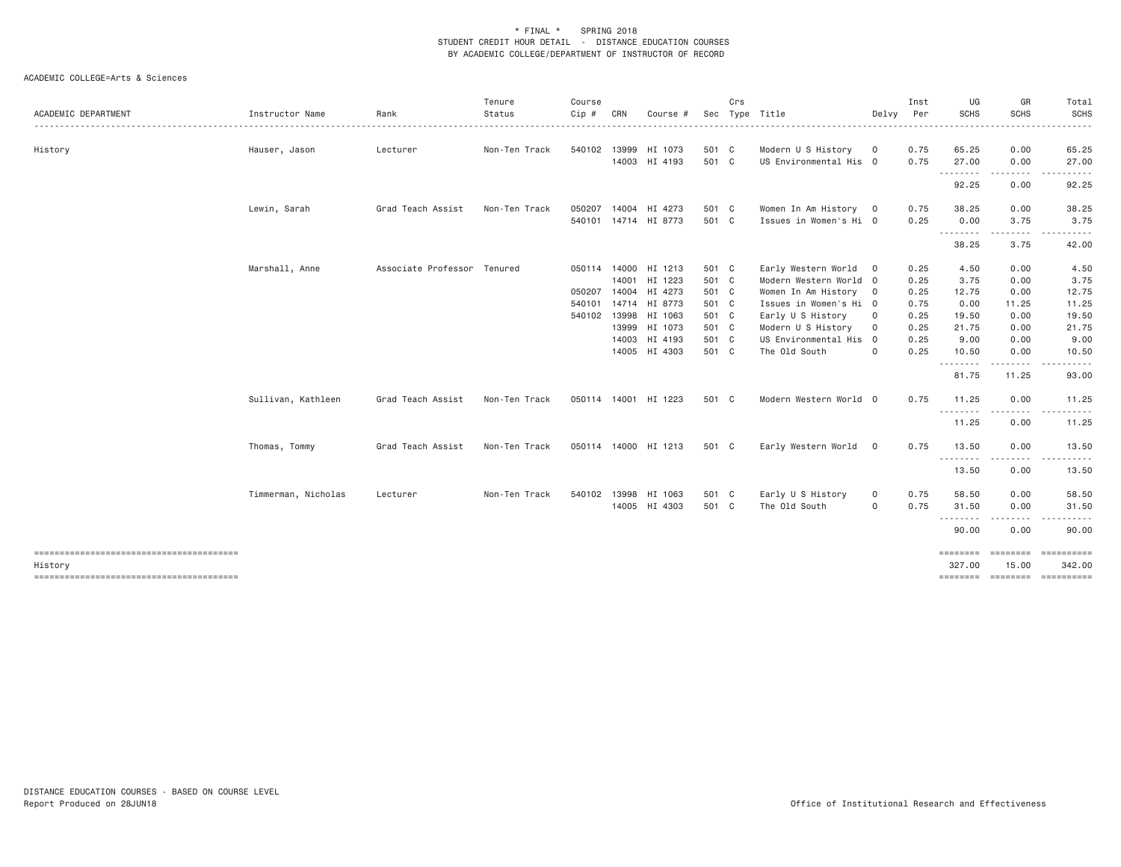| ACADEMIC DEPARTMENT                               | Instructor Name     | Rank                        | Tenure<br>Status | Course<br>Cip # | CRN | Course #             | Sec   | Crs | Type Title             | Delvy                   | Inst<br>Per | UG<br><b>SCHS</b> | GR<br>SCHS                                                                                                                                           | Total<br><b>SCHS</b><br>.             |
|---------------------------------------------------|---------------------|-----------------------------|------------------|-----------------|-----|----------------------|-------|-----|------------------------|-------------------------|-------------|-------------------|------------------------------------------------------------------------------------------------------------------------------------------------------|---------------------------------------|
| History                                           | Hauser, Jason       | Lecturer                    | Non-Ten Track    |                 |     | 540102 13999 HI 1073 | 501 C |     | Modern U S History     | $\circ$                 | 0.75        | 65.25             | 0.00                                                                                                                                                 | 65.25                                 |
|                                                   |                     |                             |                  |                 |     | 14003 HI 4193        | 501 C |     | US Environmental His 0 |                         | 0.75        | 27.00<br>.        | 0.00                                                                                                                                                 | 27.00                                 |
|                                                   |                     |                             |                  |                 |     |                      |       |     |                        |                         |             | 92.25             | .<br>0.00                                                                                                                                            | .<br>92.25                            |
|                                                   | Lewin, Sarah        | Grad Teach Assist           | Non-Ten Track    | 050207          |     | 14004 HI 4273        | 501 C |     | Women In Am History 0  |                         | 0.75        | 38.25             | 0.00                                                                                                                                                 | 38.25                                 |
|                                                   |                     |                             |                  |                 |     | 540101 14714 HI 8773 | 501 C |     | Issues in Women's Hi 0 |                         | 0.25        | 0.00              | 3.75                                                                                                                                                 | 3.75                                  |
|                                                   |                     |                             |                  |                 |     |                      |       |     |                        |                         |             | .<br>38.25        | .<br>3.75                                                                                                                                            | ------<br>42.00                       |
|                                                   | Marshall, Anne      | Associate Professor Tenured |                  | 050114          |     | 14000 HI 1213        | 501 C |     | Early Western World 0  |                         | 0.25        | 4.50              | 0.00                                                                                                                                                 | 4.50                                  |
|                                                   |                     |                             |                  |                 |     | 14001 HI 1223        | 501 C |     | Modern Western World 0 |                         | 0.25        | 3.75              | 0.00                                                                                                                                                 | 3.75                                  |
|                                                   |                     |                             |                  | 050207          |     | 14004 HI 4273        | 501 C |     | Women In Am History    | $\overline{\mathbf{0}}$ | 0.25        | 12.75             | 0.00                                                                                                                                                 | 12.75                                 |
|                                                   |                     |                             |                  | 540101          |     | 14714 HI 8773        | 501 C |     | Issues in Women's Hi 0 |                         | 0.75        | 0.00              | 11.25                                                                                                                                                | 11.25                                 |
|                                                   |                     |                             |                  |                 |     | 540102 13998 HI 1063 | 501 C |     | Early U S History      | $\circ$                 | 0.25        | 19.50             | 0.00                                                                                                                                                 | 19.50                                 |
|                                                   |                     |                             |                  |                 |     | 13999 HI 1073        | 501 C |     | Modern U S History     | $\circ$                 | 0.25        | 21.75             | 0.00                                                                                                                                                 | 21.75                                 |
|                                                   |                     |                             |                  |                 |     | 14003 HI 4193        | 501 C |     | US Environmental His   | $\overline{0}$          | 0.25        | 9.00              | 0.00                                                                                                                                                 | 9.00                                  |
|                                                   |                     |                             |                  |                 |     | 14005 HI 4303        | 501 C |     | The Old South          | $\circ$                 | 0.25        | 10.50             | 0.00                                                                                                                                                 | 10.50                                 |
|                                                   |                     |                             |                  |                 |     |                      |       |     |                        |                         |             | .<br>81.75        | <u>.</u><br>11.25                                                                                                                                    | 93.00                                 |
|                                                   | Sullivan, Kathleen  | Grad Teach Assist           | Non-Ten Track    |                 |     | 050114 14001 HI 1223 | 501 C |     | Modern Western World 0 |                         | 0.75        | 11.25             | 0.00                                                                                                                                                 | 11.25                                 |
|                                                   |                     |                             |                  |                 |     |                      |       |     |                        |                         |             | --------<br>11.25 | -----<br>$  -$<br>0.00                                                                                                                               | 11.25                                 |
|                                                   | Thomas, Tommy       | Grad Teach Assist           | Non-Ten Track    |                 |     | 050114 14000 HI 1213 | 501 C |     | Early Western World    | $\overline{0}$          | 0.75        | 13.50             | 0.00                                                                                                                                                 | 13.50                                 |
|                                                   |                     |                             |                  |                 |     |                      |       |     |                        |                         |             | .<br>13.50        | 0.00                                                                                                                                                 | 13.50                                 |
|                                                   | Timmerman, Nicholas | Lecturer                    | Non-Ten Track    |                 |     | 540102 13998 HI 1063 | 501 C |     | Early U S History      | $\circ$                 | 0.75        | 58.50             | 0.00                                                                                                                                                 | 58.50                                 |
|                                                   |                     |                             |                  |                 |     | 14005 HI 4303        | 501 C |     | The Old South          | $\circ$                 | 0.75        | 31.50             | 0.00                                                                                                                                                 | 31.50                                 |
|                                                   |                     |                             |                  |                 |     |                      |       |     |                        |                         |             | .                 | $\frac{1}{2} \left( \frac{1}{2} \right) \left( \frac{1}{2} \right) \left( \frac{1}{2} \right) \left( \frac{1}{2} \right) \left( \frac{1}{2} \right)$ | <u>.</u>                              |
|                                                   |                     |                             |                  |                 |     |                      |       |     |                        |                         |             | 90.00             | 0.00                                                                                                                                                 | 90.00                                 |
| --------------------------------------            |                     |                             |                  |                 |     |                      |       |     |                        |                         |             | ========          | ========                                                                                                                                             | $=$ = = = = = = = = = =               |
| History<br>-------------------------------------- |                     |                             |                  |                 |     |                      |       |     |                        |                         |             | 327.00            | 15.00                                                                                                                                                | 342.00<br>======== ======== ========= |
|                                                   |                     |                             |                  |                 |     |                      |       |     |                        |                         |             |                   |                                                                                                                                                      |                                       |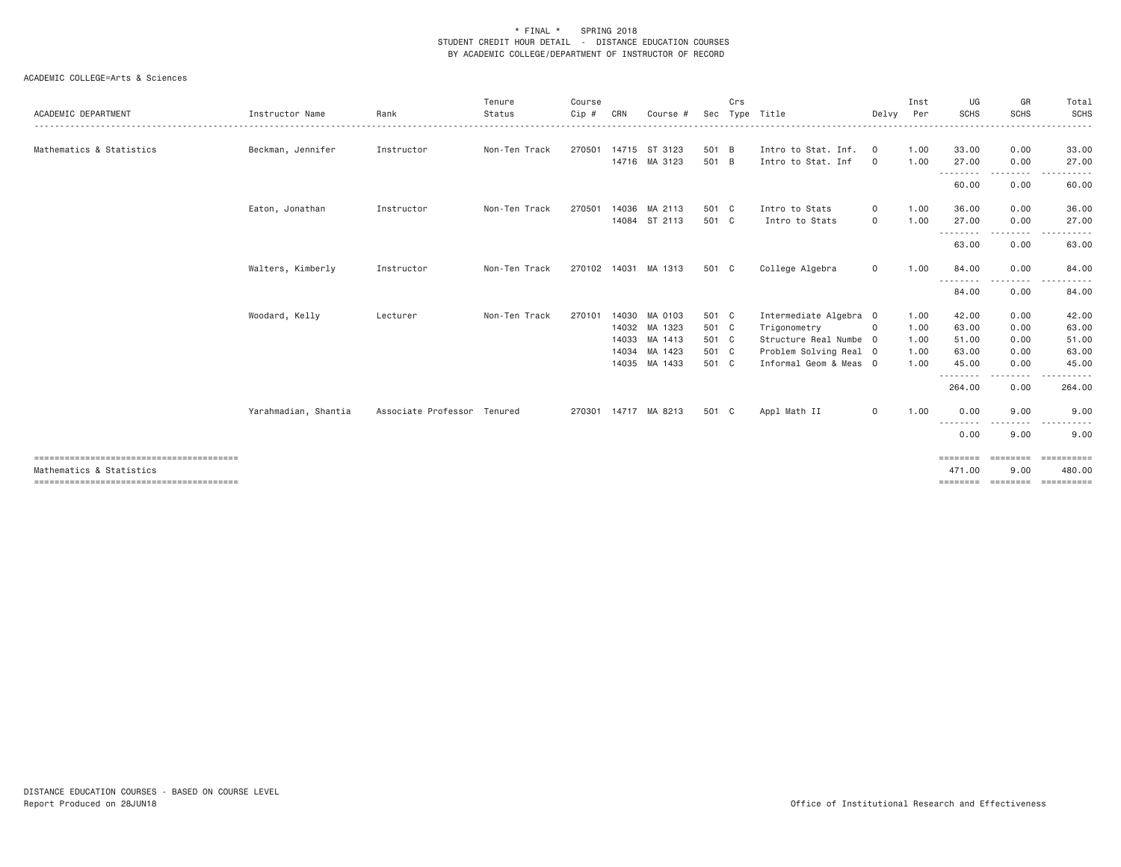|                          |                      |                             | Tenure        | Course |              |                      |       | Crs |                        |                | Inst | UG                                                                                                                                 | GR               | Total                              |
|--------------------------|----------------------|-----------------------------|---------------|--------|--------------|----------------------|-------|-----|------------------------|----------------|------|------------------------------------------------------------------------------------------------------------------------------------|------------------|------------------------------------|
| ACADEMIC DEPARTMENT      | Instructor Name      | Rank                        | Status        | Cip #  | CRN          | Course #             | Sec   |     | Type Title             | Delvv          | Per  | <b>SCHS</b>                                                                                                                        | <b>SCHS</b>      | <b>SCHS</b>                        |
| Mathematics & Statistics | Beckman, Jennifer    | Instructor                  | Non-Ten Track | 270501 |              | 14715 ST 3123        | 501 B |     | Intro to Stat. Inf.    | $\overline{0}$ | 1.00 | 33.00                                                                                                                              | 0.00             | 33.00                              |
|                          |                      |                             |               |        |              | 14716 MA 3123        | 501 B |     | Intro to Stat. Inf     | $\circ$        | 1.00 | 27.00<br>--------                                                                                                                  | 0.00<br>-------- | 27.00                              |
|                          |                      |                             |               |        |              |                      |       |     |                        |                |      | 60.00                                                                                                                              | 0.00             | 60.00                              |
|                          | Eaton, Jonathan      | Instructor                  | Non-Ten Track | 270501 |              | 14036 MA 2113        | 501 C |     | Intro to Stats         | $\circ$        | 1.00 | 36.00                                                                                                                              | 0.00             | 36.00                              |
|                          |                      |                             |               |        |              | 14084 ST 2113        | 501 C |     | Intro to Stats         | $\circ$        | 1.00 | 27.00<br>---------                                                                                                                 | 0.00<br>.        | 27.00<br>$\sim$ $\sim$ $\sim$<br>. |
|                          |                      |                             |               |        |              |                      |       |     |                        |                |      | 63.00                                                                                                                              | 0.00             | 63.00                              |
|                          | Walters, Kimberly    | Instructor                  | Non-Ten Track |        | 270102 14031 | MA 1313              | 501 C |     | College Algebra        | $\circ$        | 1.00 | 84.00<br>$\frac{1}{2}$                                                                                                             | 0.00             | 84.00                              |
|                          |                      |                             |               |        |              |                      |       |     |                        |                |      | $\frac{1}{2} \left( \frac{1}{2} \right) \left( \frac{1}{2} \right) \left( \frac{1}{2} \right) \left( \frac{1}{2} \right)$<br>84.00 | 0.00             | 84.00                              |
|                          | Woodard, Kelly       | Lecturer                    | Non-Ten Track | 270101 |              | 14030 MA 0103        | 501 C |     | Intermediate Algebra 0 |                | 1.00 | 42.00                                                                                                                              | 0.00             | 42.00                              |
|                          |                      |                             |               |        |              | 14032 MA 1323        | 501 C |     | Trigonometry           | $\circ$        | 1.00 | 63.00                                                                                                                              | 0.00             | 63.00                              |
|                          |                      |                             |               |        |              | 14033 MA 1413        | 501 C |     | Structure Real Numbe 0 |                | 1.00 | 51.00                                                                                                                              | 0.00             | 51.00                              |
|                          |                      |                             |               |        |              | 14034 MA 1423        | 501 C |     | Problem Solving Real 0 |                | 1.00 | 63.00                                                                                                                              | 0.00             | 63.00                              |
|                          |                      |                             |               |        |              | 14035 MA 1433        | 501 C |     | Informal Geom & Meas 0 |                | 1.00 | 45.00<br><u>.</u>                                                                                                                  | 0.00             | 45.00                              |
|                          |                      |                             |               |        |              |                      |       |     |                        |                |      | 264.00                                                                                                                             | 0.00             | 264.00                             |
|                          | Yarahmadian, Shantia | Associate Professor Tenured |               |        |              | 270301 14717 MA 8213 | 501 C |     | Appl Math II           | $\mathbf{0}$   | 1.00 | 0.00                                                                                                                               | 9.00             | 9.00                               |
|                          |                      |                             |               |        |              |                      |       |     |                        |                |      | ---------<br>0.00                                                                                                                  | .<br>9.00        | $\sim$ $ -$<br>.<br>9.00           |
|                          |                      |                             |               |        |              |                      |       |     |                        |                |      | ========                                                                                                                           | ========         | ==========                         |
| Mathematics & Statistics |                      |                             |               |        |              |                      |       |     |                        |                |      | 471.00                                                                                                                             | 9,00             | 480.00                             |
|                          |                      |                             |               |        |              |                      |       |     |                        |                |      |                                                                                                                                    |                  | ==========                         |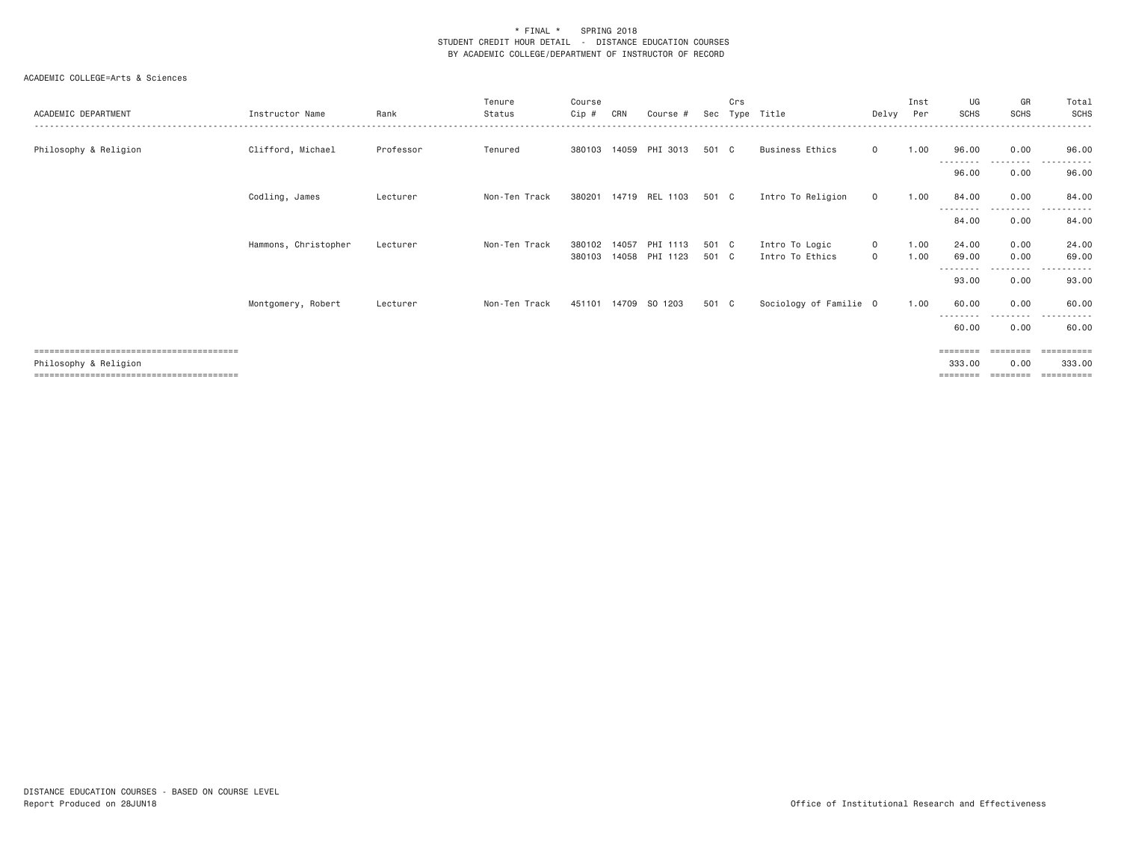| ACADEMIC DEPARTMENT   | Instructor Name      | Rank      | Tenure<br>Status | Course<br>Cip #  | CRN   | Course #                   | Sec            | Crs | Type Title                        | Delvy              | Inst<br>Per  | UG<br><b>SCHS</b>              | GR<br><b>SCHS</b>  | Total<br><b>SCHS</b>                          |
|-----------------------|----------------------|-----------|------------------|------------------|-------|----------------------------|----------------|-----|-----------------------------------|--------------------|--------------|--------------------------------|--------------------|-----------------------------------------------|
| Philosophy & Religion | Clifford, Michael    | Professor | Tenured          |                  |       | 380103 14059 PHI 3013      | 501 C          |     | Business Ethics                   | $\circ$            | 1.00         | 96.00                          | 0.00               | 96.00                                         |
|                       |                      |           |                  |                  |       |                            |                |     |                                   |                    |              | - - - - - - - - -<br>96.00     | . <u>.</u><br>0.00 | 96.00                                         |
|                       | Codling, James       | Lecturer  | Non-Ten Track    | 380201           |       | 14719 REL 1103             | 501 C          |     | Intro To Religion                 | $\circ$            | 1.00         | 84.00                          | 0.00               | 84.00                                         |
|                       |                      |           |                  |                  |       |                            |                |     |                                   |                    |              | ---------<br>84.00             | ---------<br>0.00  | ----------<br>84.00                           |
|                       | Hammons, Christopher | Lecturer  | Non-Ten Track    | 380102<br>380103 | 14057 | PHI 1113<br>14058 PHI 1123 | 501 C<br>501 C |     | Intro To Logic<br>Intro To Ethics | $\circ$<br>$\circ$ | 1.00<br>1.00 | 24.00<br>69.00<br>--------     | 0.00<br>0.00       | 24.00<br>69.00<br>$\cdots$                    |
|                       |                      |           |                  |                  |       |                            |                |     |                                   |                    |              | 93.00                          | 0.00               | 93.00                                         |
|                       | Montgomery, Robert   | Lecturer  | Non-Ten Track    |                  |       | 451101 14709 SO 1203       | 501 C          |     | Sociology of Familie 0            |                    | 1.00         | 60.00<br>- - - - - - - - -     | 0.00               | 60.00                                         |
|                       |                      |           |                  |                  |       |                            |                |     |                                   |                    |              | 60.00                          | 0.00               | 60.00                                         |
| Philosophy & Religion |                      |           |                  |                  |       |                            |                |     |                                   |                    |              | ========<br>333.00<br>======== | 0.00               | $=$ = = = = = = = = =<br>333.00<br>========== |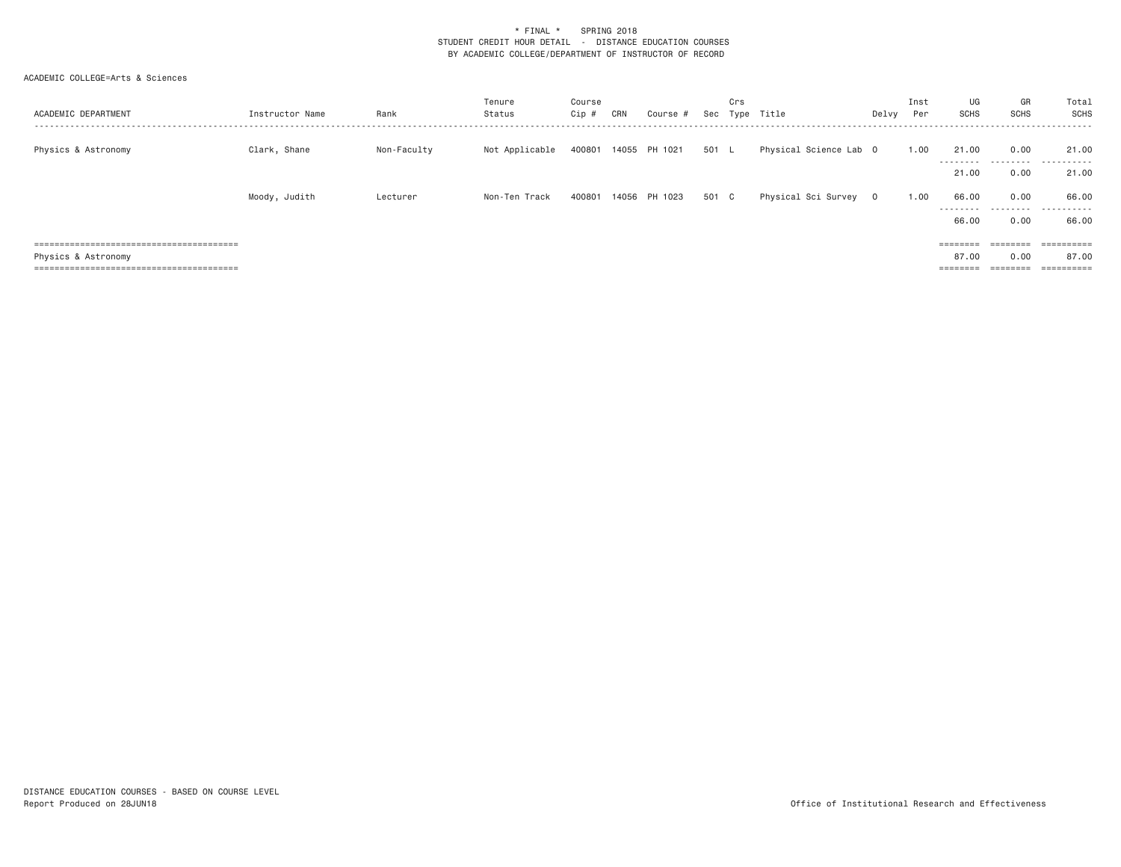| ACADEMIC DEPARTMENT | Instructor Name | Rank        | Tenure<br>Status | Course<br>Cip # | CRN | Course #             | Sec   | Crs<br>Type | Title                  | Delvy | Inst<br>Per | UG<br>SCHS           | GR<br>SCHS        | Total<br>SCHS             |
|---------------------|-----------------|-------------|------------------|-----------------|-----|----------------------|-------|-------------|------------------------|-------|-------------|----------------------|-------------------|---------------------------|
| Physics & Astronomy | Clark, Shane    | Non-Faculty | Not Applicable   |                 |     | 400801 14055 PH 1021 | 501 L |             | Physical Science Lab 0 |       | 1.00        | 21.00<br>---------   | 0.00<br>.         | 21.00<br>.                |
|                     |                 |             |                  |                 |     |                      |       |             |                        |       |             | 21,00                | 0.00              | 21.00                     |
|                     | Moody, Judith   | Lecturer    | Non-Ten Track    |                 |     | 400801 14056 PH 1023 | 501 C |             | Physical Sci Survey 0  |       | 1.00        | 66.00<br>---------   | 0.00              | 66.00<br>                 |
|                     |                 |             |                  |                 |     |                      |       |             |                        |       |             | 66.00                | 0.00              | 66.00                     |
|                     |                 |             |                  |                 |     |                      |       |             |                        |       |             | $=$ = = = = = = =    | $=$ = = = = = = = | ==========                |
| Physics & Astronomy |                 |             |                  |                 |     |                      |       |             |                        |       |             | 87.00                | 0.00              | 87.00                     |
|                     |                 |             |                  |                 |     |                      |       |             |                        |       |             | --------<br>======== |                   | -----------<br>---------- |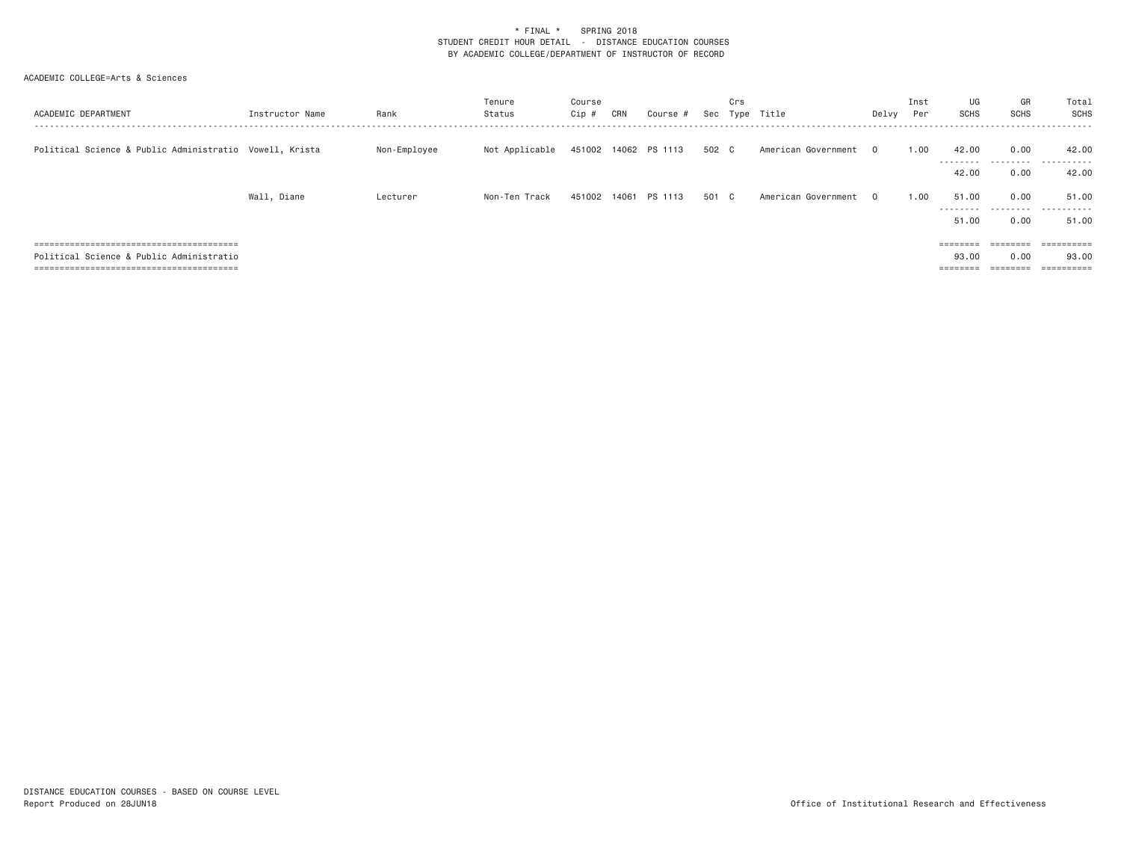| ACADEMIC DEPARTMENT                                     | Instructor Name | Rank         | Tenure<br>Status | Course<br>Cip # | CRN | Course               | Sec   | Crs<br>Type | Title                 | Delvy | Inst<br>Per | UG<br><b>SCHS</b>    | GR<br><b>SCHS</b> | Total<br>SCHS            |
|---------------------------------------------------------|-----------------|--------------|------------------|-----------------|-----|----------------------|-------|-------------|-----------------------|-------|-------------|----------------------|-------------------|--------------------------|
| Political Science & Public Administratio Vowell, Krista |                 | Non-Employee | Not Applicable   |                 |     | 451002 14062 PS 1113 | 502 C |             | American Government 0 |       | 1,00        | 42.00<br>---------   | 0.00<br>.         | 42.00<br>.               |
|                                                         |                 |              |                  |                 |     |                      |       |             |                       |       |             | 42.00                | 0.00              | 42.00                    |
|                                                         | Wall, Diane     | Lecturer     | Non-Ten Track    | 451002 14061    |     | PS 1113              | 501 C |             | American Government 0 |       | 1.00        | 51,00<br>--------    | 0.00              | 51.00<br>                |
|                                                         |                 |              |                  |                 |     |                      |       |             |                       |       |             | 51.00                | 0.00              | 51.00                    |
|                                                         |                 |              |                  |                 |     |                      |       |             |                       |       |             |                      |                   |                          |
| Political Science & Public Administratio                |                 |              |                  |                 |     |                      |       |             |                       |       |             | 93,00                | 0.00              | 93.00                    |
|                                                         |                 |              |                  |                 |     |                      |       |             |                       |       |             | ________<br>======== | ========          | -----------<br>--------- |
|                                                         |                 |              |                  |                 |     |                      |       |             |                       |       |             | $=$ = = = = = = =    | ========          | ==========               |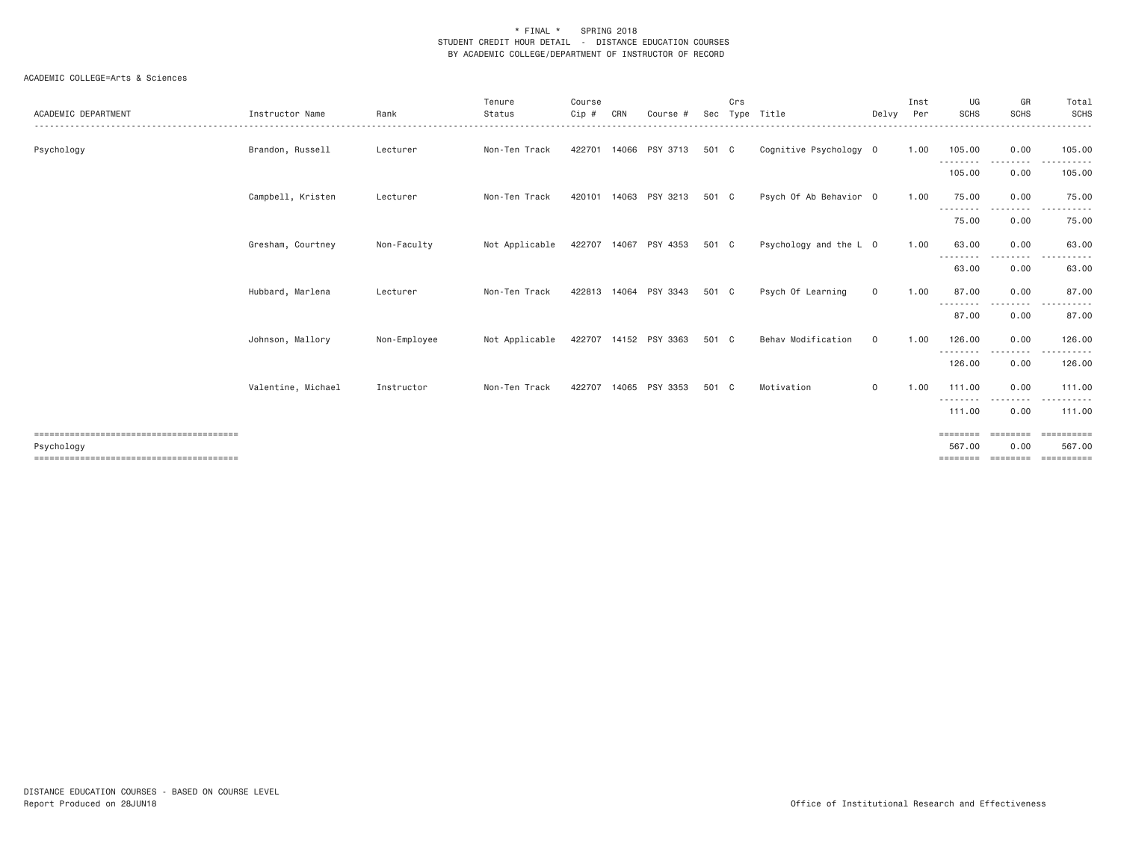| ACADEMIC DEPARTMENT | Instructor Name    | Rank         | Tenure<br>Status | Course<br>Cip # | CRN | Course                | Sec   | Crs | Type Title             | Delvy        | Inst<br>Per | UG<br><b>SCHS</b>           | GR<br><b>SCHS</b>    | Total<br>SCHS                            |
|---------------------|--------------------|--------------|------------------|-----------------|-----|-----------------------|-------|-----|------------------------|--------------|-------------|-----------------------------|----------------------|------------------------------------------|
| Psychology          | Brandon, Russell   | Lecturer     | Non-Ten Track    | 422701          |     | 14066 PSY 3713        | 501 C |     | Cognitive Psychology 0 |              | 1.00        | 105.00<br>---------         | 0.00                 | 105.00                                   |
|                     |                    |              |                  |                 |     |                       |       |     |                        |              |             | 105.00                      | 0.00                 | 105.00                                   |
|                     | Campbell, Kristen  | Lecturer     | Non-Ten Track    |                 |     | 420101 14063 PSY 3213 | 501 C |     | Psych Of Ab Behavior 0 |              | 1.00        | 75.00<br>---------          | 0.00<br>-----        | 75.00                                    |
|                     |                    |              |                  |                 |     |                       |       |     |                        |              |             | 75.00                       | 0.00                 | 75.00                                    |
|                     | Gresham, Courtney  | Non-Faculty  | Not Applicable   |                 |     | 422707 14067 PSY 4353 | 501 C |     | Psychology and the L 0 |              | 1.00        | 63.00<br>--------           | 0.00<br>. <u>. .</u> | 63.00                                    |
|                     |                    |              |                  |                 |     |                       |       |     |                        |              |             | 63.00                       | 0.00                 | 63.00                                    |
|                     | Hubbard, Marlena   | Lecturer     | Non-Ten Track    |                 |     | 422813 14064 PSY 3343 | 501 C |     | Psych Of Learning      | $\mathsf{o}$ | 1.00        | 87.00<br>---------          | 0.00<br>-----        | 87.00<br>.                               |
|                     |                    |              |                  |                 |     |                       |       |     |                        |              |             | 87.00                       | 0.00                 | 87.00                                    |
|                     | Johnson, Mallory   | Non-Employee | Not Applicable   |                 |     | 422707 14152 PSY 3363 | 501 C |     | Behav Modification     | $\mathbf 0$  | 1.00        | 126.00<br>---------         | 0.00<br>-----        | 126.00<br>.                              |
|                     |                    |              |                  |                 |     |                       |       |     |                        |              |             | 126.00                      | 0.00                 | 126.00                                   |
|                     | Valentine, Michael | Instructor   | Non-Ten Track    | 422707          |     | 14065 PSY 3353        | 501 C |     | Motivation             | $\mathbf{O}$ | 1.00        | 111.00                      | 0.00                 | 111.00                                   |
|                     |                    |              |                  |                 |     |                       |       |     |                        |              |             | - - - - - - - - -<br>111.00 | 0.00                 | 111.00                                   |
|                     |                    |              |                  |                 |     |                       |       |     |                        |              |             | $=$ = = = = = = =           | --------             | EEEEEEEEE                                |
| Psychology          |                    |              |                  |                 |     |                       |       |     |                        |              |             | 567.00                      | 0.00                 | 567.00<br>========= ========= ========== |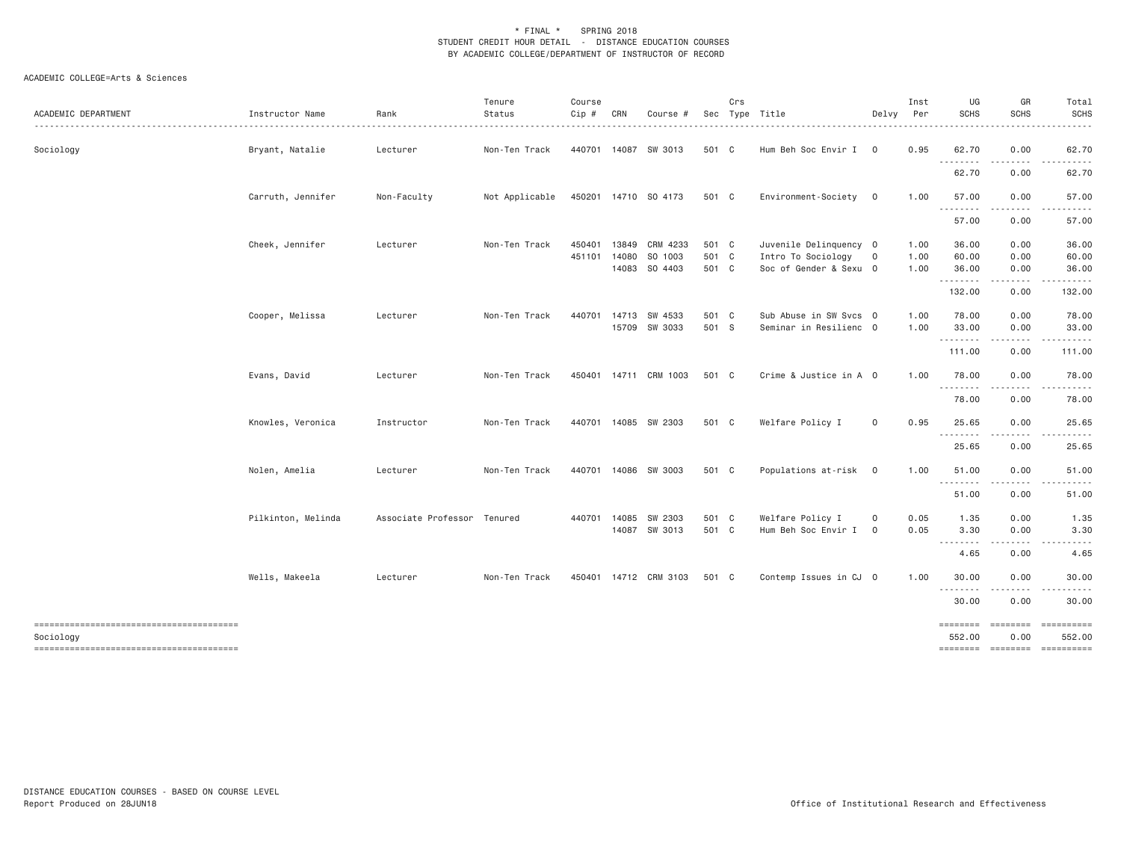| ACADEMIC DEPARTMENT | Instructor Name    | Rank                        | Tenure<br>Status | Course<br>Cip # | CRN          | Course #              |       | Crs | Sec Type Title         | Delvy       | Inst<br>Per | UG<br><b>SCHS</b>                                                                                                                  | GR<br><b>SCHS</b> | Total<br><b>SCHS</b> |
|---------------------|--------------------|-----------------------------|------------------|-----------------|--------------|-----------------------|-------|-----|------------------------|-------------|-------------|------------------------------------------------------------------------------------------------------------------------------------|-------------------|----------------------|
| Sociology           | Bryant, Natalie    | Lecturer                    | Non-Ten Track    |                 |              | 440701 14087 SW 3013  | 501 C |     | Hum Beh Soc Envir I 0  |             | 0.95        | 62.70<br>$- - - -$                                                                                                                 | 0.00<br>.         | 62.70                |
|                     |                    |                             |                  |                 |              |                       |       |     |                        |             |             | 62.70                                                                                                                              | 0.00              | 62.70                |
|                     | Carruth, Jennifer  | Non-Faculty                 | Not Applicable   |                 |              | 450201 14710 SO 4173  | 501 C |     | Environment-Society 0  |             | 1.00        | 57.00                                                                                                                              | 0.00              | 57.00                |
|                     |                    |                             |                  |                 |              |                       |       |     |                        |             |             | 57.00                                                                                                                              | 0.00              | 57.00                |
|                     | Cheek, Jennifer    | Lecturer                    | Non-Ten Track    | 450401          | 13849        | CRM 4233              | 501 C |     | Juvenile Delinquency 0 |             | 1.00        | 36.00                                                                                                                              | 0.00              | 36.00                |
|                     |                    |                             |                  | 451101          | 14080        | SO 1003               | 501 C |     | Intro To Sociology     | $\circ$     | 1.00        | 60.00                                                                                                                              | 0.00              | 60.00                |
|                     |                    |                             |                  |                 |              | 14083 SO 4403         | 501 C |     | Soc of Gender & Sexu 0 |             | 1.00        | 36.00<br>.                                                                                                                         | 0.00<br>-----     | 36.00                |
|                     |                    |                             |                  |                 |              |                       |       |     |                        |             |             | 132.00                                                                                                                             | 0.00              | 132.00               |
|                     | Cooper, Melissa    | Lecturer                    | Non-Ten Track    | 440701          |              | 14713 SW 4533         | 501 C |     | Sub Abuse in SW Svcs 0 |             | 1.00        | 78.00                                                                                                                              | 0.00              | 78.00                |
|                     |                    |                             |                  |                 |              | 15709 SW 3033         | 501 S |     | Seminar in Resilienc 0 |             | 1.00        | 33.00<br>.                                                                                                                         | 0.00<br>.         | 33.00                |
|                     |                    |                             |                  |                 |              |                       |       |     |                        |             |             | 111.00                                                                                                                             | 0.00              | 111.00               |
|                     | Evans, David       | Lecturer                    | Non-Ten Track    |                 |              | 450401 14711 CRM 1003 | 501 C |     | Crime & Justice in A 0 |             | 1.00        | 78.00<br>.                                                                                                                         | 0.00<br>.         | 78.00                |
|                     |                    |                             |                  |                 |              |                       |       |     |                        |             |             | 78.00                                                                                                                              | 0.00              | 78.00                |
|                     | Knowles, Veronica  | Instructor                  | Non-Ten Track    |                 |              | 440701 14085 SW 2303  | 501 C |     | Welfare Policy I       | 0           | 0.95        | 25.65                                                                                                                              | 0.00              | 25.65                |
|                     |                    |                             |                  |                 |              |                       |       |     |                        |             |             | $\frac{1}{2} \left( \frac{1}{2} \right) \left( \frac{1}{2} \right) \left( \frac{1}{2} \right) \left( \frac{1}{2} \right)$<br>25.65 | 0.00              | 25.65                |
|                     | Nolen, Amelia      | Lecturer                    | Non-Ten Track    |                 |              | 440701 14086 SW 3003  | 501 C |     | Populations at-risk 0  |             | 1.00        | 51.00                                                                                                                              | 0.00              | 51.00                |
|                     |                    |                             |                  |                 |              |                       |       |     |                        |             |             | .<br>51.00                                                                                                                         | - - - - -<br>0.00 | 51.00                |
|                     |                    |                             |                  |                 |              |                       |       |     |                        |             |             |                                                                                                                                    |                   |                      |
|                     | Pilkinton, Melinda | Associate Professor Tenured |                  |                 | 440701 14085 | SW 2303               | 501 C |     | Welfare Policy I       | 0           | 0.05        | 1.35                                                                                                                               | 0.00              | 1.35                 |
|                     |                    |                             |                  |                 |              | 14087 SW 3013         | 501 C |     | Hum Beh Soc Envir I    | $\mathbf 0$ | 0.05        | 3.30<br>$\sim$ $\sim$ $\sim$                                                                                                       | 0.00              | 3.30                 |
|                     |                    |                             |                  |                 |              |                       |       |     |                        |             |             | 4.65                                                                                                                               | 0.00              | 4.65                 |
|                     | Wells, Makeela     | Lecturer                    | Non-Ten Track    |                 |              | 450401 14712 CRM 3103 | 501 C |     | Contemp Issues in CJ 0 |             | 1.00        | 30.00<br>.                                                                                                                         | 0.00<br>.         | 30.00                |
|                     |                    |                             |                  |                 |              |                       |       |     |                        |             |             | 30.00                                                                                                                              | 0.00              | 30.00                |
|                     |                    |                             |                  |                 |              |                       |       |     |                        |             |             | ========                                                                                                                           | ========          | ==========           |
| Sociology           |                    |                             |                  |                 |              |                       |       |     |                        |             |             | 552.00                                                                                                                             | 0.00              | 552.00               |
|                     |                    |                             |                  |                 |              |                       |       |     |                        |             |             | ========                                                                                                                           |                   | --------- ---------- |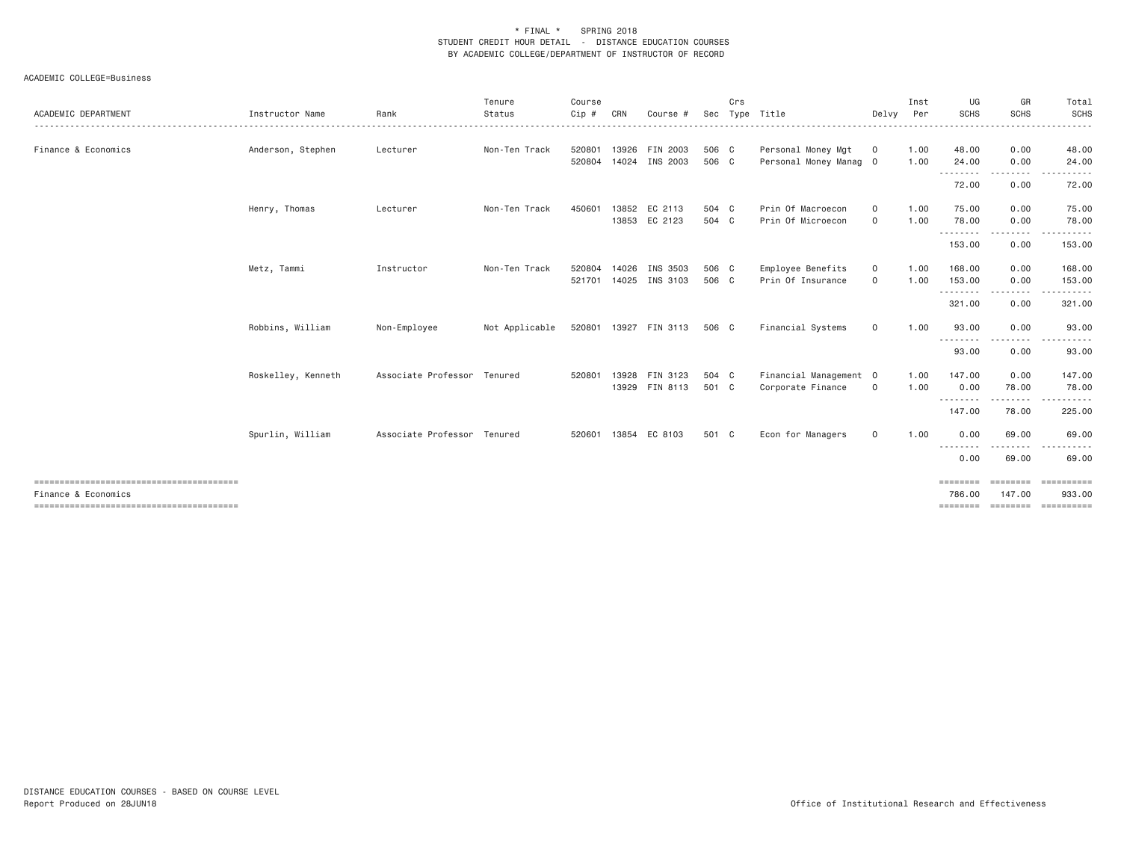| ACADEMIC DEPARTMENT | Instructor Name    | Rank<br>.                   | Tenure<br>Status | Course<br>Cip# | CRN   | Course #              | Sec   | Crs | Type Title             | Delvy        | Inst<br>Per | UG<br><b>SCHS</b>  | GR<br><b>SCHS</b> | Total<br>SCHS<br>.                                                                                                                                                                                                                                                                                                                                                                                                                                                                        |
|---------------------|--------------------|-----------------------------|------------------|----------------|-------|-----------------------|-------|-----|------------------------|--------------|-------------|--------------------|-------------------|-------------------------------------------------------------------------------------------------------------------------------------------------------------------------------------------------------------------------------------------------------------------------------------------------------------------------------------------------------------------------------------------------------------------------------------------------------------------------------------------|
| Finance & Economics | Anderson, Stephen  | Lecturer                    | Non-Ten Track    | 520801         | 13926 | FIN 2003              | 506 C |     | Personal Money Mgt     | $\circ$      | 1.00        | 48.00              | 0.00              | 48.00                                                                                                                                                                                                                                                                                                                                                                                                                                                                                     |
|                     |                    |                             |                  | 520804         | 14024 | INS 2003              | 506 C |     | Personal Money Manag 0 |              | 1.00        | 24.00              | 0.00<br>--------  | 24.00<br>. <u>.</u> .                                                                                                                                                                                                                                                                                                                                                                                                                                                                     |
|                     |                    |                             |                  |                |       |                       |       |     |                        |              |             | 72.00              | 0.00              | 72.00                                                                                                                                                                                                                                                                                                                                                                                                                                                                                     |
|                     | Henry, Thomas      | Lecturer                    | Non-Ten Track    | 450601         |       | 13852 EC 2113         | 504 C |     | Prin Of Macroecon      | $\circ$      | 1.00        | 75.00              | 0.00              | 75.00                                                                                                                                                                                                                                                                                                                                                                                                                                                                                     |
|                     |                    |                             |                  |                |       | 13853 EC 2123         | 504 C |     | Prin Of Microecon      | $\circ$      | 1.00        | 78.00<br>.         | 0.00<br>-----     | 78.00<br>.                                                                                                                                                                                                                                                                                                                                                                                                                                                                                |
|                     |                    |                             |                  |                |       |                       |       |     |                        |              |             | 153.00             | 0.00              | 153.00                                                                                                                                                                                                                                                                                                                                                                                                                                                                                    |
|                     | Metz, Tammi        | Instructor                  | Non-Ten Track    | 520804         | 14026 | INS 3503              | 506 C |     | Employee Benefits      | $\circ$      | 1.00        | 168,00             | 0.00              | 168.00                                                                                                                                                                                                                                                                                                                                                                                                                                                                                    |
|                     |                    |                             |                  | 521701         |       | 14025 INS 3103        | 506 C |     | Prin Of Insurance      | $\circ$      | 1.00        | 153.00<br>.        | 0.00<br>--------- | 153.00<br>.                                                                                                                                                                                                                                                                                                                                                                                                                                                                               |
|                     |                    |                             |                  |                |       |                       |       |     |                        |              |             | 321.00             | 0.00              | 321.00                                                                                                                                                                                                                                                                                                                                                                                                                                                                                    |
|                     | Robbins, William   | Non-Employee                | Not Applicable   |                |       | 520801 13927 FIN 3113 | 506 C |     | Financial Systems      | $\circ$      | 1.00        | 93.00<br>.         | 0.00              | 93.00                                                                                                                                                                                                                                                                                                                                                                                                                                                                                     |
|                     |                    |                             |                  |                |       |                       |       |     |                        |              |             | 93.00              | 0.00              | 93.00                                                                                                                                                                                                                                                                                                                                                                                                                                                                                     |
|                     | Roskelley, Kenneth | Associate Professor Tenured |                  | 520801         | 13928 | FIN 3123              | 504 C |     | Financial Management 0 |              | 1.00        | 147.00             | 0.00              | 147.00                                                                                                                                                                                                                                                                                                                                                                                                                                                                                    |
|                     |                    |                             |                  |                |       | 13929 FIN 8113        | 501 C |     | Corporate Finance      | $\circ$      | 1.00        | 0.00<br>--------   | 78,00<br>.        | 78,00<br>----------                                                                                                                                                                                                                                                                                                                                                                                                                                                                       |
|                     |                    |                             |                  |                |       |                       |       |     |                        |              |             | 147.00             | 78.00             | 225.00                                                                                                                                                                                                                                                                                                                                                                                                                                                                                    |
|                     | Spurlin, William   | Associate Professor Tenured |                  |                |       | 520601 13854 EC 8103  | 501 C |     | Econ for Managers      | $\mathbf{0}$ | 1.00        | 0.00               | 69.00             | 69.00                                                                                                                                                                                                                                                                                                                                                                                                                                                                                     |
|                     |                    |                             |                  |                |       |                       |       |     |                        |              |             | --------<br>0.00   | .<br>69,00        | .<br>69,00                                                                                                                                                                                                                                                                                                                                                                                                                                                                                |
|                     |                    |                             |                  |                |       |                       |       |     |                        |              |             | ========           |                   | $\begin{minipage}{0.03\textwidth} \begin{tabular}{l} \textbf{m} & \textbf{m} & \textbf{m} & \textbf{m} & \textbf{m} & \textbf{m} \\ \textbf{m} & \textbf{m} & \textbf{m} & \textbf{m} & \textbf{m} & \textbf{m} & \textbf{m} \\ \textbf{m} & \textbf{m} & \textbf{m} & \textbf{m} & \textbf{m} & \textbf{m} & \textbf{m} \\ \textbf{m} & \textbf{m} & \textbf{m} & \textbf{m} & \textbf{m} & \textbf{m} & \textbf{m} & \textbf{m} \\ \$                                                   |
| Finance & Economics |                    |                             |                  |                |       |                       |       |     |                        |              |             | 786,00<br>======== | 147.00            | 933,00<br>$\begin{minipage}{0.03\linewidth} \hspace*{0.03\linewidth} \hspace*{0.03\linewidth} \hspace*{0.03\linewidth} \hspace*{0.03\linewidth} \hspace*{0.03\linewidth} \hspace*{0.03\linewidth} \hspace*{0.03\linewidth} \hspace*{0.03\linewidth} \hspace*{0.03\linewidth} \hspace*{0.03\linewidth} \hspace*{0.03\linewidth} \hspace*{0.03\linewidth} \hspace*{0.03\linewidth} \hspace*{0.03\linewidth} \hspace*{0.03\linewidth} \hspace*{0.03\linewidth} \hspace*{0.03\linewidth} \hs$ |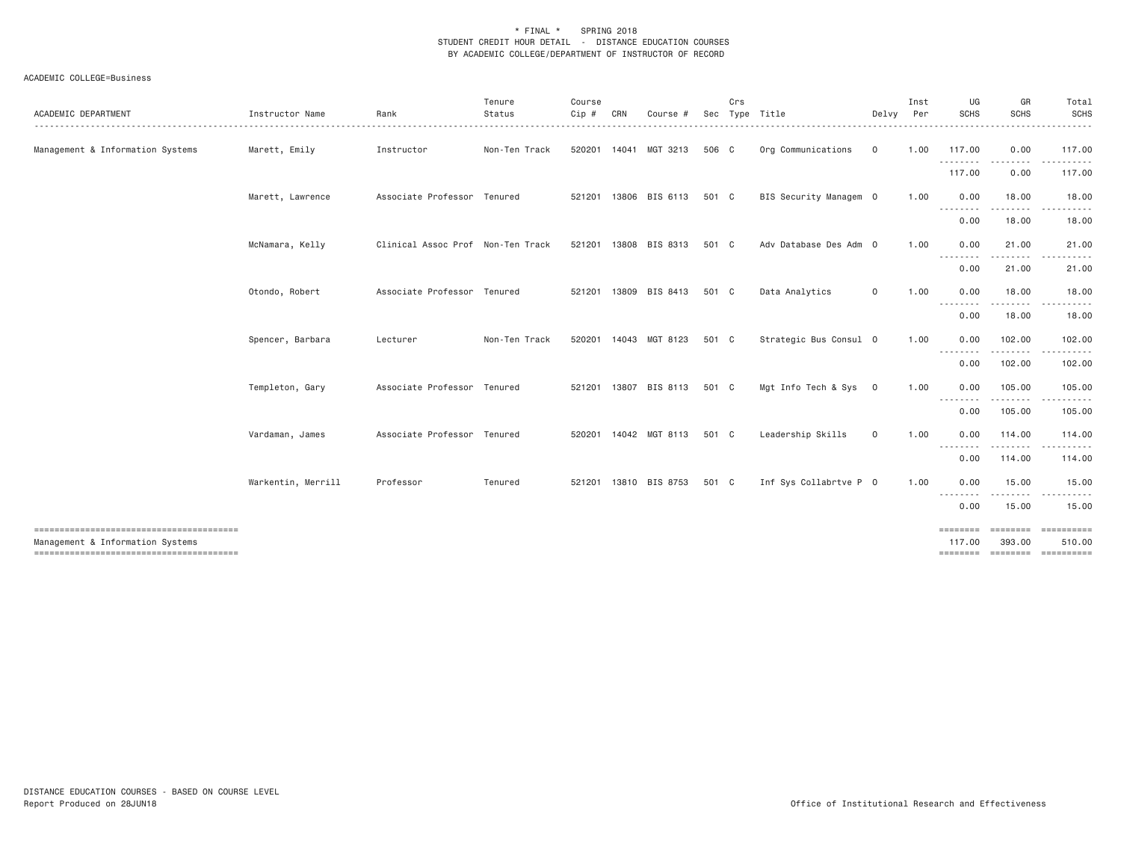| ACADEMIC DEPARTMENT                                                        | Instructor Name    | Rank                              | Tenure<br>Status | Course<br>Cip # | CRN | Course                | Sec   | Crs | Type Title             | Delvy   | Inst<br>Per | UG<br><b>SCHS</b>       | GR<br><b>SCHS</b>                                                                                                                                                                        | Total<br><b>SCHS</b>                    |
|----------------------------------------------------------------------------|--------------------|-----------------------------------|------------------|-----------------|-----|-----------------------|-------|-----|------------------------|---------|-------------|-------------------------|------------------------------------------------------------------------------------------------------------------------------------------------------------------------------------------|-----------------------------------------|
| Management & Information Systems                                           | Marett, Emily      | Instructor                        | Non-Ten Track    |                 |     | 520201 14041 MGT 3213 | 506 C |     | Org Communications     | $\circ$ | 1.00        | 117.00<br>.             | 0.00<br>.                                                                                                                                                                                | 117.00<br>------                        |
|                                                                            |                    |                                   |                  |                 |     |                       |       |     |                        |         |             | 117.00                  | 0.00                                                                                                                                                                                     | 117.00                                  |
|                                                                            | Marett, Lawrence   | Associate Professor Tenured       |                  |                 |     | 521201 13806 BIS 6113 | 501 C |     | BIS Security Managem 0 |         | 1.00        | 0.00<br>.               | 18.00<br>.                                                                                                                                                                               | 18.00                                   |
|                                                                            |                    |                                   |                  |                 |     |                       |       |     |                        |         |             | 0.00                    | 18.00                                                                                                                                                                                    | 18.00                                   |
|                                                                            | McNamara, Kelly    | Clinical Assoc Prof Non-Ten Track |                  |                 |     | 521201 13808 BIS 8313 | 501 C |     | Adv Database Des Adm 0 |         | 1.00        | 0.00<br>.               | 21.00<br>.                                                                                                                                                                               | 21.00                                   |
|                                                                            |                    |                                   |                  |                 |     |                       |       |     |                        |         |             | 0.00                    | 21.00                                                                                                                                                                                    | 21.00                                   |
|                                                                            | Otondo, Robert     | Associate Professor Tenured       |                  |                 |     | 521201 13809 BIS 8413 | 501 C |     | Data Analytics         | $\circ$ | 1.00        | 0.00<br>--------        | 18.00<br><u>.</u>                                                                                                                                                                        | 18.00                                   |
|                                                                            |                    |                                   |                  |                 |     |                       |       |     |                        |         |             | 0.00                    | 18.00                                                                                                                                                                                    | 18.00                                   |
|                                                                            | Spencer, Barbara   | Lecturer                          | Non-Ten Track    |                 |     | 520201 14043 MGT 8123 | 501 C |     | Strategic Bus Consul 0 |         | 1.00        | 0.00<br>--------        | 102.00<br>.                                                                                                                                                                              | 102.00                                  |
|                                                                            |                    |                                   |                  |                 |     |                       |       |     |                        |         |             | 0.00                    | 102.00                                                                                                                                                                                   | 102.00                                  |
|                                                                            | Templeton, Gary    | Associate Professor Tenured       |                  |                 |     | 521201 13807 BIS 8113 | 501 C |     | Mgt Info Tech & Sys 0  |         | 1.00        | 0.00<br>$\cdots$        | 105.00<br>.                                                                                                                                                                              | 105.00                                  |
|                                                                            |                    |                                   |                  |                 |     |                       |       |     |                        |         |             | 0.00                    | 105.00                                                                                                                                                                                   | 105.00                                  |
|                                                                            | Vardaman, James    | Associate Professor Tenured       |                  |                 |     | 520201 14042 MGT 8113 | 501 C |     | Leadership Skills      | $\circ$ | 1,00        | 0.00<br>--------        | 114,00<br>.                                                                                                                                                                              | 114.00                                  |
|                                                                            |                    |                                   |                  |                 |     |                       |       |     |                        |         |             | 0.00                    | 114.00                                                                                                                                                                                   | 114.00                                  |
|                                                                            | Warkentin, Merrill | Professor                         | Tenured          |                 |     | 521201 13810 BIS 8753 | 501 C |     | Inf Sys Collabrtve P 0 |         | 1.00        | 0.00<br>- - - - - - - - | 15.00<br>$\frac{1}{2} \left( \frac{1}{2} \right) \left( \frac{1}{2} \right) \left( \frac{1}{2} \right) \left( \frac{1}{2} \right) \left( \frac{1}{2} \right) \left( \frac{1}{2} \right)$ | 15.00                                   |
|                                                                            |                    |                                   |                  |                 |     |                       |       |     |                        |         |             | 0.00                    | 15.00                                                                                                                                                                                    | 15.00                                   |
| Management & Information Systems<br>-------------------------------------- |                    |                                   |                  |                 |     |                       |       |     |                        |         |             | ========<br>117,00      | ========<br>393.00                                                                                                                                                                       | 510.00<br>========= ======== ========== |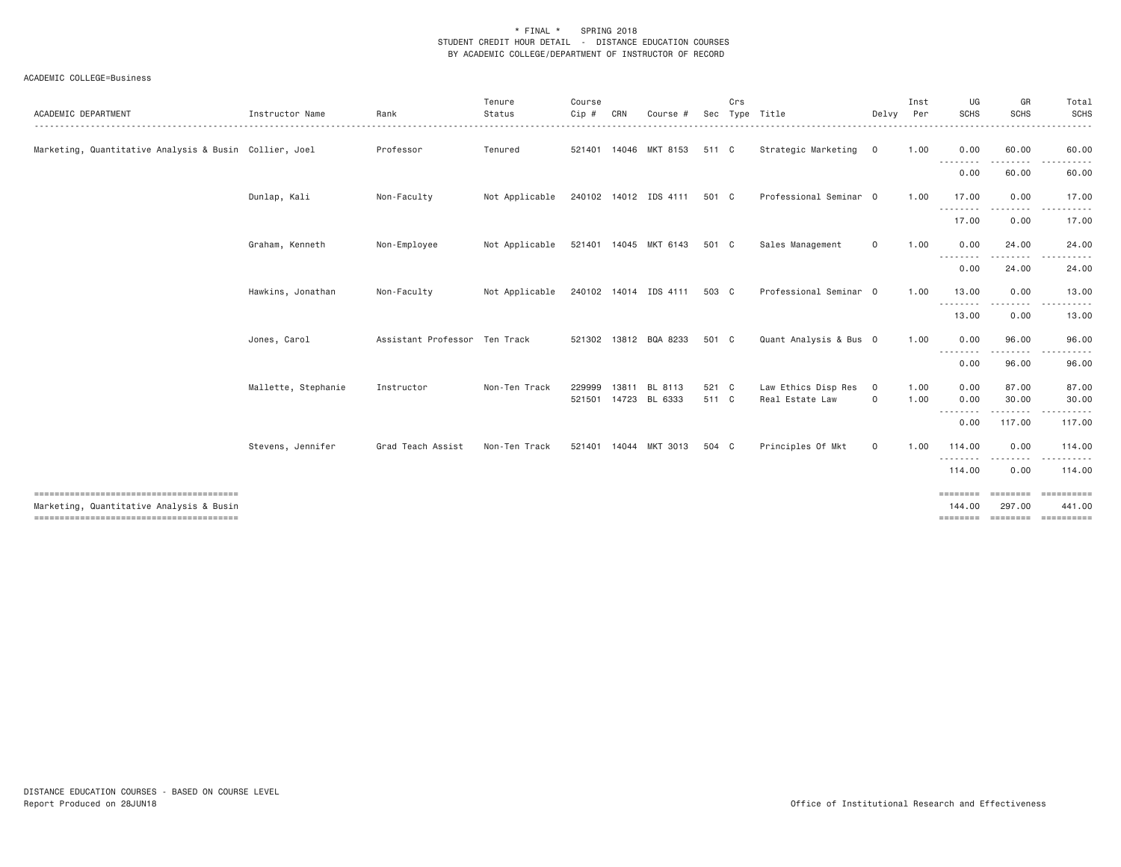| ACADEMIC DEPARTMENT                                                                | Instructor Name     | Rank                          | Tenure<br>Status | Course<br>Cip # | CRN   | Course                          | Sec            | Crs | Type Title                             | Delvy                  | Inst<br>Per  | UG<br><b>SCHS</b>               | GR<br><b>SCHS</b>         | Total<br>SCHS                                                                                                                                                                                                                                                                                                                                                                                                                                                                                           |
|------------------------------------------------------------------------------------|---------------------|-------------------------------|------------------|-----------------|-------|---------------------------------|----------------|-----|----------------------------------------|------------------------|--------------|---------------------------------|---------------------------|---------------------------------------------------------------------------------------------------------------------------------------------------------------------------------------------------------------------------------------------------------------------------------------------------------------------------------------------------------------------------------------------------------------------------------------------------------------------------------------------------------|
| Marketing, Quantitative Analysis & Busin Collier, Joel                             |                     | Professor                     | Tenured          |                 |       | 521401 14046 MKT 8153           | 511 C          |     | Strategic Marketing 0                  |                        | 1.00         | 0.00<br>.                       | 60.00                     | 60.00                                                                                                                                                                                                                                                                                                                                                                                                                                                                                                   |
|                                                                                    |                     |                               |                  |                 |       |                                 |                |     |                                        |                        |              | 0.00                            | 60.00                     | 60.00                                                                                                                                                                                                                                                                                                                                                                                                                                                                                                   |
|                                                                                    | Dunlap, Kali        | Non-Faculty                   | Not Applicable   |                 |       | 240102 14012 IDS 4111           | 501 C          |     | Professional Seminar 0                 |                        | 1.00         | 17.00<br><u>.</u>               | 0.00                      | 17.00                                                                                                                                                                                                                                                                                                                                                                                                                                                                                                   |
|                                                                                    |                     |                               |                  |                 |       |                                 |                |     |                                        |                        |              | 17.00                           | 0.00                      | 17.00                                                                                                                                                                                                                                                                                                                                                                                                                                                                                                   |
|                                                                                    | Graham, Kenneth     | Non-Employee                  | Not Applicable   |                 |       | 521401 14045 MKT 6143           | 501 C          |     | Sales Management                       | 0                      | 1.00         | 0.00<br>.                       | 24.00                     | 24.00                                                                                                                                                                                                                                                                                                                                                                                                                                                                                                   |
|                                                                                    |                     |                               |                  |                 |       |                                 |                |     |                                        |                        |              | 0.00                            | 24.00                     | 24.00                                                                                                                                                                                                                                                                                                                                                                                                                                                                                                   |
|                                                                                    | Hawkins, Jonathan   | Non-Faculty                   | Not Applicable   |                 |       | 240102 14014 IDS 4111           | 503 C          |     | Professional Seminar 0                 |                        | 1.00         | 13.00<br>.                      | 0.00                      | 13.00                                                                                                                                                                                                                                                                                                                                                                                                                                                                                                   |
|                                                                                    |                     |                               |                  |                 |       |                                 |                |     |                                        |                        |              | 13.00                           | 0.00                      | 13.00                                                                                                                                                                                                                                                                                                                                                                                                                                                                                                   |
|                                                                                    | Jones, Carol        | Assistant Professor Ten Track |                  |                 |       | 521302 13812 BQA 8233           | 501 C          |     | Quant Analysis & Bus 0                 |                        | 1.00         | 0.00<br>.                       | 96.00                     | 96.00                                                                                                                                                                                                                                                                                                                                                                                                                                                                                                   |
|                                                                                    |                     |                               |                  |                 |       |                                 |                |     |                                        |                        |              | 0.00                            | 96.00                     | 96.00                                                                                                                                                                                                                                                                                                                                                                                                                                                                                                   |
|                                                                                    | Mallette, Stephanie | Instructor                    | Non-Ten Track    | 229999          | 13811 | BL 8113<br>521501 14723 BL 6333 | 521 C<br>511 C |     | Law Ethics Disp Res<br>Real Estate Law | $\circ$<br>$\mathbf 0$ | 1.00<br>1.00 | 0.00<br>0.00<br>- - - - - - - - | 87.00<br>30.00<br>-----   | 87.00<br>30.00                                                                                                                                                                                                                                                                                                                                                                                                                                                                                          |
|                                                                                    |                     |                               |                  |                 |       |                                 |                |     |                                        |                        |              | 0.00                            | 117.00                    | 117.00                                                                                                                                                                                                                                                                                                                                                                                                                                                                                                  |
|                                                                                    | Stevens, Jennifer   | Grad Teach Assist             | Non-Ten Track    | 521401          |       | 14044 MKT 3013                  | 504 C          |     | Principles Of Mkt                      | $\mathsf{o}$           | 1.00         | 114.00<br><u>.</u>              | 0.00                      | 114.00                                                                                                                                                                                                                                                                                                                                                                                                                                                                                                  |
|                                                                                    |                     |                               |                  |                 |       |                                 |                |     |                                        |                        |              | 114.00                          | 0.00                      | 114.00                                                                                                                                                                                                                                                                                                                                                                                                                                                                                                  |
| Marketing, Quantitative Analysis & Busin<br>-------------------------------------- |                     |                               |                  |                 |       |                                 |                |     |                                        |                        |              | ========<br>144,00<br>========  | <b>ESSESSES</b><br>297,00 | ==========<br>441.00<br>$\begin{minipage}{0.03\linewidth} \hspace*{0.03\linewidth} \hspace*{0.03\linewidth} \hspace*{0.03\linewidth} \hspace*{0.03\linewidth} \hspace*{0.03\linewidth} \hspace*{0.03\linewidth} \hspace*{0.03\linewidth} \hspace*{0.03\linewidth} \hspace*{0.03\linewidth} \hspace*{0.03\linewidth} \hspace*{0.03\linewidth} \hspace*{0.03\linewidth} \hspace*{0.03\linewidth} \hspace*{0.03\linewidth} \hspace*{0.03\linewidth} \hspace*{0.03\linewidth} \hspace*{0.03\linewidth} \hs$ |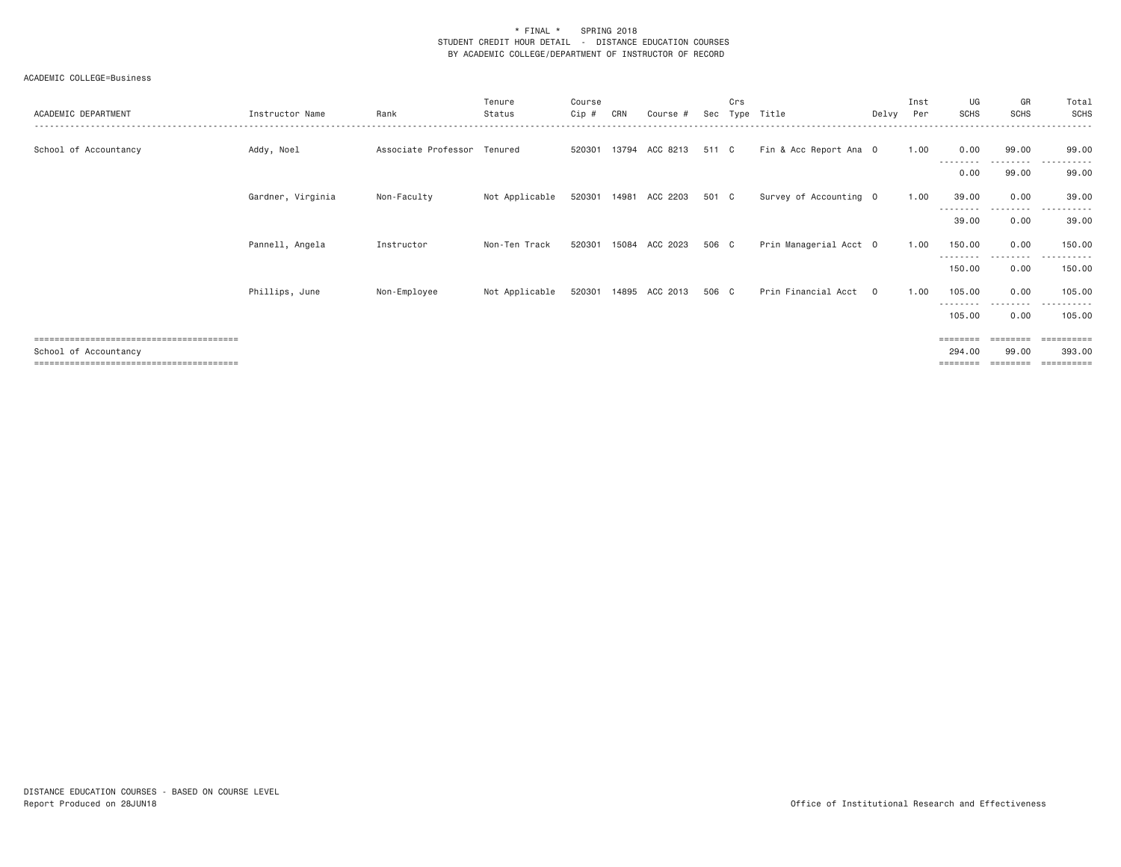| ACADEMIC DEPARTMENT   | Instructor Name   | Rank                        | Tenure<br>Status | Course<br>Cip # | CRN   | Course #              | Sec   | Crs<br>Tvpe | Title                  | Delvv          | Inst<br>Per | UG<br>SCHS                  | GR<br><b>SCHS</b> | Total<br>SCHS                   |
|-----------------------|-------------------|-----------------------------|------------------|-----------------|-------|-----------------------|-------|-------------|------------------------|----------------|-------------|-----------------------------|-------------------|---------------------------------|
| School of Accountancy | Addy, Noel        | Associate Professor Tenured |                  | 520301          |       | 13794 ACC 8213        | 511 C |             | Fin & Acc Report Ana 0 |                | 1.00        | 0.00<br>--------            | 99.00<br>.        | 99.00<br>.                      |
|                       |                   |                             |                  |                 |       |                       |       |             |                        |                |             | 0.00                        | 99.00             | 99.00                           |
|                       | Gardner, Virginia | Non-Faculty                 | Not Applicable   |                 |       | 520301 14981 ACC 2203 | 501 C |             | Survey of Accounting 0 |                | 1.00        | 39.00<br>---------          | 0.00<br>.         | 39.00<br>.                      |
|                       |                   |                             |                  |                 |       |                       |       |             |                        |                |             | 39.00                       | 0.00              | 39.00                           |
|                       | Pannell, Angela   | Instructor                  | Non-Ten Track    | 520301          | 15084 | ACC 2023              | 506 C |             | Prin Managerial Acct 0 |                | 1.00        | 150.00                      | 0.00<br>- - - - - | 150.00                          |
|                       |                   |                             |                  |                 |       |                       |       |             |                        |                |             | 150.00                      | 0.00              | 150.00                          |
|                       | Phillips, June    | Non-Employee                | Not Applicable   | 520301          |       | 14895 ACC 2013        | 506 C |             | Prin Financial Acct    | $\overline{0}$ | 1.00        | 105.00<br>--------          | 0.00              | 105.00                          |
|                       |                   |                             |                  |                 |       |                       |       |             |                        |                |             | 105.00                      | 0.00              | 105.00                          |
| School of Accountancy |                   |                             |                  |                 |       |                       |       |             |                        |                |             | $=$ = = = = = = =<br>294,00 | ========<br>99.00 | $=$ = = = = = = = = =<br>393,00 |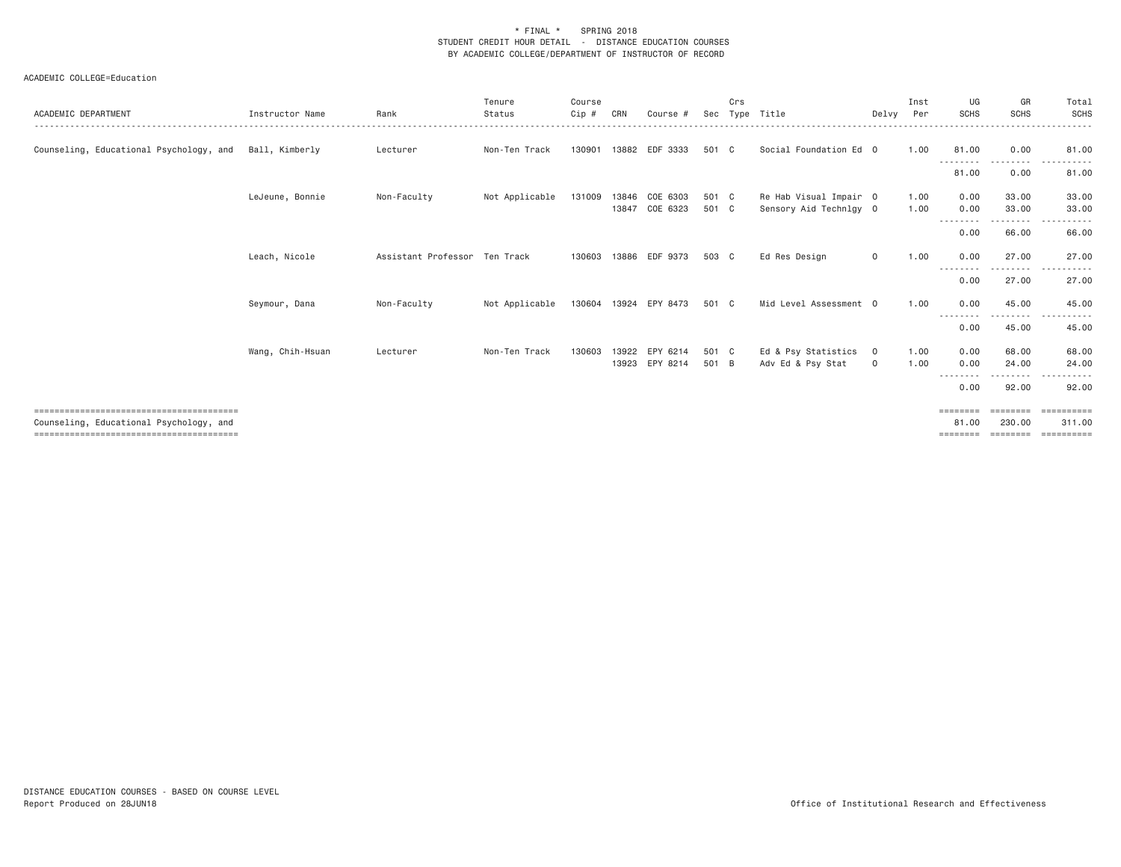| ACADEMIC DEPARTMENT                     | Instructor Name  | Rank                          | Tenure<br>Status | Course<br>$C$ ip # | CRN | Course                           | Sec            | Crs | Type Title                                       | Delvy Per          | Inst         | UG<br><b>SCHS</b>        | GR<br><b>SCHS</b>   | Total<br>SCHS                      |
|-----------------------------------------|------------------|-------------------------------|------------------|--------------------|-----|----------------------------------|----------------|-----|--------------------------------------------------|--------------------|--------------|--------------------------|---------------------|------------------------------------|
| Counseling, Educational Psychology, and | Ball, Kimberly   | Lecturer                      | Non-Ten Track    | 130901             |     | 13882 EDF 3333                   | 501 C          |     | Social Foundation Ed 0                           |                    | 1.00         | 81.00                    | 0.00                | 81.00                              |
|                                         |                  |                               |                  |                    |     |                                  |                |     |                                                  |                    |              | .<br>81.00               | $  -$<br>0.00       | 81.00                              |
|                                         | LeJeune, Bonnie  | Non-Faculty                   | Not Applicable   | 131009             |     | 13846 COE 6303<br>13847 COE 6323 | 501 C<br>501 C |     | Re Hab Visual Impair 0<br>Sensory Aid Technlgy 0 |                    | 1.00<br>1.00 | 0.00<br>0.00             | 33,00<br>33.00      | 33.00<br>33.00                     |
|                                         |                  |                               |                  |                    |     |                                  |                |     |                                                  |                    |              | ---------<br>0.00        | .<br>66.00          | ------<br>66.00                    |
|                                         | Leach, Nicole    | Assistant Professor Ten Track |                  | 130603             |     | 13886 EDF 9373                   | 503 C          |     | Ed Res Design                                    | $\mathbf{0}$       | 1.00         | 0.00<br>--------         | 27,00<br>.          | 27.00<br>.<br>$- - -$              |
|                                         |                  |                               |                  |                    |     |                                  |                |     |                                                  |                    |              | 0.00                     | 27.00               | 27.00                              |
|                                         | Seymour, Dana    | Non-Faculty                   | Not Applicable   |                    |     | 130604 13924 EPY 8473            | 501 C          |     | Mid Level Assessment 0                           |                    | 1.00         | 0.00<br>---------        | 45.00<br>.          | 45.00                              |
|                                         |                  |                               |                  |                    |     |                                  |                |     |                                                  |                    |              | 0.00                     | 45.00               | 45.00                              |
|                                         | Wang, Chih-Hsuan | Lecturer                      | Non-Ten Track    | 130603             |     | 13922 EPY 6214<br>13923 EPY 8214 | 501 C<br>501 B |     | Ed & Psy Statistics<br>Adv Ed & Psy Stat         | $\circ$<br>$\circ$ | 1.00<br>1.00 | 0.00<br>0.00<br>-------- | 68.00<br>24.00<br>. | 68.00<br>24.00                     |
|                                         |                  |                               |                  |                    |     |                                  |                |     |                                                  |                    |              | 0.00                     | 92.00               | 92.00                              |
| Counseling, Educational Psychology, and |                  |                               |                  |                    |     |                                  |                |     |                                                  |                    |              | ========<br>81,00        | ========<br>230,00  | ==========<br>311,00<br>========== |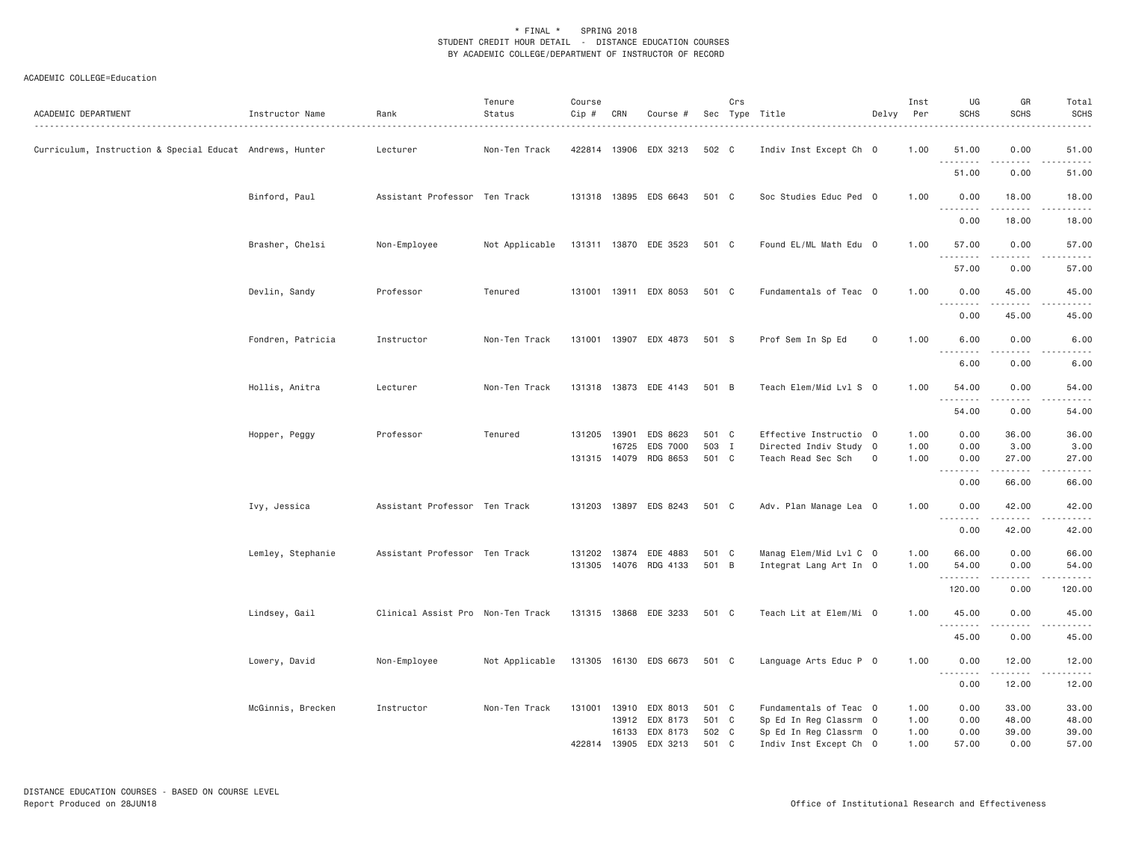| ACADEMIC DEPARTMENT                                      | Instructor Name   | Rank                              | Tenure<br>Status | Course<br>Cip# | CRN          | Course #                         |                | Crs | Sec Type Title                                   | Delvy       | Inst<br>Per  | UG<br><b>SCHS</b> | GR<br><b>SCHS</b>   | Total<br><b>SCHS</b>         |
|----------------------------------------------------------|-------------------|-----------------------------------|------------------|----------------|--------------|----------------------------------|----------------|-----|--------------------------------------------------|-------------|--------------|-------------------|---------------------|------------------------------|
| Curriculum, Instruction & Special Educat Andrews, Hunter |                   | Lecturer                          | Non-Ten Track    |                |              | 422814 13906 EDX 3213            | 502 C          |     | Indiv Inst Except Ch 0                           |             | 1.00         | 51.00<br>.        | 0.00<br>.           | 51.00<br>.                   |
|                                                          |                   |                                   |                  |                |              |                                  |                |     |                                                  |             |              | 51.00             | 0.00                | 51.00                        |
|                                                          | Binford, Paul     | Assistant Professor Ten Track     |                  |                |              | 131318 13895 EDS 6643            | 501 C          |     | Soc Studies Educ Ped 0                           |             | 1.00         | 0.00<br>.         | 18.00<br>.          | 18.00<br>.                   |
|                                                          |                   |                                   |                  |                |              |                                  |                |     |                                                  |             |              | 0.00              | 18.00               | 18.00                        |
|                                                          | Brasher, Chelsi   | Non-Employee                      | Not Applicable   |                |              | 131311 13870 EDE 3523            | 501 C          |     | Found EL/ML Math Edu 0                           |             | 1.00         | 57.00<br><u>.</u> | 0.00<br>.           | 57.00<br>.                   |
|                                                          |                   |                                   |                  |                |              |                                  |                |     |                                                  |             |              | 57.00             | 0.00                | 57.00                        |
|                                                          | Devlin, Sandy     | Professor                         | Tenured          | 131001         |              | 13911 EDX 8053                   | 501 C          |     | Fundamentals of Teac 0                           |             | 1.00         | 0.00<br>.         | 45.00<br>.          | 45.00<br>.                   |
|                                                          |                   |                                   |                  |                |              |                                  |                |     |                                                  |             |              | 0.00              | 45.00               | 45.00                        |
|                                                          | Fondren, Patricia | Instructor                        | Non-Ten Track    |                |              | 131001 13907 EDX 4873            | 501 S          |     | Prof Sem In Sp Ed                                | 0           | 1.00         | 6.00<br>.         | 0.00                | 6.00<br>وبالمسامين           |
|                                                          |                   |                                   |                  |                |              |                                  |                |     |                                                  |             |              | 6.00              | 0.00                | 6.00                         |
|                                                          | Hollis, Anitra    | Lecturer                          | Non-Ten Track    |                |              | 131318 13873 EDE 4143            | 501 B          |     | Teach Elem/Mid Lvl S 0                           |             | 1.00         | 54.00<br>.        | 0.00<br>.           | 54.00<br>.                   |
|                                                          |                   |                                   |                  |                |              |                                  |                |     |                                                  |             |              | 54.00             | 0.00                | 54.00                        |
|                                                          | Hopper, Peggy     | Professor                         | Tenured          | 131205         | 13901        | EDS 8623<br>EDS 7000             | 501 C          |     | Effective Instructio 0                           |             | 1.00         | 0.00              | 36.00               | 36.00                        |
|                                                          |                   |                                   |                  | 131315 14079   | 16725        | RDG 8653                         | 503 I<br>501 C |     | Directed Indiv Study 0<br>Teach Read Sec Sch     | $\mathbf 0$ | 1.00<br>1.00 | 0.00<br>0.00      | 3.00<br>27.00       | 3.00<br>27.00                |
|                                                          |                   |                                   |                  |                |              |                                  |                |     |                                                  |             |              | .<br>0.00         | <b>.</b> .<br>66.00 | .<br>66.00                   |
|                                                          | Ivy, Jessica      | Assistant Professor Ten Track     |                  |                |              | 131203 13897 EDS 8243            | 501 C          |     | Adv. Plan Manage Lea 0                           |             | 1.00         | 0.00<br>.         | 42.00<br>.          | 42.00<br>.                   |
|                                                          |                   |                                   |                  |                |              |                                  |                |     |                                                  |             |              | 0.00              | 42.00               | 42.00                        |
|                                                          | Lemley, Stephanie | Assistant Professor Ten Track     |                  | 131202         |              | 13874 EDE 4883<br>14076 RDG 4133 | 501 C<br>501 B |     | Manag Elem/Mid Lvl C 0                           |             | 1.00         | 66.00             | 0.00<br>0.00        | 66.00                        |
|                                                          |                   |                                   |                  | 131305         |              |                                  |                |     | Integrat Lang Art In 0                           |             | 1.00         | 54.00<br>120.00   | 0.00                | 54.00<br>د د د د د<br>120.00 |
|                                                          |                   |                                   |                  |                |              |                                  |                |     |                                                  |             |              |                   |                     |                              |
|                                                          | Lindsey, Gail     | Clinical Assist Pro Non-Ten Track |                  |                |              | 131315 13868 EDE 3233            | 501 C          |     | Teach Lit at Elem/Mi 0                           |             | 1.00         | 45.00             | 0.00                | 45.00<br>$- - - - -$         |
|                                                          |                   |                                   |                  |                |              |                                  |                |     |                                                  |             |              | 45.00             | 0.00                | 45.00                        |
|                                                          | Lowery, David     | Non-Employee                      | Not Applicable   |                |              | 131305 16130 EDS 6673            | 501 C          |     | Language Arts Educ P 0                           |             | 1.00         | 0.00<br>.         | 12.00<br>. <u>.</u> | 12.00<br>. <u>.</u>          |
|                                                          |                   |                                   |                  |                |              |                                  |                |     |                                                  |             |              | 0.00              | 12.00               | 12.00                        |
|                                                          | McGinnis, Brecken | Instructor                        | Non-Ten Track    | 131001         | 13910        | EDX 8013                         | 501            | C   | Fundamentals of Teac 0                           |             | 1.00         | 0.00              | 33.00               | 33.00                        |
|                                                          |                   |                                   |                  |                | 16133        | 13912 EDX 8173<br>EDX 8173       | 501 C<br>502 C |     | Sp Ed In Reg Classrm 0<br>Sp Ed In Reg Classrm 0 |             | 1.00<br>1.00 | 0.00<br>0.00      | 48.00<br>39.00      | 48.00<br>39.00               |
|                                                          |                   |                                   |                  |                | 422814 13905 | EDX 3213                         | 501 C          |     | Indiv Inst Except Ch 0                           |             | 1,00         | 57.00             | 0.00                | 57.00                        |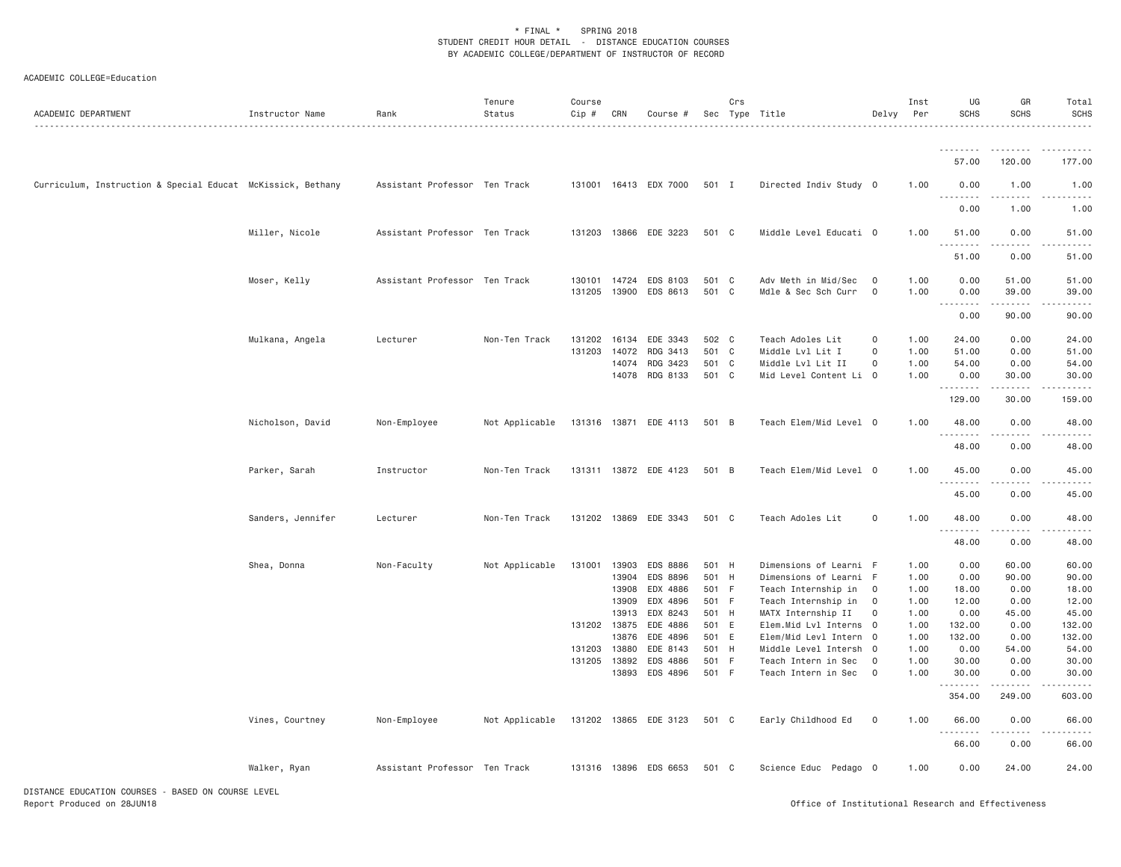| ACADEMIC DEPARTMENT                                         | Instructor Name   | Rank                          | Tenure<br>Status | Course<br>Cip # | CRN   | Course #              |       | Crs         | Sec Type Title         | Delvy          | Inst<br>Per | UG<br><b>SCHS</b> | GR<br><b>SCHS</b>                   | Total<br><b>SCHS</b><br>.                                                                                                                                      |
|-------------------------------------------------------------|-------------------|-------------------------------|------------------|-----------------|-------|-----------------------|-------|-------------|------------------------|----------------|-------------|-------------------|-------------------------------------|----------------------------------------------------------------------------------------------------------------------------------------------------------------|
|                                                             |                   |                               |                  |                 |       |                       |       |             |                        |                |             | <u>.</u><br>57.00 | .<br>120.00                         | .<br>177.00                                                                                                                                                    |
|                                                             |                   |                               |                  |                 |       |                       |       |             |                        |                |             |                   |                                     |                                                                                                                                                                |
| Curriculum, Instruction & Special Educat McKissick, Bethany |                   | Assistant Professor Ten Track |                  |                 |       | 131001 16413 EDX 7000 | 501 I |             | Directed Indiv Study 0 |                | 1.00        | 0.00              | 1.00<br>.                           | 1.00<br>.                                                                                                                                                      |
|                                                             |                   |                               |                  |                 |       |                       |       |             |                        |                |             | 0.00              | 1.00                                | 1.00                                                                                                                                                           |
|                                                             | Miller, Nicole    | Assistant Professor Ten Track |                  |                 |       | 131203 13866 EDE 3223 | 501 C |             | Middle Level Educati 0 |                | 1.00        | 51.00<br>.        | 0.00<br>.                           | 51.00<br>$    -$                                                                                                                                               |
|                                                             |                   |                               |                  |                 |       |                       |       |             |                        |                |             | 51.00             | 0.00                                | 51.00                                                                                                                                                          |
|                                                             | Moser, Kelly      | Assistant Professor Ten Track |                  | 130101          | 14724 | EDS 8103              | 501   | C           | Adv Meth in Mid/Sec    | $\overline{0}$ | 1.00        | 0.00              | 51.00                               | 51.00                                                                                                                                                          |
|                                                             |                   |                               |                  | 131205          |       | 13900 EDS 8613        | 501 C |             | Mdle & Sec Sch Curr    | $\overline{0}$ | 1.00        | 0.00              | 39.00                               | 39.00<br>.                                                                                                                                                     |
|                                                             |                   |                               |                  |                 |       |                       |       |             |                        |                |             | .<br>0.00         | ------<br>90.00                     | 90.00                                                                                                                                                          |
|                                                             | Mulkana, Angela   | Lecturer                      | Non-Ten Track    | 131202          | 16134 | EDE 3343              | 502 C |             | Teach Adoles Lit       | $\mathbf 0$    | 1.00        | 24.00             | 0.00                                | 24.00                                                                                                                                                          |
|                                                             |                   |                               |                  | 131203          | 14072 | RDG 3413              | 501   | $\mathbf C$ | Middle Lvl Lit I       | $\mathsf{O}$   | 1.00        | 51.00             | 0.00                                | 51.00                                                                                                                                                          |
|                                                             |                   |                               |                  |                 | 14074 | RDG 3423              | 501 C |             | Middle Lvl Lit II      | $\mathsf{O}$   | 1.00        | 54.00             | 0.00                                | 54.00                                                                                                                                                          |
|                                                             |                   |                               |                  |                 |       | 14078 RDG 8133        | 501 C |             | Mid Level Content Li 0 |                | 1.00        | 0.00              | 30.00                               | 30.00                                                                                                                                                          |
|                                                             |                   |                               |                  |                 |       |                       |       |             |                        |                |             | .<br>129.00       | .<br>30.00                          | $\frac{1}{2} \left( \frac{1}{2} \right) \left( \frac{1}{2} \right) \left( \frac{1}{2} \right) \left( \frac{1}{2} \right) \left( \frac{1}{2} \right)$<br>159.00 |
|                                                             | Nicholson, David  | Non-Employee                  | Not Applicable   |                 |       | 131316 13871 EDE 4113 | 501 B |             | Teach Elem/Mid Level 0 |                | 1.00        | 48.00             | 0.00                                | 48.00                                                                                                                                                          |
|                                                             |                   |                               |                  |                 |       |                       |       |             |                        |                |             | .<br>48.00        | .<br>0.00                           | .<br>48.00                                                                                                                                                     |
|                                                             | Parker, Sarah     | Instructor                    | Non-Ten Track    |                 |       | 131311 13872 EDE 4123 | 501 B |             | Teach Elem/Mid Level 0 |                | 1.00        | 45.00<br>.        | 0.00<br>.                           | 45.00<br>.                                                                                                                                                     |
|                                                             |                   |                               |                  |                 |       |                       |       |             |                        |                |             | 45.00             | 0.00                                | 45.00                                                                                                                                                          |
|                                                             | Sanders, Jennifer | Lecturer                      | Non-Ten Track    | 131202          | 13869 | EDE 3343              | 501 C |             | Teach Adoles Lit       | $\mathsf{O}$   | 1.00        | 48.00<br>.        | 0.00<br>$\sim$ $\sim$ $\sim$ $\sim$ | 48.00<br>.                                                                                                                                                     |
|                                                             |                   |                               |                  |                 |       |                       |       |             |                        |                |             | 48.00             | 0.00                                | 48.00                                                                                                                                                          |
|                                                             | Shea, Donna       | Non-Faculty                   | Not Applicable   | 131001          | 13903 | EDS 8886              | 501   | H           | Dimensions of Learni F |                | 1.00        | 0.00              | 60.00                               | 60.00                                                                                                                                                          |
|                                                             |                   |                               |                  |                 | 13904 | EDS 8896              | 501   | H           | Dimensions of Learni   | - F            | 1.00        | 0.00              | 90.00                               | 90.00                                                                                                                                                          |
|                                                             |                   |                               |                  |                 | 13908 | EDX 4886              | 501 F |             | Teach Internship in    | $\overline{0}$ | 1.00        | 18.00             | 0.00                                | 18.00                                                                                                                                                          |
|                                                             |                   |                               |                  |                 | 13909 | EDX 4896              | 501   | - F         | Teach Internship in    | $\mathbf 0$    | 1.00        | 12.00             | 0.00                                | 12.00                                                                                                                                                          |
|                                                             |                   |                               |                  |                 | 13913 | EDX 8243              | 501   | H           | MATX Internship II     | $\circ$        | 1.00        | 0.00              | 45.00                               | 45.00                                                                                                                                                          |
|                                                             |                   |                               |                  | 131202 13875    |       | EDE 4886              | 501 E |             | Elem.Mid Lvl Interns 0 |                | 1.00        | 132.00            | 0.00                                | 132.00                                                                                                                                                         |
|                                                             |                   |                               |                  |                 | 13876 | EDE 4896              | 501   | E           | Elem/Mid Levl Intern 0 |                | 1.00        | 132.00            | 0.00                                | 132.00                                                                                                                                                         |
|                                                             |                   |                               |                  | 131203          | 13880 | EDE 8143              | 501   | H           | Middle Level Intersh   | $\overline{0}$ | 1.00        | 0.00              | 54.00                               | 54.00                                                                                                                                                          |
|                                                             |                   |                               |                  | 131205          | 13892 | EDS 4886              | 501   | - F         | Teach Intern in Sec    | $\overline{0}$ | 1.00        | 30.00             | 0.00                                | 30.00                                                                                                                                                          |
|                                                             |                   |                               |                  |                 |       | 13893 EDS 4896        | 501 F |             | Teach Intern in Sec    | $\overline{0}$ | 1.00        | 30.00<br>.        | 0.00<br>.                           | 30.00<br>.                                                                                                                                                     |
|                                                             |                   |                               |                  |                 |       |                       |       |             |                        |                |             | 354.00            | 249.00                              | 603.00                                                                                                                                                         |
|                                                             | Vines, Courtney   | Non-Employee                  | Not Applicable   |                 |       | 131202 13865 EDE 3123 | 501 C |             | Early Childhood Ed     | $\mathbf 0$    | 1.00        | 66.00             | 0.00<br>.                           | 66.00<br>.                                                                                                                                                     |
|                                                             |                   |                               |                  |                 |       |                       |       |             |                        |                |             | 66.00             | 0.00                                | 66.00                                                                                                                                                          |
|                                                             | Walker, Ryan      | Assistant Professor Ten Track |                  |                 |       | 131316 13896 EDS 6653 | 501 C |             | Science Educ Pedago O  |                | 1.00        | 0.00              | 24.00                               | 24.00                                                                                                                                                          |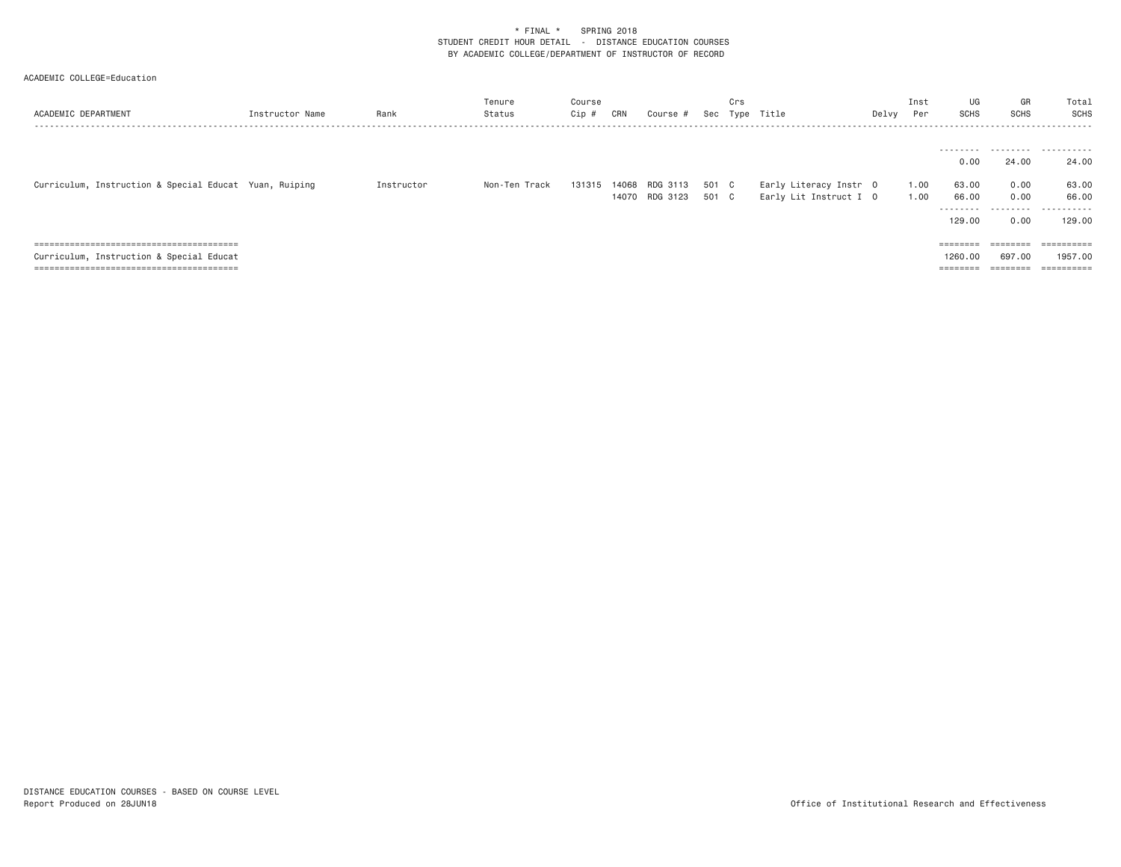| Instructor Name | Rank                                                   | Tenure<br>Status | Course<br>Cip # | CRN    | Course # |                | Crs |                               | Delvy          | Inst<br>Per                                      | UG<br>SCHS   | GR<br><b>SCHS</b>                                                       | Total<br>SCHS         |
|-----------------|--------------------------------------------------------|------------------|-----------------|--------|----------|----------------|-----|-------------------------------|----------------|--------------------------------------------------|--------------|-------------------------------------------------------------------------|-----------------------|
|                 |                                                        |                  |                 |        |          |                |     |                               |                |                                                  |              |                                                                         |                       |
|                 |                                                        |                  |                 |        |          |                |     |                               |                |                                                  |              |                                                                         |                       |
|                 |                                                        |                  |                 |        |          |                |     |                               |                |                                                  | 0.00         | 24.00                                                                   | 24.00                 |
|                 |                                                        |                  |                 |        |          |                |     |                               |                |                                                  |              |                                                                         | 63.00                 |
|                 |                                                        |                  |                 |        |          |                |     |                               |                |                                                  |              |                                                                         |                       |
|                 |                                                        |                  |                 |        |          |                |     |                               |                |                                                  |              |                                                                         | 66.00                 |
|                 |                                                        |                  |                 |        |          |                |     |                               |                |                                                  |              | .                                                                       | .                     |
|                 |                                                        |                  |                 |        |          |                |     |                               |                |                                                  | 129,00       | 0.00                                                                    | 129,00                |
|                 |                                                        |                  |                 |        |          |                |     |                               |                |                                                  |              |                                                                         |                       |
|                 |                                                        |                  |                 |        |          |                |     |                               |                |                                                  |              | $=$ = = = = = = =                                                       | ==========            |
|                 |                                                        |                  |                 |        |          |                |     |                               |                |                                                  | 1260,00      | 697.00                                                                  | 1957.00               |
|                 |                                                        |                  |                 |        |          |                |     |                               |                |                                                  |              |                                                                         | $=$ = = = = = = = = = |
|                 | Curriculum, Instruction & Special Educat Yuan, Ruiping | Instructor       | Non-Ten Track   | 131315 |          | 14068 RDG 3113 |     | 501 C<br>14070 RDG 3123 501 C | Sec Type Title | Early Literacy Instr 0<br>Early Lit Instruct I 0 | 1.00<br>1.00 | --------<br>63.00<br>66.00<br>--------<br>$=$ = = = = = = =<br>======== | 0.00<br>0.00          |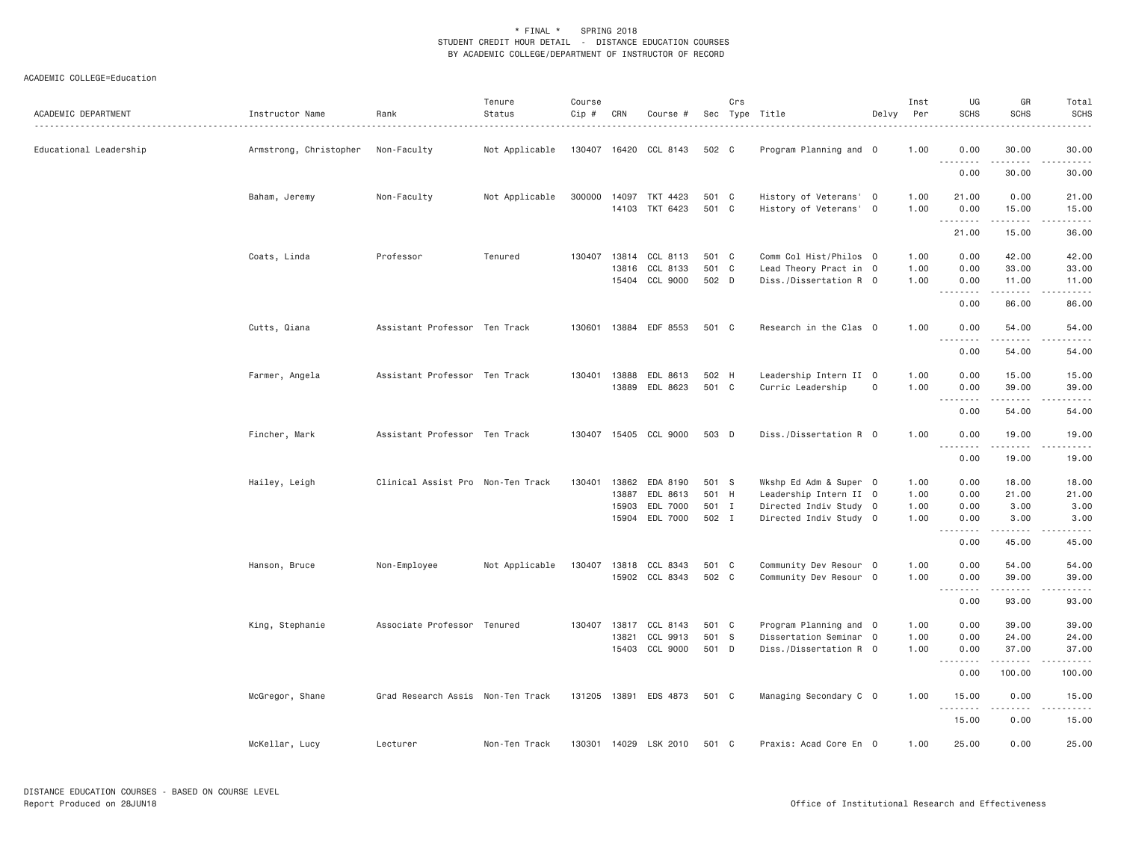| ACADEMIC DEPARTMENT    | Instructor Name        | Rank                              | Tenure<br>Status | Course<br>Cip # | CRN                   | Course #                         |                | Crs | Sec Type Title                                   | Delvy               | Inst<br>Per  | UG<br><b>SCHS</b> | GR<br><b>SCHS</b> | Total<br><b>SCHS</b> |
|------------------------|------------------------|-----------------------------------|------------------|-----------------|-----------------------|----------------------------------|----------------|-----|--------------------------------------------------|---------------------|--------------|-------------------|-------------------|----------------------|
| Educational Leadership | Armstrong, Christopher | Non-Faculty                       | Not Applicable   |                 |                       | 130407 16420 CCL 8143            | 502 C          |     | Program Planning and O                           |                     | 1.00         | 0.00<br>.         | 30.00<br>.        | 30.00<br>.           |
|                        |                        |                                   |                  |                 |                       |                                  |                |     |                                                  |                     |              | 0.00              | 30.00             | 30.00                |
|                        | Baham, Jeremy          | Non-Faculty                       | Not Applicable   | 300000          |                       | 14097 TKT 4423<br>14103 TKT 6423 | 501 C<br>501 C |     | History of Veterans' 0<br>History of Veterans' 0 |                     | 1.00<br>1.00 | 21.00<br>0.00     | 0.00<br>15.00     | 21.00<br>15.00       |
|                        |                        |                                   |                  |                 |                       |                                  |                |     |                                                  |                     |              | .<br>21.00        | .<br>15.00        | .<br>36.00           |
|                        | Coats, Linda           | Professor                         | Tenured          | 130407          |                       | 13814 CCL 8113                   | 501 C          |     | Comm Col Hist/Philos 0                           |                     | 1.00         | 0.00              | 42.00             | 42.00                |
|                        |                        |                                   |                  |                 | 13816                 | CCL 8133<br>15404 CCL 9000       | 501 C<br>502 D |     | Lead Theory Pract in 0<br>Diss./Dissertation R 0 |                     | 1.00<br>1.00 | 0.00<br>0.00      | 33.00<br>11.00    | 33.00<br>11.00       |
|                        |                        |                                   |                  |                 |                       |                                  |                |     |                                                  |                     |              | <u>.</u><br>0.00  | <u>.</u><br>86.00 | .<br>86.00           |
|                        | Cutts, Qiana           | Assistant Professor Ten Track     |                  | 130601          |                       | 13884 EDF 8553                   | 501 C          |     | Research in the Clas 0                           |                     | 1.00         | 0.00<br>.         | 54.00<br>.        | 54.00<br>.           |
|                        |                        |                                   |                  |                 |                       |                                  |                |     |                                                  |                     |              | 0.00              | 54.00             | 54.00                |
|                        | Farmer, Angela         | Assistant Professor Ten Track     |                  |                 | 130401 13888<br>13889 | EDL 8613<br>EDL 8623             | 502 H<br>501 C |     | Leadership Intern II 0<br>Curric Leadership      | $\mathsf{O}\xspace$ | 1.00<br>1.00 | 0.00<br>0.00      | 15.00<br>39.00    | 15.00<br>39.00       |
|                        |                        |                                   |                  |                 |                       |                                  |                |     |                                                  |                     |              | <u>.</u><br>0.00  | .<br>54.00        | المتمامات<br>54.00   |
|                        | Fincher, Mark          | Assistant Professor Ten Track     |                  | 130407          |                       | 15405 CCL 9000                   | 503 D          |     | Diss./Dissertation R 0                           |                     | 1.00         | 0.00<br>.         | 19.00<br>.        | 19.00<br>.           |
|                        |                        |                                   |                  |                 |                       |                                  |                |     |                                                  |                     |              | 0.00              | 19.00             | 19.00                |
|                        | Hailey, Leigh          | Clinical Assist Pro Non-Ten Track |                  | 130401          | 13862<br>13887        | EDA 8190<br>EDL 8613             | 501 S<br>501 H |     | Wkshp Ed Adm & Super 0<br>Leadership Intern II 0 |                     | 1.00<br>1.00 | 0.00<br>0.00      | 18.00<br>21.00    | 18.00<br>21.00       |
|                        |                        |                                   |                  |                 | 15903                 | EDL 7000                         | 501 I          |     | Directed Indiv Study 0                           |                     | 1.00         | 0.00              | 3.00              | 3.00                 |
|                        |                        |                                   |                  |                 |                       | 15904 EDL 7000                   | 502 I          |     | Directed Indiv Study 0                           |                     | 1.00         | 0.00<br><u>.</u>  | 3.00<br>.         | 3.00<br>$- - - - -$  |
|                        |                        |                                   |                  |                 |                       |                                  |                |     |                                                  |                     |              | 0.00              | 45.00             | 45.00                |
|                        | Hanson, Bruce          | Non-Employee                      | Not Applicable   | 130407          |                       | 13818 CCL 8343                   | 501 C          |     | Community Dev Resour 0                           |                     | 1.00         | 0.00              | 54.00             | 54.00                |
|                        |                        |                                   |                  |                 |                       | 15902 CCL 8343                   | 502 C          |     | Community Dev Resour 0                           |                     | 1.00         | 0.00<br>.         | 39.00<br>.        | 39.00<br>.           |
|                        |                        |                                   |                  |                 |                       |                                  |                |     |                                                  |                     |              | 0.00              | 93.00             | 93,00                |
|                        | King, Stephanie        | Associate Professor Tenured       |                  | 130407          | 13817                 | CCL 8143                         | 501 C          |     | Program Planning and 0                           |                     | 1.00         | 0.00              | 39.00             | 39.00                |
|                        |                        |                                   |                  |                 | 13821                 | CCL 9913                         | 501 S          |     | Dissertation Seminar 0                           |                     | 1.00         | 0.00              | 24.00             | 24.00                |
|                        |                        |                                   |                  |                 |                       | 15403 CCL 9000                   | 501 D          |     | Diss./Dissertation R 0                           |                     | 1.00         | 0.00<br>.         | 37.00<br>.        | 37.00<br><u>.</u>    |
|                        |                        |                                   |                  |                 |                       |                                  |                |     |                                                  |                     |              | 0.00              | 100.00            | 100.00               |
|                        | McGregor, Shane        | Grad Research Assis Non-Ten Track |                  |                 |                       | 131205 13891 EDS 4873            | 501 C          |     | Managing Secondary C 0                           |                     | 1.00         | 15.00<br>.        | 0.00<br>.         | 15.00<br>.           |
|                        |                        |                                   |                  |                 |                       |                                  |                |     |                                                  |                     |              | 15.00             | 0.00              | 15.00                |
|                        | McKellar, Lucy         | Lecturer                          | Non-Ten Track    |                 |                       | 130301 14029 LSK 2010            | 501 C          |     | Praxis: Acad Core En 0                           |                     | 1.00         | 25.00             | 0.00              | 25.00                |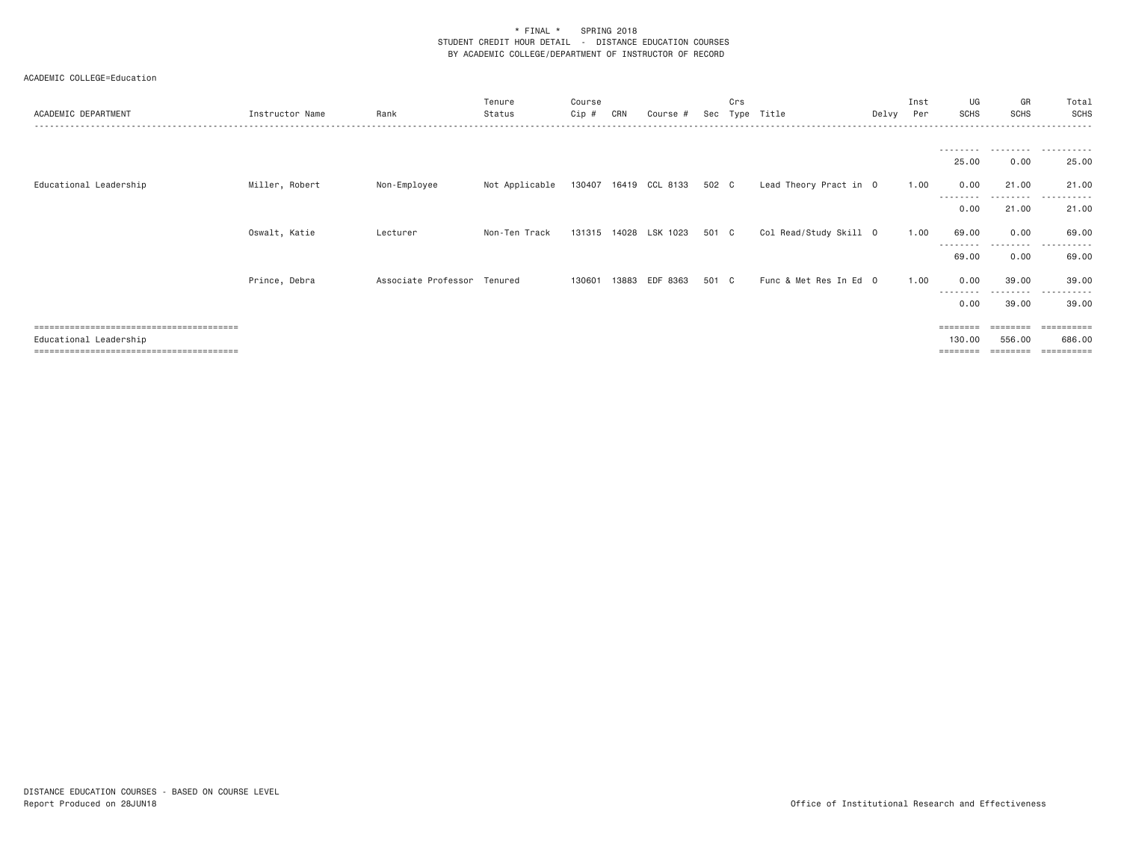| ACADEMIC DEPARTMENT    | Instructor Name | Rank                        | Tenure<br>Status | Course<br>Cip # | CRN | Course #                    | Sec   | Crs<br>Type | Title                  | Delvy | Inst<br>Per | UG<br><b>SCHS</b>  | GR<br><b>SCHS</b>  | Total<br><b>SCHS</b>                         |
|------------------------|-----------------|-----------------------------|------------------|-----------------|-----|-----------------------------|-------|-------------|------------------------|-------|-------------|--------------------|--------------------|----------------------------------------------|
|                        |                 |                             |                  |                 |     |                             |       |             |                        |       |             |                    |                    |                                              |
| Educational Leadership | Miller, Robert  | Non-Employee                | Not Applicable   |                 |     | 130407 16419 CCL 8133 502 C |       |             | Lead Theory Pract in 0 |       | 1.00        | 25.00<br>0.00      | 0.00<br>21.00      | 25.00<br>21.00                               |
|                        |                 |                             |                  |                 |     |                             |       |             |                        |       |             | --------<br>0.00   | .<br>21.00         | 21.00                                        |
|                        | Oswalt, Katie   | Lecturer                    | Non-Ten Track    |                 |     | 131315 14028 LSK 1023       | 501 C |             | Col Read/Study Skill 0 |       | 1.00        | 69.00<br>--------- | 0.00<br>.          | 69.00<br>.                                   |
|                        |                 |                             |                  |                 |     |                             |       |             |                        |       |             | 69.00              | 0.00               | 69.00                                        |
|                        | Prince, Debra   | Associate Professor Tenured |                  | 130601          |     | 13883 EDF 8363              | 501 C |             | Func & Met Res In Ed 0 |       | 1.00        | 0.00<br>--------   | 39,00<br>.         | 39.00<br>.                                   |
|                        |                 |                             |                  |                 |     |                             |       |             |                        |       |             | 0.00               | 39.00              | 39.00                                        |
| Educational Leadership |                 |                             |                  |                 |     |                             |       |             |                        |       |             | ========<br>130.00 | --------<br>556.00 | $=$ = = = = = = = = =<br>686.00<br>========= |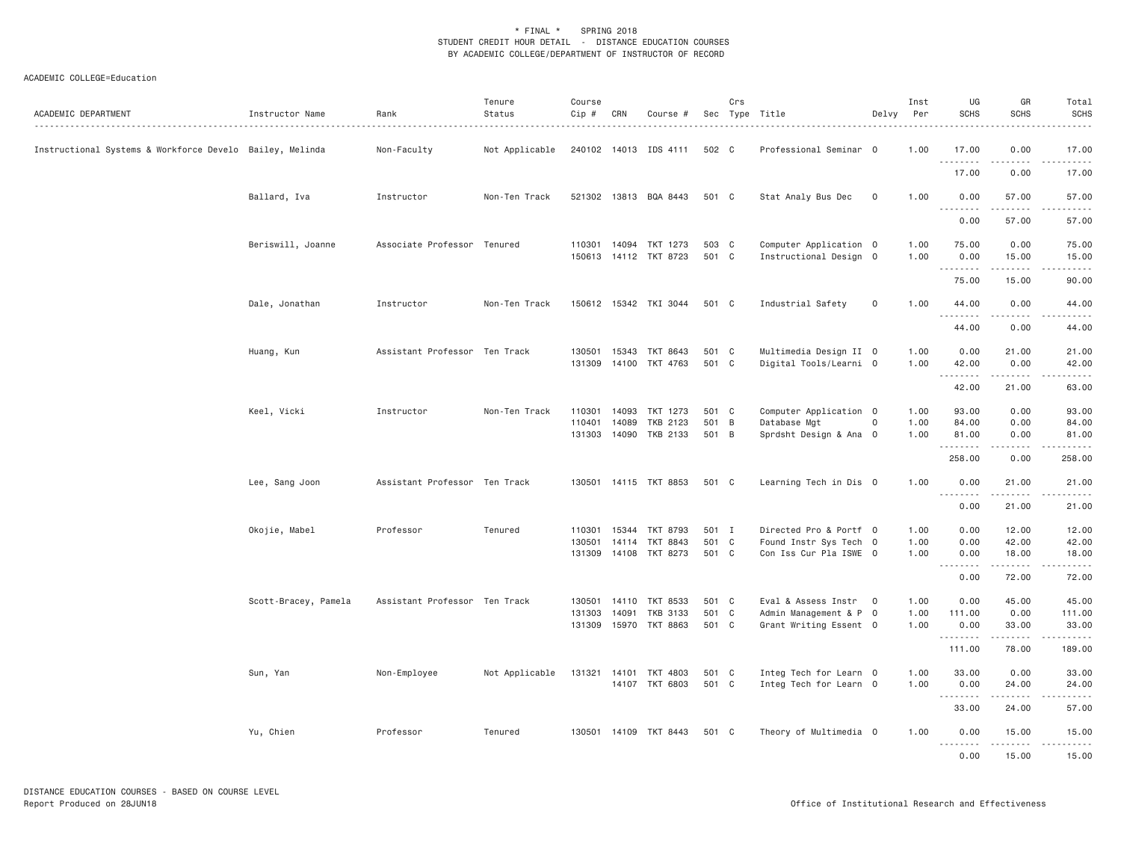| ACADEMIC DEPARTMENT                                      | Instructor Name      | Rank                          | Tenure<br>Status | Course<br>Cip # | CRN   | Course #              |       | Crs | Sec Type Title         | Delvy               | Inst<br>Per | UG<br><b>SCHS</b> | GR<br>SCHS           | Total<br><b>SCHS</b>                                                                                                                                                                     |
|----------------------------------------------------------|----------------------|-------------------------------|------------------|-----------------|-------|-----------------------|-------|-----|------------------------|---------------------|-------------|-------------------|----------------------|------------------------------------------------------------------------------------------------------------------------------------------------------------------------------------------|
| Instructional Systems & Workforce Develo Bailey, Melinda |                      | Non-Faculty                   | Not Applicable   |                 |       | 240102 14013 IDS 4111 | 502 C |     | Professional Seminar 0 |                     | 1.00        | 17.00<br>.        | 0.00<br>.            | 17.00<br>$\omega$ is a set                                                                                                                                                               |
|                                                          |                      |                               |                  |                 |       |                       |       |     |                        |                     |             | 17.00             | 0.00                 | 17.00                                                                                                                                                                                    |
|                                                          | Ballard, Iva         | Instructor                    | Non-Ten Track    |                 |       | 521302 13813 BQA 8443 | 501 C |     | Stat Analy Bus Dec     | $\mathbf 0$         | 1.00        | 0.00<br><u>.</u>  | 57.00<br>.           | 57.00<br>.                                                                                                                                                                               |
|                                                          |                      |                               |                  |                 |       |                       |       |     |                        |                     |             | 0.00              | 57.00                | 57.00                                                                                                                                                                                    |
|                                                          | Beriswill, Joanne    | Associate Professor Tenured   |                  |                 |       | 110301 14094 TKT 1273 | 503 C |     | Computer Application 0 |                     | 1.00        | 75.00             | 0.00                 | 75.00                                                                                                                                                                                    |
|                                                          |                      |                               |                  |                 |       | 150613 14112 TKT 8723 | 501 C |     | Instructional Design 0 |                     | 1.00        | 0.00<br><u>.</u>  | 15.00<br>$- - - - -$ | 15.00<br>.                                                                                                                                                                               |
|                                                          |                      |                               |                  |                 |       |                       |       |     |                        |                     |             | 75.00             | 15.00                | 90.00                                                                                                                                                                                    |
|                                                          | Dale, Jonathan       | Instructor                    | Non-Ten Track    |                 |       | 150612 15342 TKI 3044 | 501 C |     | Industrial Safety      | $\mathsf{O}\xspace$ | 1.00        | 44.00<br><u>.</u> | 0.00<br>.            | 44.00<br>.                                                                                                                                                                               |
|                                                          |                      |                               |                  |                 |       |                       |       |     |                        |                     |             | 44.00             | 0.00                 | 44.00                                                                                                                                                                                    |
|                                                          | Huang, Kun           | Assistant Professor Ten Track |                  | 130501          | 15343 | TKT 8643              | 501 C |     | Multimedia Design II 0 |                     | 1.00        | 0.00              | 21.00                | 21.00                                                                                                                                                                                    |
|                                                          |                      |                               |                  | 131309          |       | 14100 TKT 4763        | 501 C |     | Digital Tools/Learni 0 |                     | 1.00        | 42.00<br><u>.</u> | 0.00<br>-----        | 42.00<br>.                                                                                                                                                                               |
|                                                          |                      |                               |                  |                 |       |                       |       |     |                        |                     |             | 42.00             | 21.00                | 63.00                                                                                                                                                                                    |
|                                                          | Keel, Vicki          | Instructor                    | Non-Ten Track    | 110301          |       | 14093 TKT 1273        | 501 C |     | Computer Application 0 |                     | 1.00        | 93.00             | 0.00                 | 93.00                                                                                                                                                                                    |
|                                                          |                      |                               |                  | 110401          | 14089 | TKB 2123              | 501   | B   | Database Mgt           | $\mathbf 0$         | 1.00        | 84.00             | 0.00                 | 84.00                                                                                                                                                                                    |
|                                                          |                      |                               |                  |                 |       | 131303 14090 TKB 2133 | 501 B |     | Sprdsht Design & Ana 0 |                     | 1.00        | 81.00<br>.        | 0.00<br>.            | 81.00<br>.                                                                                                                                                                               |
|                                                          |                      |                               |                  |                 |       |                       |       |     |                        |                     |             | 258.00            | 0.00                 | 258.00                                                                                                                                                                                   |
|                                                          | Lee, Sang Joon       | Assistant Professor Ten Track |                  |                 |       | 130501 14115 TKT 8853 | 501 C |     | Learning Tech in Dis 0 |                     | 1.00        | 0.00<br>.         | 21.00<br>.           | 21.00<br>.                                                                                                                                                                               |
|                                                          |                      |                               |                  |                 |       |                       |       |     |                        |                     |             | 0.00              | 21.00                | 21.00                                                                                                                                                                                    |
|                                                          | Okojie, Mabel        | Professor                     | Tenured          | 110301          | 15344 | TKT 8793              | 501 I |     | Directed Pro & Portf 0 |                     | 1.00        | 0.00              | 12.00                | 12.00                                                                                                                                                                                    |
|                                                          |                      |                               |                  | 130501          | 14114 | TKT 8843              | 501 C |     | Found Instr Sys Tech 0 |                     | 1.00        | 0.00              | 42.00                | 42.00                                                                                                                                                                                    |
|                                                          |                      |                               |                  | 131309          |       | 14108 TKT 8273        | 501 C |     | Con Iss Cur Pla ISWE 0 |                     | 1.00        | 0.00              | 18.00<br>.           | 18.00<br>.                                                                                                                                                                               |
|                                                          |                      |                               |                  |                 |       |                       |       |     |                        |                     |             | 0.00              | 72.00                | 72.00                                                                                                                                                                                    |
|                                                          | Scott-Bracey, Pamela | Assistant Professor Ten Track |                  | 130501          | 14110 | TKT 8533              | 501 C |     | Eval & Assess Instr 0  |                     | 1.00        | 0.00              | 45.00                | 45.00                                                                                                                                                                                    |
|                                                          |                      |                               |                  | 131303          | 14091 | <b>TKB 3133</b>       | 501 C |     | Admin Management & P 0 |                     | 1.00        | 111.00            | 0.00                 | 111.00                                                                                                                                                                                   |
|                                                          |                      |                               |                  |                 |       | 131309 15970 TKT 8863 | 501 C |     | Grant Writing Essent 0 |                     | 1.00        | 0.00              | 33.00<br>.           | 33.00<br>$\frac{1}{2} \left( \frac{1}{2} \right) \left( \frac{1}{2} \right) \left( \frac{1}{2} \right) \left( \frac{1}{2} \right) \left( \frac{1}{2} \right) \left( \frac{1}{2} \right)$ |
|                                                          |                      |                               |                  |                 |       |                       |       |     |                        |                     |             | 111.00            | 78.00                | 189.00                                                                                                                                                                                   |
|                                                          | Sun, Yan             | Non-Employee                  | Not Applicable   | 131321          | 14101 | TKT 4803              | 501 C |     | Integ Tech for Learn 0 |                     | 1.00        | 33.00             | 0.00                 | 33.00                                                                                                                                                                                    |
|                                                          |                      |                               |                  |                 |       | 14107 TKT 6803        | 501 C |     | Integ Tech for Learn 0 |                     | 1.00        | 0.00<br><u>.</u>  | 24.00<br>.           | 24.00<br>.                                                                                                                                                                               |
|                                                          |                      |                               |                  |                 |       |                       |       |     |                        |                     |             | 33.00             | 24.00                | 57.00                                                                                                                                                                                    |
|                                                          | Yu, Chien            | Professor                     | Tenured          |                 |       | 130501 14109 TKT 8443 | 501 C |     | Theory of Multimedia 0 |                     | 1.00        | 0.00<br><u>.</u>  | 15.00<br>.           | 15.00<br>.                                                                                                                                                                               |
|                                                          |                      |                               |                  |                 |       |                       |       |     |                        |                     |             | 0.00              | 15.00                | 15.00                                                                                                                                                                                    |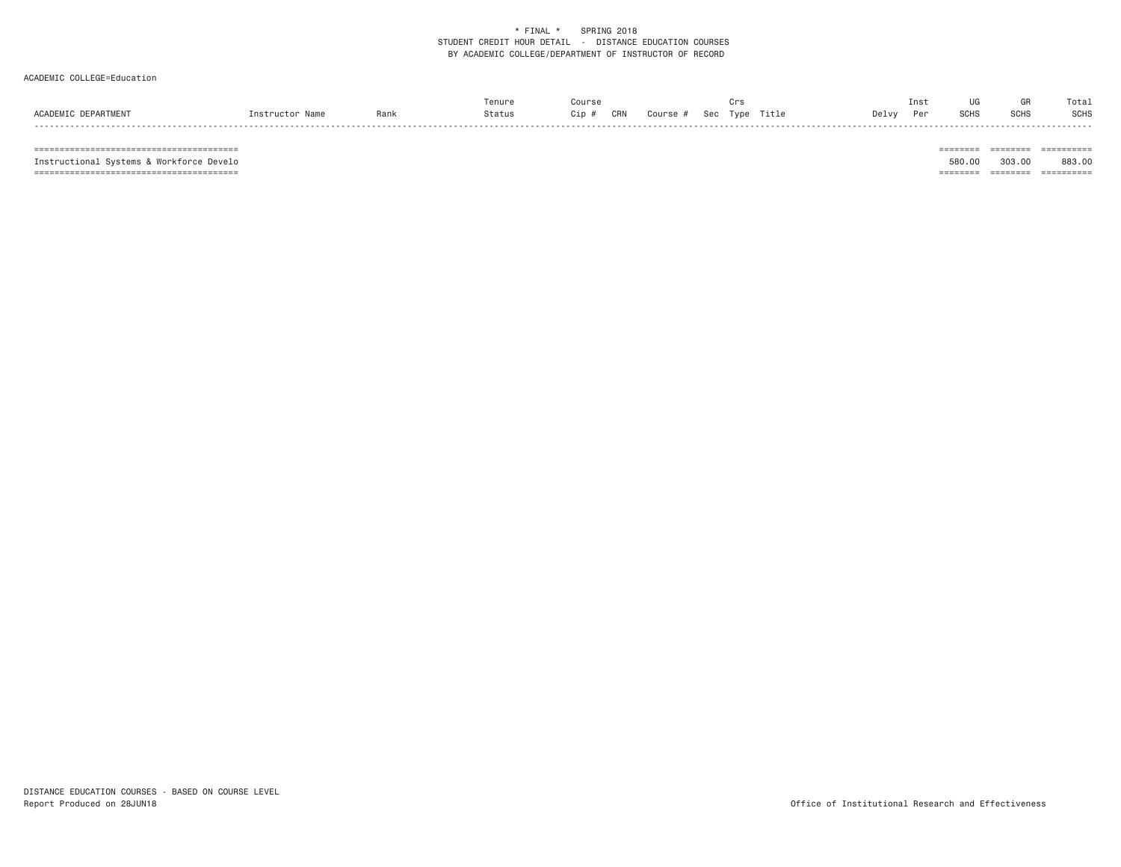#### ACADEMIC COLLEGE=Education

| ACADEM:<br><b>Soo</b> |      |      |        |            | Crs                     | Ins          |     |             |             |
|-----------------------|------|------|--------|------------|-------------------------|--------------|-----|-------------|-------------|
|                       | Name | Ranl | Status | CRN<br>`ip | Title<br>Course<br>Tvpe | Delvy<br>Per | SUH | <b>SCHS</b> | <b>SCHS</b> |

======================================== ======== ======== ==========

 $\begin{tabular}{lllllllllllll} \multicolumn{2}{l}{{\color{red}{{\color{red}\boldsymbol{z}}}}\hspace{-0.08in}{{\color{blue}\boldsymbol{z}}}\hspace{-0.08in} & \multicolumn{2}{l}{\color{blue}\boldsymbol{z}}\hspace{-0.08in}{{\color{blue}\boldsymbol{z}}}\hspace{-0.08in}{{\color{blue}\boldsymbol{z}}}\hspace{-0.08in} & \multicolumn{2}{l}{\color{blue}\boldsymbol{z}}\hspace{-0.08in}{{\color{blue}\boldsymbol{z}}}\hspace{-0.08in}{{\color{blue}\boldsymbol{z}}}\hspace{-0.08in}{{\color{$  Instructional Systems & Workforce Develo 580.00 303.00 883.00 ======================================== ======== ======== ==========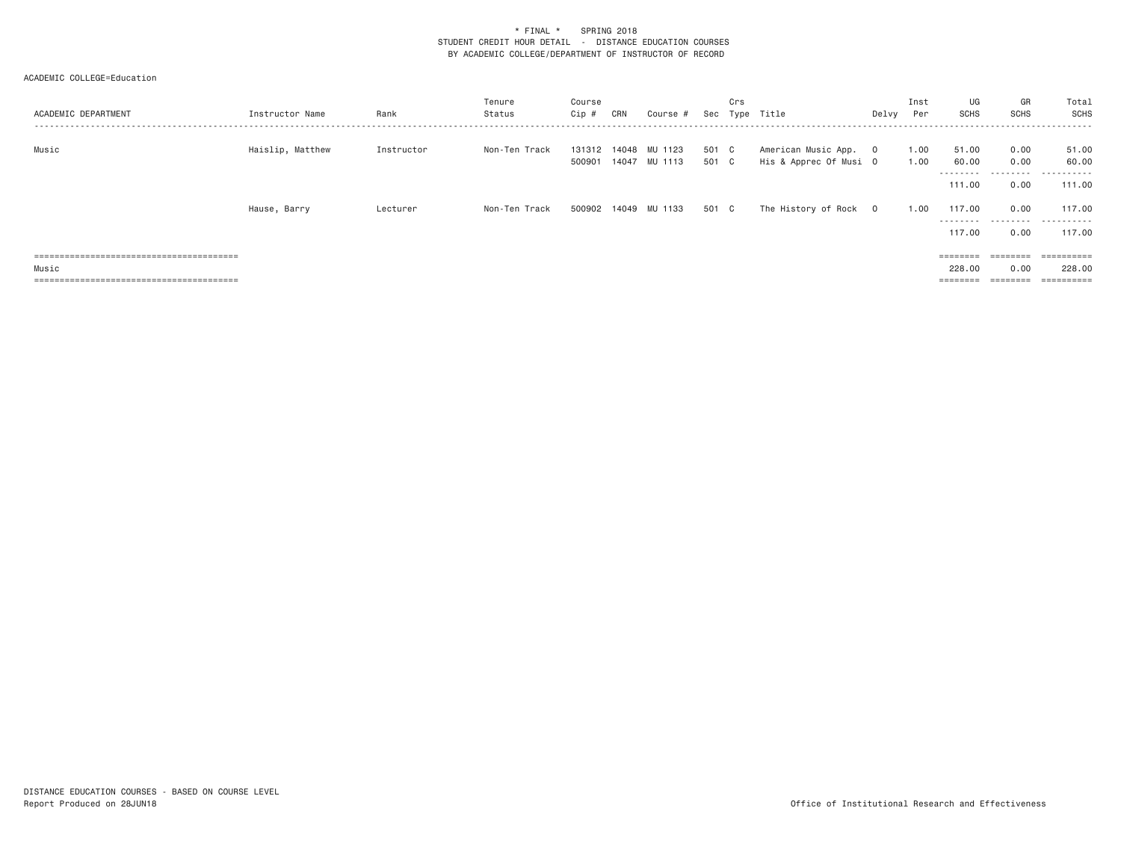| ACADEMIC DEPARTMENT | Instructor Name  | Rank       | Tenure<br>Status | Course<br>Cip # | CRN | Course #                                     |                | Crs | Sec Type Title                                  | Delvy | Inst<br>Per  | UG<br>SCHS                 | GR<br>SCHS        | Total<br>SCHS       |
|---------------------|------------------|------------|------------------|-----------------|-----|----------------------------------------------|----------------|-----|-------------------------------------------------|-------|--------------|----------------------------|-------------------|---------------------|
| Music               | Haislip, Matthew | Instructor | Non-Ten Track    |                 |     | 131312 14048 MU 1123<br>500901 14047 MU 1113 | 501 C<br>501 C |     | American Music App. 0<br>His & Apprec Of Musi O |       | 1.00<br>1.00 | 51.00<br>60.00<br>-------- | 0.00<br>0.00<br>. | 51.00<br>60.00<br>. |
|                     |                  |            |                  |                 |     |                                              |                |     |                                                 |       |              | 111.00                     | 0.00              | 111.00              |
|                     | Hause, Barry     | Lecturer   | Non-Ten Track    |                 |     | 500902 14049 MU 1133                         | 501 C          |     | The History of Rock 0                           |       | 1.00         | 117.00<br>--------         | 0.00<br>--------- | 117.00<br>-------   |
|                     |                  |            |                  |                 |     |                                              |                |     |                                                 |       |              | 117,00                     | 0.00              | 117.00              |
|                     |                  |            |                  |                 |     |                                              |                |     |                                                 |       |              |                            | ========          | ==========          |
| Music               |                  |            |                  |                 |     |                                              |                |     |                                                 |       |              | 228,00                     | 0.00              | 228,00              |
|                     |                  |            |                  |                 |     |                                              |                |     |                                                 |       |              | $=$ = = = = = = =          | ========          | ==========          |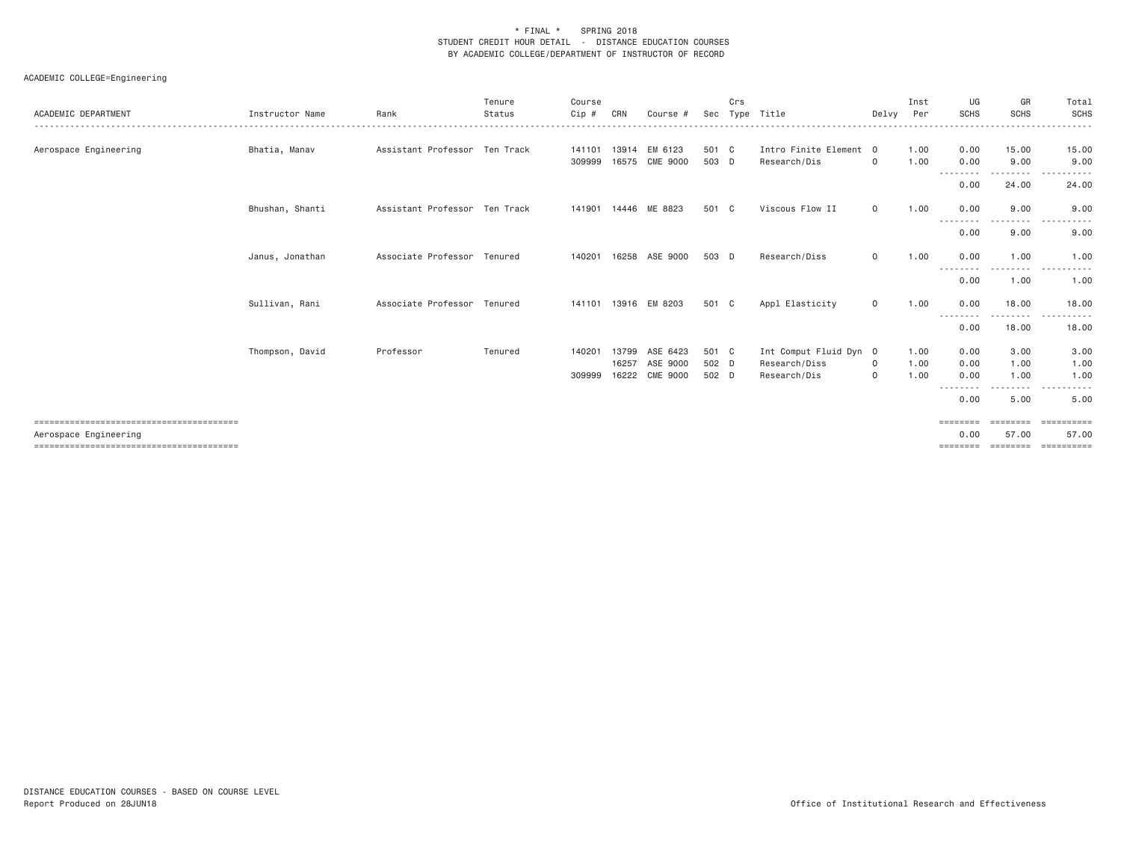| ACADEMIC DEPARTMENT   | Instructor Name | Rank                          | Tenure<br>Status | Course<br>Cip # | CRN   | Course #       | Sec   | Crs | Type Title             | Delvy        | Inst<br>Per | UG<br><b>SCHS</b> | GR<br><b>SCHS</b> | Total<br><b>SCHS</b>                                                                                                                   |
|-----------------------|-----------------|-------------------------------|------------------|-----------------|-------|----------------|-------|-----|------------------------|--------------|-------------|-------------------|-------------------|----------------------------------------------------------------------------------------------------------------------------------------|
| Aerospace Engineering | Bhatia, Manav   | Assistant Professor Ten Track |                  | 141101          | 13914 | EM 6123        | 501 C |     | Intro Finite Element 0 |              | 1.00        | 0.00              | 15.00             | 15.00                                                                                                                                  |
|                       |                 |                               |                  | 309999          | 16575 | CME 9000       | 503 D |     | Research/Dis           | $\circ$      | 1.00        | 0.00<br>--------  | 9.00<br>--------  | 9.00<br>.<br>------                                                                                                                    |
|                       |                 |                               |                  |                 |       |                |       |     |                        |              |             | 0.00              | 24.00             | 24,00                                                                                                                                  |
|                       | Bhushan, Shanti | Assistant Professor Ten Track |                  | 141901          |       | 14446 ME 8823  | 501 C |     | Viscous Flow II        | $\mathbf{0}$ | 1,00        | 0.00<br><u>.</u>  | 9,00<br>--------  | 9,00<br>$\cdots$<br>.                                                                                                                  |
|                       |                 |                               |                  |                 |       |                |       |     |                        |              |             | 0.00              | 9.00              | 9.00                                                                                                                                   |
|                       | Janus, Jonathan | Associate Professor Tenured   |                  | 140201          |       | 16258 ASE 9000 | 503 D |     | Research/Diss          | $\mathsf{O}$ | 1.00        | 0.00<br>--------- | 1.00<br>--------- | 1.00<br>$\frac{1}{2} \left( \frac{1}{2} \right) \left( \frac{1}{2} \right) \left( \frac{1}{2} \right) \left( \frac{1}{2} \right)$<br>. |
|                       |                 |                               |                  |                 |       |                |       |     |                        |              |             | 0.00              | 1.00              | 1.00                                                                                                                                   |
|                       | Sullivan, Rani  | Associate Professor Tenured   |                  | 141101          |       | 13916 EM 8203  | 501 C |     | Appl Elasticity        | $\circ$      | 1.00        | 0.00<br>--------  | 18,00             | 18,00                                                                                                                                  |
|                       |                 |                               |                  |                 |       |                |       |     |                        |              |             | 0.00              | 18.00             | 18.00                                                                                                                                  |
|                       | Thompson, David | Professor                     | Tenured          | 140201          |       | 13799 ASE 6423 | 501 C |     | Int Comput Fluid Dyn 0 |              | 1.00        | 0.00              | 3.00              | 3.00                                                                                                                                   |
|                       |                 |                               |                  |                 | 16257 | ASE 9000       | 502 D |     | Research/Diss          | $\mathbf{0}$ | 1.00        | 0.00              | 1,00              | 1.00                                                                                                                                   |
|                       |                 |                               |                  | 309999          |       | 16222 CME 9000 | 502 D |     | Research/Dis           | $\circ$      | 1.00        | 0.00              | 1.00              | 1.00                                                                                                                                   |
|                       |                 |                               |                  |                 |       |                |       |     |                        |              |             | 0.00              | ------<br>5.00    | $- - -$<br>------<br>5.00                                                                                                              |
|                       |                 |                               |                  |                 |       |                |       |     |                        |              |             | ========          | ========          | ----------                                                                                                                             |
| Aerospace Engineering |                 |                               |                  |                 |       |                |       |     |                        |              |             | 0.00              | 57.00             | 57.00                                                                                                                                  |
|                       |                 |                               |                  |                 |       |                |       |     |                        |              |             | =====             | ========          |                                                                                                                                        |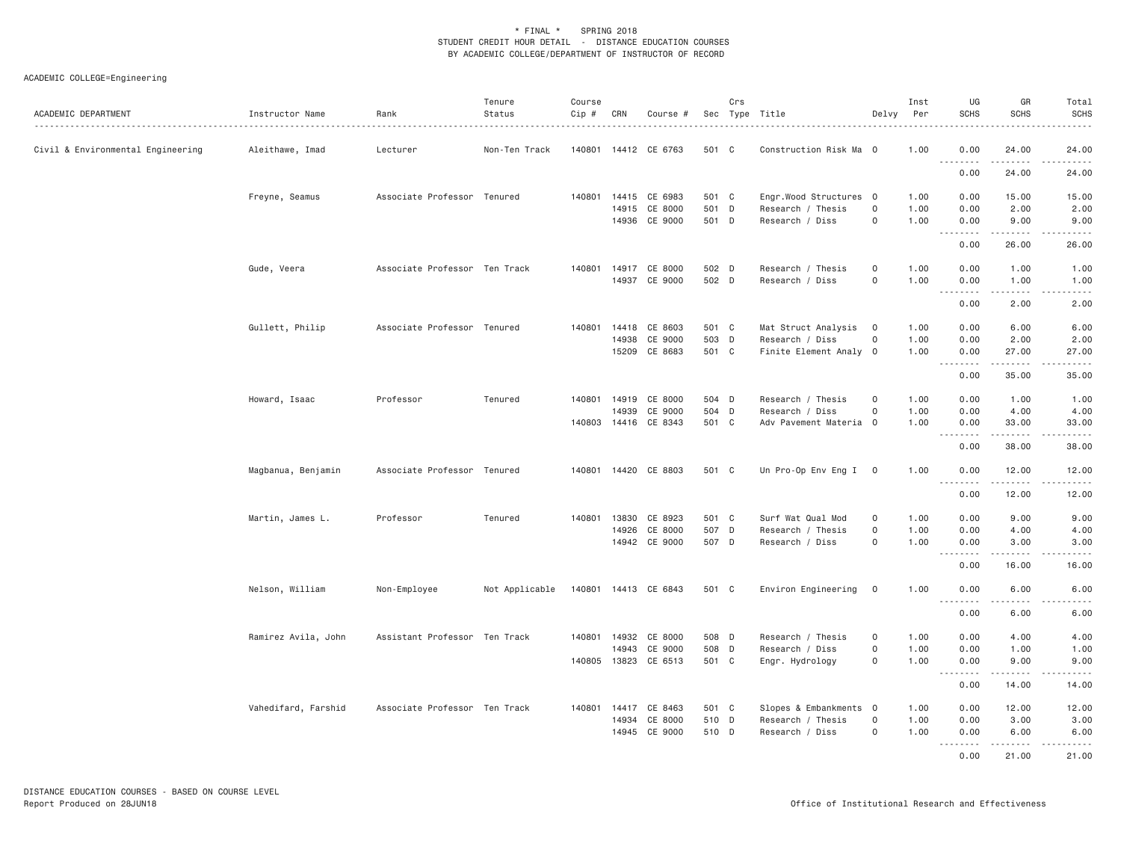| ACADEMIC DEPARTMENT               | Instructor Name     | Rank                          | Tenure<br>Status | Course<br>Cip # | CRN   | Course #                        |                | Crs | Sec Type Title                              | Delvy               | Inst<br>Per  | UG<br><b>SCHS</b>  | GR<br><b>SCHS</b>        | Total<br><b>SCHS</b> |
|-----------------------------------|---------------------|-------------------------------|------------------|-----------------|-------|---------------------------------|----------------|-----|---------------------------------------------|---------------------|--------------|--------------------|--------------------------|----------------------|
| Civil & Environmental Engineering | Aleithawe, Imad     | Lecturer                      | Non-Ten Track    |                 |       | 140801 14412 CE 6763            | 501 C          |     | Construction Risk Ma 0                      |                     | 1.00         | 0.00<br><u>.</u>   | 24.00<br>.               | 24.00<br>.           |
|                                   |                     |                               |                  |                 |       |                                 |                |     |                                             |                     |              | 0.00               | 24.00                    | 24.00                |
|                                   | Freyne, Seamus      | Associate Professor Tenured   |                  | 140801          |       | 14415 CE 6983                   | 501 C          |     | Engr.Wood Structures 0                      |                     | 1.00         | 0.00               | 15.00                    | 15.00                |
|                                   |                     |                               |                  |                 |       | 14915 CE 8000                   | 501 D          |     | Research / Thesis                           | $\mathsf{o}$        | 1.00         | 0.00               | 2.00                     | 2.00                 |
|                                   |                     |                               |                  |                 |       | 14936 CE 9000                   | 501 D          |     | Research / Diss                             | 0                   | 1.00         | 0.00<br>.          | 9.00<br>$- - - - -$      | 9.00<br>$- - - - -$  |
|                                   |                     |                               |                  |                 |       |                                 |                |     |                                             |                     |              | 0.00               | 26.00                    | 26.00                |
|                                   | Gude, Veera         | Associate Professor Ten Track |                  | 140801          |       | 14917 CE 8000                   | 502 D          |     | Research / Thesis                           | $\mathsf{o}$        | 1.00         | 0.00               | 1.00                     | 1.00                 |
|                                   |                     |                               |                  |                 |       | 14937 CE 9000                   | 502 D          |     | Research / Diss                             | $\mathsf{O}\xspace$ | 1.00         | 0.00               | 1.00                     | 1.00                 |
|                                   |                     |                               |                  |                 |       |                                 |                |     |                                             |                     |              | .<br>0.00          | .<br>2.00                | .<br>2.00            |
|                                   | Gullett, Philip     | Associate Professor Tenured   |                  | 140801          |       | 14418 CE 8603                   | 501 C          |     | Mat Struct Analysis                         | $\circ$             | 1.00         | 0.00               | 6.00                     | 6.00                 |
|                                   |                     |                               |                  |                 | 14938 | CE 9000                         | 503 D          |     | Research / Diss                             | $\mathsf{o}$        | 1.00         | 0.00               | 2.00                     | 2.00                 |
|                                   |                     |                               |                  |                 |       | 15209 CE 8683                   | 501 C          |     | Finite Element Analy 0                      |                     | 1.00         | 0.00               | 27.00                    | 27.00                |
|                                   |                     |                               |                  |                 |       |                                 |                |     |                                             |                     |              | .<br>0.00          | 35.00                    | .<br>35.00           |
|                                   |                     |                               |                  |                 |       |                                 |                |     |                                             |                     |              |                    |                          |                      |
|                                   | Howard, Isaac       | Professor                     | Tenured          | 140801          | 14939 | 14919 CE 8000<br>CE 9000        | 504 D<br>504 D |     | Research / Thesis<br>Research / Diss        | $\mathsf{o}$<br>0   | 1.00<br>1.00 | 0.00<br>0.00       | 1.00<br>4.00             | 1.00<br>4.00         |
|                                   |                     |                               |                  |                 |       | 140803  14416  CE  8343         | 501 C          |     | Adv Pavement Materia 0                      |                     | 1.00         | 0.00               | 33.00                    | 33.00                |
|                                   |                     |                               |                  |                 |       |                                 |                |     |                                             |                     |              | .<br>0.00          | .<br>38.00               | .<br>38.00           |
|                                   |                     |                               |                  |                 |       |                                 |                |     |                                             |                     |              |                    |                          |                      |
|                                   | Magbanua, Benjamin  | Associate Professor Tenured   |                  |                 |       | 140801 14420 CE 8803            | 501 C          |     | Un Pro-Op Env Eng I 0                       |                     | 1.00         | 0.00<br>.          | 12.00<br>$- - - - - - -$ | 12.00<br>.           |
|                                   |                     |                               |                  |                 |       |                                 |                |     |                                             |                     |              | 0.00               | 12.00                    | 12.00                |
|                                   | Martin, James L.    | Professor                     | Tenured          | 140801          |       | 13830 CE 8923                   | 501 C          |     | Surf Wat Qual Mod                           | $\circ$             | 1.00         | 0.00               | 9.00                     | 9.00                 |
|                                   |                     |                               |                  |                 |       | 14926 CE 8000                   | 507 D          |     | Research / Thesis                           | 0                   | 1.00         | 0.00               | 4.00                     | 4.00                 |
|                                   |                     |                               |                  |                 |       | 14942 CE 9000                   | 507 D          |     | Research / Diss                             | 0                   | 1.00         | 0.00<br>.          | 3.00<br>.                | 3.00<br>$   -$       |
|                                   |                     |                               |                  |                 |       |                                 |                |     |                                             |                     |              | 0.00               | 16.00                    | 16.00                |
|                                   | Nelson, William     | Non-Employee                  | Not Applicable   |                 |       | 140801 14413 CE 6843            | 501 C          |     | Environ Engineering                         | $\mathbf 0$         | 1.00         | 0.00<br>. <b>.</b> | 6.00                     | 6.00                 |
|                                   |                     |                               |                  |                 |       |                                 |                |     |                                             |                     |              | 0.00               | 6.00                     | 6.00                 |
|                                   | Ramirez Avila, John | Assistant Professor Ten Track |                  |                 |       | 140801 14932 CE 8000            | 508 D          |     | Research / Thesis                           | $\mathsf{o}$        | 1.00         | 0.00               | 4.00                     | 4.00                 |
|                                   |                     |                               |                  |                 |       | 14943 CE 9000                   | 508 D          |     | Research / Diss                             | 0                   | 1.00         | 0.00               | 1.00                     | 1.00                 |
|                                   |                     |                               |                  |                 |       | 140805 13823 CE 6513            | 501 C          |     | Engr. Hydrology                             | 0                   | 1.00         | 0.00               | 9.00                     | 9.00                 |
|                                   |                     |                               |                  |                 |       |                                 |                |     |                                             |                     |              | .<br>0.00          | 14.00                    | 14.00                |
|                                   |                     |                               |                  |                 |       |                                 |                |     |                                             |                     |              |                    |                          |                      |
|                                   | Vahedifard, Farshid | Associate Professor Ten Track |                  |                 | 14934 | 140801 14417 CE 8463<br>CE 8000 | 501 C<br>510 D |     | Slopes & Embankments 0<br>Research / Thesis | $\mathsf{o}$        | 1.00<br>1.00 | 0.00<br>0.00       | 12.00<br>3.00            | 12.00<br>3.00        |
|                                   |                     |                               |                  |                 | 14945 | CE 9000                         | 510 D          |     | Research / Diss                             | 0                   | 1.00         | 0.00               | 6.00                     | 6.00                 |
|                                   |                     |                               |                  |                 |       |                                 |                |     |                                             |                     |              | .<br>0.00          | 21.00                    | .<br>21.00           |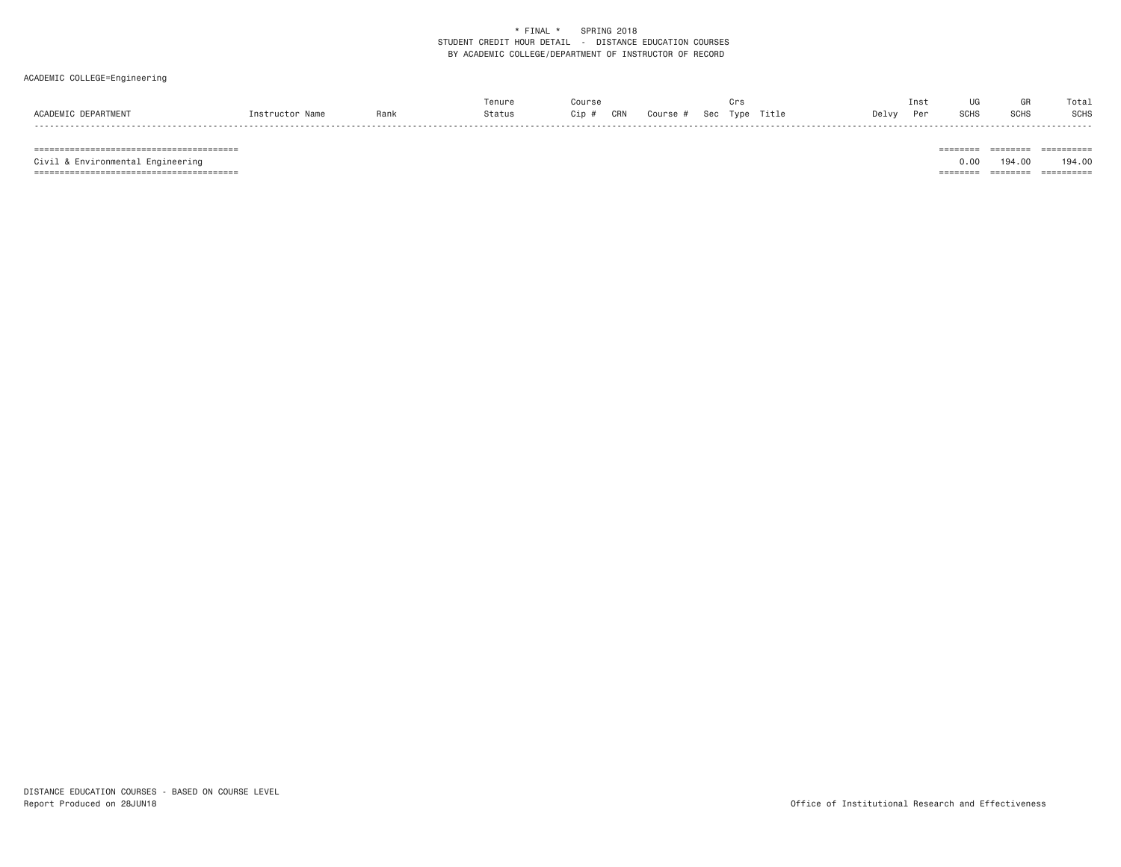### ACADEMIC COLLEGE=Engineering

|     |                     |            |      |        |              |                               | Ins          |             | Tota. |
|-----|---------------------|------------|------|--------|--------------|-------------------------------|--------------|-------------|-------|
| וטכ | ACADEM <sup>"</sup> | instructor | Rank | Status | CRN<br>Cin f | Title<br>Course<br><b>Sec</b> | Delv∖<br>Dor | <b>SCHS</b> | SCHS  |

======================================== ======== ======== ==========

======================================== ======== ======== ==========

 $\begin{tabular}{lllllllllllll} \multicolumn{2}{l}{{\color{red}{{\color{red}\boldsymbol{z}}}}\hspace{-0.08in}{{\color{blue}\boldsymbol{z}}}\hspace{-0.08in} & \multicolumn{2}{l}{\color{blue}\boldsymbol{z}}\hspace{-0.08in}{{\color{blue}\boldsymbol{z}}}\hspace{-0.08in}{{\color{blue}\boldsymbol{z}}}\hspace{-0.08in} & \multicolumn{2}{l}{\color{blue}\boldsymbol{z}}\hspace{-0.08in}{{\color{blue}\boldsymbol{z}}}\hspace{-0.08in}{{\color{blue}\boldsymbol{z}}}\hspace{-0.08in}{{\color{$ Civil & Environmental Engineering 0.00 194.00 194.00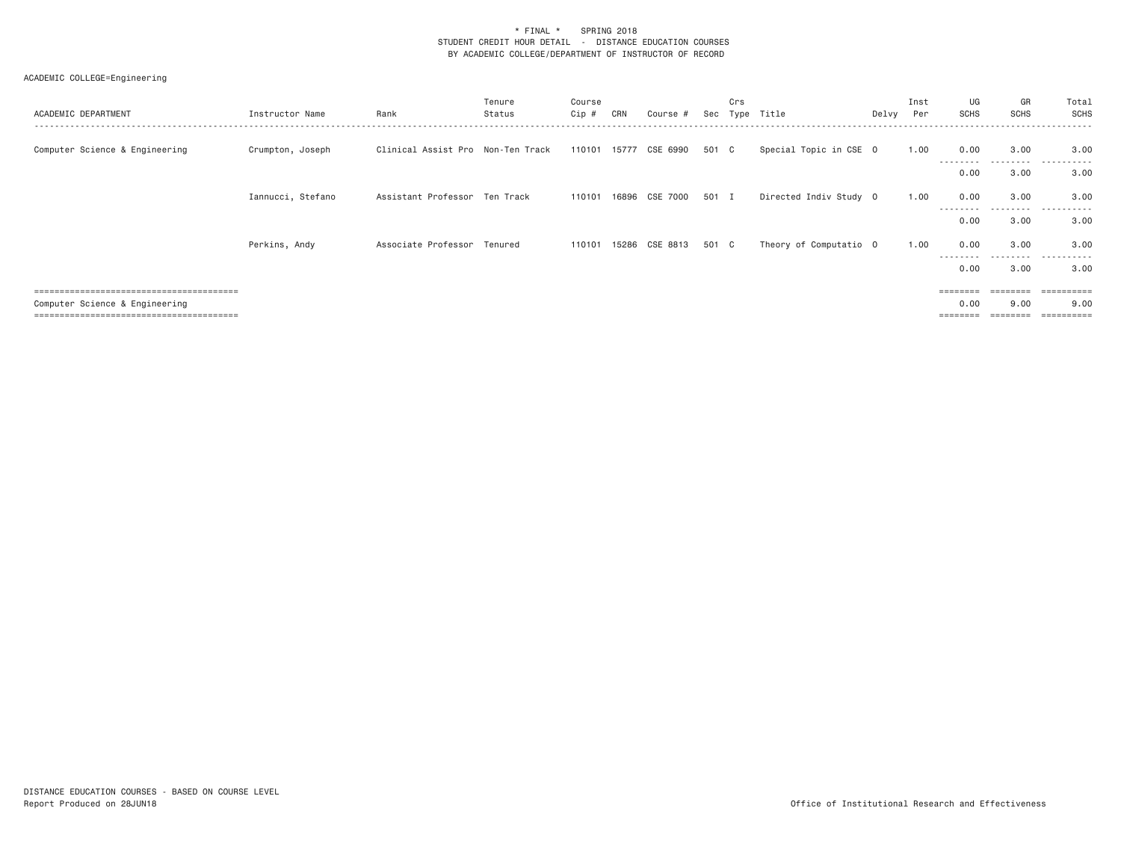| ACADEMIC DEPARTMENT            | Instructor Name   | Rank                              | Tenure<br>Status | Course<br>Cip # | CRN | Course #                 | Sec   | Crs<br>Type | Title                  | Delvy Per | Inst | UG<br>SCHS        | GR<br><b>SCHS</b>  | Total<br>SCHS                   |
|--------------------------------|-------------------|-----------------------------------|------------------|-----------------|-----|--------------------------|-------|-------------|------------------------|-----------|------|-------------------|--------------------|---------------------------------|
| Computer Science & Engineering | Crumpton, Joseph  | Clinical Assist Pro Non-Ten Track |                  |                 |     | 110101 15777 CSE 6990    | 501 C |             | Special Topic in CSE 0 |           | 1.00 | 0.00<br>--------  | 3.00<br>. <u>.</u> | 3.00<br>$- - -$<br>. <b>.</b> . |
|                                |                   |                                   |                  |                 |     |                          |       |             |                        |           |      | 0.00              | 3.00               | 3.00                            |
|                                | Iannucci, Stefano | Assistant Professor Ten Track     |                  |                 |     | 110101  16896  CSE  7000 | 501 I |             | Directed Indiv Study 0 |           | 1,00 | 0.00<br>--------  | 3.00<br>------     | 3.00                            |
|                                |                   |                                   |                  |                 |     |                          |       |             |                        |           |      | 0.00              | 3.00               | 3.00                            |
|                                | Perkins, Andy     | Associate Professor Tenured       |                  | 110101          |     | 15286 CSE 8813           | 501 C |             | Theory of Computatio 0 |           | 1,00 | 0.00<br>--------- | 3.00<br>---------  | 3,00<br>.                       |
|                                |                   |                                   |                  |                 |     |                          |       |             |                        |           |      | 0.00              | 3.00               | 3.00                            |
|                                |                   |                                   |                  |                 |     |                          |       |             |                        |           |      | ========          | ========           | ==========                      |
| Computer Science & Engineering |                   |                                   |                  |                 |     |                          |       |             |                        |           |      | 0.00              | 9,00               | 9.00                            |
|                                |                   |                                   |                  |                 |     |                          |       |             |                        |           |      |                   |                    |                                 |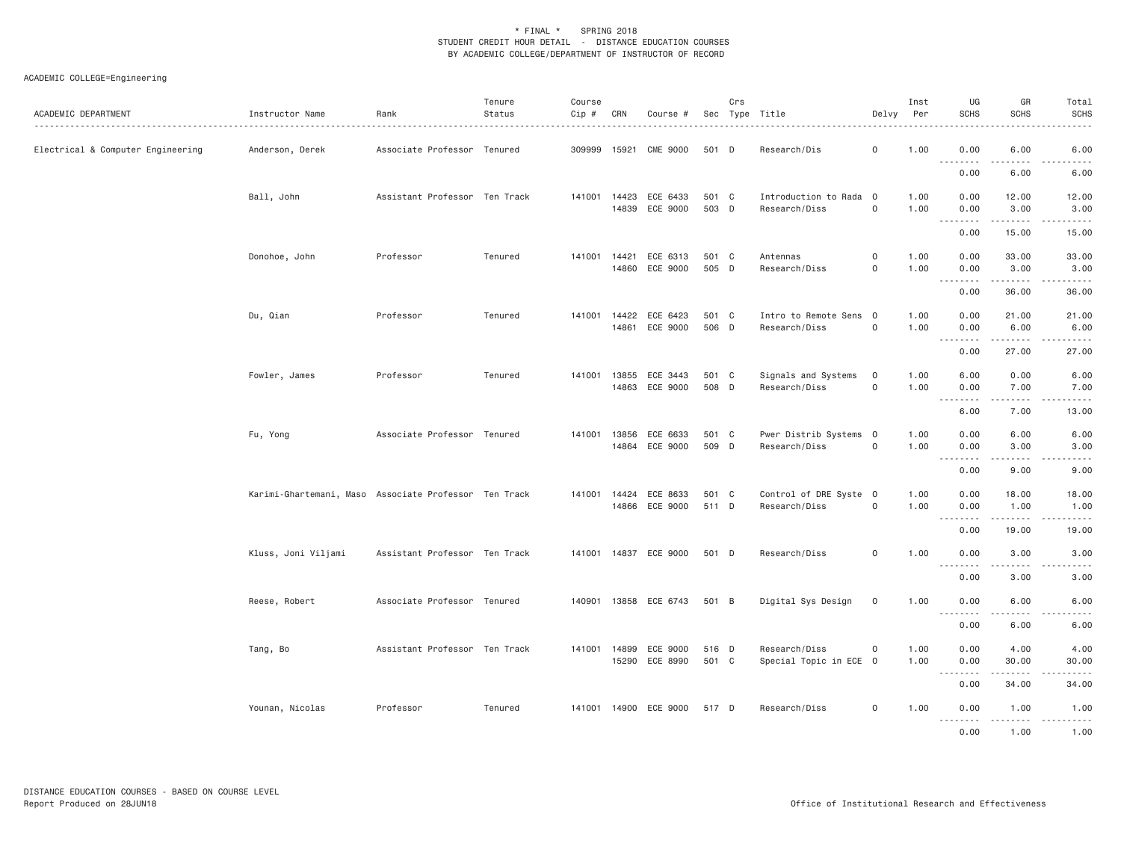| ACADEMIC DEPARTMENT               | Instructor Name                                       | Rank                          | Tenure<br>Status | Course<br>Cip # | CRN   | Course #                                   |                | Crs | Sec Type Title                          | Delvy                        | Inst<br>Per  | UG<br><b>SCHS</b> | GR<br>SCHS            | Total<br><b>SCHS</b><br>$- - - - -$                                                                                                                          |
|-----------------------------------|-------------------------------------------------------|-------------------------------|------------------|-----------------|-------|--------------------------------------------|----------------|-----|-----------------------------------------|------------------------------|--------------|-------------------|-----------------------|--------------------------------------------------------------------------------------------------------------------------------------------------------------|
| Electrical & Computer Engineering | Anderson, Derek                                       | Associate Professor Tenured   |                  | 309999          |       | 15921 CME 9000                             | 501 D          |     | Research/Dis                            | $\mathsf{o}$                 | 1.00         | 0.00<br>.         | 6.00<br>الأعامات      | 6.00<br>$\frac{1}{2} \left( \frac{1}{2} \right) \left( \frac{1}{2} \right) \left( \frac{1}{2} \right) \left( \frac{1}{2} \right) \left( \frac{1}{2} \right)$ |
|                                   |                                                       |                               |                  |                 |       |                                            |                |     |                                         |                              |              | 0.00              | 6.00                  | 6.00                                                                                                                                                         |
|                                   | Ball, John                                            | Assistant Professor Ten Track |                  | 141001 14423    |       | ECE 6433<br>14839 ECE 9000                 | 501 C<br>503 D |     | Introduction to Rada 0<br>Research/Diss | $\mathsf{O}$                 | 1.00<br>1.00 | 0.00<br>0.00      | 12.00<br>3.00         | 12.00<br>3.00                                                                                                                                                |
|                                   |                                                       |                               |                  |                 |       |                                            |                |     |                                         |                              |              | .<br>0.00         | .<br>15.00            | .<br>15.00                                                                                                                                                   |
|                                   | Donohoe, John                                         | Professor                     | Tenured          |                 |       | 141001  14421  ECE  6313<br>14860 ECE 9000 | 501 C<br>505 D |     | Antennas<br>Research/Diss               | $\mathsf{O}$<br>$\mathsf{O}$ | 1.00<br>1.00 | 0.00<br>0.00      | 33.00<br>3.00         | 33.00<br>3.00                                                                                                                                                |
|                                   |                                                       |                               |                  |                 |       |                                            |                |     |                                         |                              |              | 0.00              | .<br>36.00            | .<br>36.00                                                                                                                                                   |
|                                   | Du, Qian                                              | Professor                     | Tenured          | 141001          | 14422 | ECE 6423<br>14861 ECE 9000                 | 501 C<br>506 D |     | Intro to Remote Sens 0<br>Research/Diss | $\mathsf{O}$                 | 1.00<br>1.00 | 0.00<br>0.00      | 21.00<br>6.00         | 21.00<br>6.00                                                                                                                                                |
|                                   |                                                       |                               |                  |                 |       |                                            |                |     |                                         |                              |              | .<br>0.00         | .<br>27.00            | .<br>27.00                                                                                                                                                   |
|                                   | Fowler, James                                         | Professor                     | Tenured          | 141001          | 13855 | ECE 3443<br>14863 ECE 9000                 | 501 C<br>508 D |     | Signals and Systems<br>Research/Diss    | $\mathsf{O}$<br>$\mathsf{O}$ | 1.00<br>1.00 | 6.00<br>0.00      | 0.00<br>7.00          | 6.00<br>7.00                                                                                                                                                 |
|                                   |                                                       |                               |                  |                 |       |                                            |                |     |                                         |                              |              | .<br>6.00         | $\frac{1}{2}$<br>7.00 | -----<br>13.00                                                                                                                                               |
|                                   | Fu, Yong                                              | Associate Professor Tenured   |                  | 141001          | 13856 | ECE 6633<br>14864 ECE 9000                 | 501 C<br>509 D |     | Pwer Distrib Systems 0<br>Research/Diss | $\mathsf{O}$                 | 1.00<br>1.00 | 0.00<br>0.00      | 6.00<br>3.00          | 6.00<br>3.00                                                                                                                                                 |
|                                   |                                                       |                               |                  |                 |       |                                            |                |     |                                         |                              |              | .<br>0.00         | .<br>9.00             | -----<br>9.00                                                                                                                                                |
|                                   | Karimi-Ghartemani, Maso Associate Professor Ten Track |                               |                  |                 |       | 141001  14424  ECE  8633<br>14866 ECE 9000 | 501 C<br>511 D |     | Control of DRE Syste 0<br>Research/Diss | $\mathsf{O}$                 | 1.00<br>1.00 | 0.00<br>0.00      | 18.00<br>1.00         | 18.00<br>1.00                                                                                                                                                |
|                                   |                                                       |                               |                  |                 |       |                                            |                |     |                                         |                              |              | 0.00              | .<br>19.00            | .<br>19.00                                                                                                                                                   |
|                                   | Kluss, Joni Viljami                                   | Assistant Professor Ten Track |                  |                 |       | 141001  14837  ECE  9000                   | 501 D          |     | Research/Diss                           | $\mathsf{O}$                 | 1.00         | 0.00              | 3.00                  | 3.00                                                                                                                                                         |
|                                   |                                                       |                               |                  |                 |       |                                            |                |     |                                         |                              |              | .<br>0.00         | .<br>3.00             | $\frac{1}{2} \left( \frac{1}{2} \right) \left( \frac{1}{2} \right) \left( \frac{1}{2} \right) \left( \frac{1}{2} \right) \left( \frac{1}{2} \right)$<br>3.00 |
|                                   | Reese, Robert                                         | Associate Professor Tenured   |                  |                 |       | 140901 13858 ECE 6743                      | 501 B          |     | Digital Sys Design                      | $\mathbf 0$                  | 1.00         | 0.00              | 6.00<br>.             | 6.00<br>-----                                                                                                                                                |
|                                   |                                                       |                               |                  |                 |       |                                            |                |     |                                         |                              |              | .<br>0.00         | 6.00                  | 6.00                                                                                                                                                         |
|                                   | Tang, Bo                                              | Assistant Professor Ten Track |                  | 141001          | 14899 | ECE 9000<br>15290 ECE 8990                 | 516 D<br>501 C |     | Research/Diss<br>Special Topic in ECE 0 | $\circ$                      | 1.00<br>1.00 | 0.00<br>0.00      | 4.00<br>30.00         | 4.00<br>30.00                                                                                                                                                |
|                                   |                                                       |                               |                  |                 |       |                                            |                |     |                                         |                              |              | 0.00              | .<br>34.00            | المستسب<br>34.00                                                                                                                                             |
|                                   | Younan, Nicolas                                       | Professor                     | Tenured          |                 |       | 141001 14900 ECE 9000                      | 517 D          |     | Research/Diss                           | $\mathbf 0$                  | 1.00         | 0.00              | 1.00                  | 1.00                                                                                                                                                         |
|                                   |                                                       |                               |                  |                 |       |                                            |                |     |                                         |                              |              | .<br>0.00         | .<br>1.00             | .<br>$- - - -$<br>1.00                                                                                                                                       |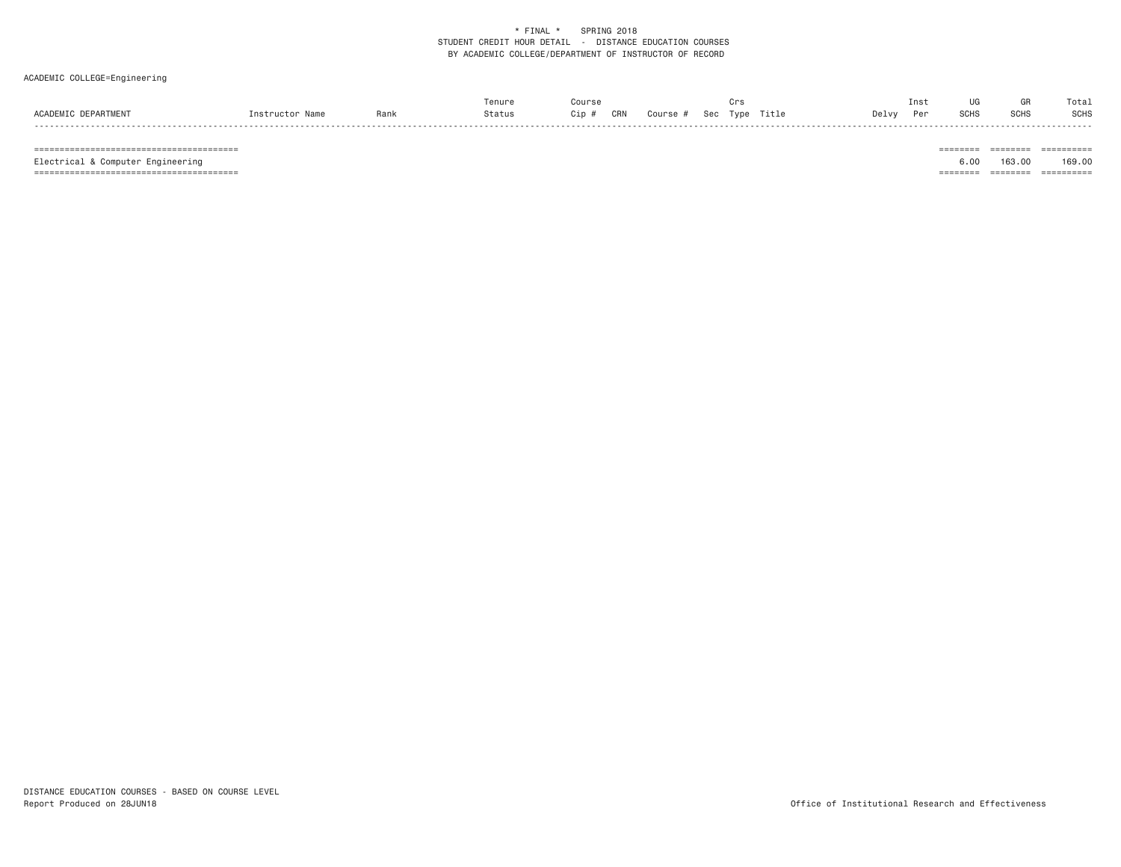### ACADEMIC COLLEGE=Engineering

|     |                     |            |      |        |              |                               | Ins          |             | Tota. |
|-----|---------------------|------------|------|--------|--------------|-------------------------------|--------------|-------------|-------|
| וטכ | ACADEM <sup>"</sup> | instructor | Rank | Status | CRN<br>Cin f | Title<br>Course<br><b>Sec</b> | Delv∖<br>Dor | <b>SCHS</b> | SCHS  |

======================================== ======== ======== ==========

======================================== ======== ======== ==========

 $\begin{tabular}{lllllllllllll} \multicolumn{2}{l}{{\color{red}{{\color{red}\boldsymbol{z}}}}\hspace{-0.08in}{{\color{blue}\boldsymbol{z}}}\hspace{-0.08in} & \multicolumn{2}{l}{\color{blue}\boldsymbol{z}}\hspace{-0.08in}{{\color{blue}\boldsymbol{z}}}\hspace{-0.08in}{{\color{blue}\boldsymbol{z}}}\hspace{-0.08in} & \multicolumn{2}{l}{\color{blue}\boldsymbol{z}}\hspace{-0.08in}{{\color{blue}\boldsymbol{z}}}\hspace{-0.08in}{{\color{blue}\boldsymbol{z}}}\hspace{-0.08in}{{\color{$ Electrical & Computer Engineering 6.00 163.00 169.00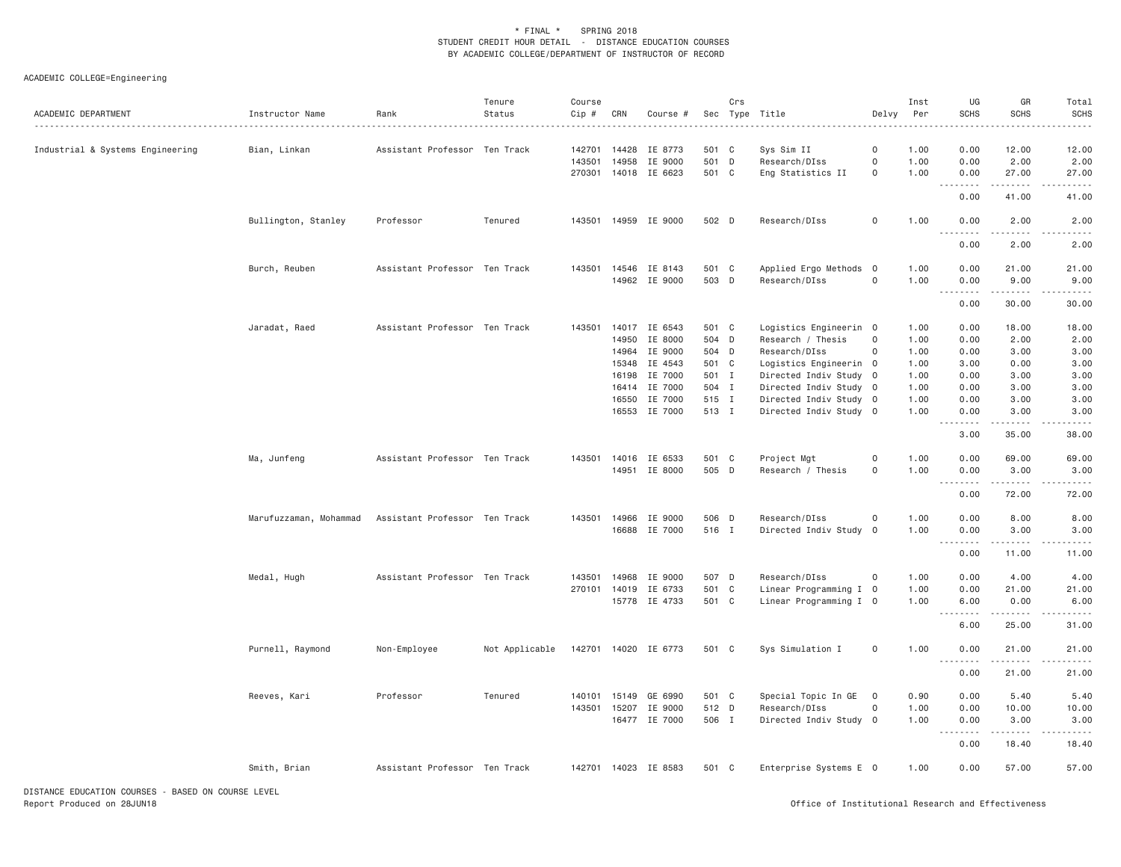| ACADEMIC DEPARTMENT                                | Instructor Name        | Rank                          | Tenure<br>Status | Course<br>Cip # | CRN   | Course #             |       | Crs | Sec Type Title         | Delvy          | Inst<br>Per  | UG<br><b>SCHS</b>                                        | GR<br><b>SCHS</b>    | Total<br><b>SCHS</b> |
|----------------------------------------------------|------------------------|-------------------------------|------------------|-----------------|-------|----------------------|-------|-----|------------------------|----------------|--------------|----------------------------------------------------------|----------------------|----------------------|
| Industrial & Systems Engineering                   | Bian, Linkan           | Assistant Professor Ten Track |                  | 142701          |       | 14428 IE 8773        | 501 C |     | Sys Sim II             | 0              | 1.00         | 0.00                                                     | 12.00                | 12.00                |
|                                                    |                        |                               |                  | 143501          | 14958 | IE 9000              | 501 D |     | Research/DIss          | 0              | 1.00         | 0.00                                                     | 2.00                 | 2.00                 |
|                                                    |                        |                               |                  | 270301          |       | 14018 IE 6623        | 501 C |     | Eng Statistics II      | $\circ$        | 1.00         | 0.00                                                     | 27.00                | 27.00                |
|                                                    |                        |                               |                  |                 |       |                      |       |     |                        |                |              | .<br>0.00                                                | .<br>41.00           | د د د د د<br>41.00   |
|                                                    | Bullington, Stanley    | Professor                     | Tenured          |                 |       | 143501 14959 IE 9000 | 502 D |     | Research/DIss          | 0              | 1.00         | 0.00<br>.                                                | 2.00                 | 2.00                 |
|                                                    |                        |                               |                  |                 |       |                      |       |     |                        |                |              | 0.00                                                     | 2.00                 | 2.00                 |
|                                                    | Burch, Reuben          | Assistant Professor Ten Track |                  | 143501          |       | 14546 IE 8143        | 501 C |     | Applied Ergo Methods 0 |                | 1.00         | 0.00                                                     | 21.00                | 21.00                |
|                                                    |                        |                               |                  |                 |       | 14962 IE 9000        | 503 D |     | Research/DIss          | $\mathsf{o}$   | 1.00         | 0.00                                                     | 9.00                 | 9.00                 |
|                                                    |                        |                               |                  |                 |       |                      |       |     |                        |                |              | 0.00                                                     | 30.00                | 30.00                |
|                                                    | Jaradat, Raed          | Assistant Professor Ten Track |                  | 143501          |       | 14017 IE 6543        | 501 C |     | Logistics Engineerin 0 |                | 1.00         | 0.00                                                     | 18.00                | 18.00                |
|                                                    |                        |                               |                  |                 | 14950 | IE 8000              | 504 D |     | Research / Thesis      | $\Omega$       | 1.00         | 0.00                                                     | 2.00                 | 2.00                 |
|                                                    |                        |                               |                  |                 | 14964 | IE 9000              | 504 D |     | Research/DIss          | 0              | 1.00         | 0.00                                                     | 3.00                 | 3.00                 |
|                                                    |                        |                               |                  |                 | 15348 | IE 4543              | 501 C |     | Logistics Engineerin 0 |                | 1.00         | 3.00                                                     | 0.00                 | 3.00                 |
|                                                    |                        |                               |                  |                 | 16198 | IE 7000              | 501 I |     | Directed Indiv Study 0 |                | 1.00         | 0.00                                                     | 3.00                 | 3.00                 |
|                                                    |                        |                               |                  |                 |       | 16414 IE 7000        | 504 I |     | Directed Indiv Study 0 |                | 1.00         | 0.00                                                     | 3.00                 | 3.00                 |
|                                                    |                        |                               |                  |                 | 16550 | IE 7000              | 515 I |     | Directed Indiv Study 0 |                | 1.00         | 0.00                                                     | 3.00                 | 3.00                 |
|                                                    |                        |                               |                  |                 |       | 16553 IE 7000        | 513 I |     | Directed Indiv Study 0 |                | 1.00         | 0.00                                                     | 3.00                 | 3.00                 |
|                                                    |                        |                               |                  |                 |       |                      |       |     |                        |                |              | .<br>3.00                                                | 35.00                | 38.00                |
|                                                    | Ma, Junfeng            | Assistant Professor Ten Track |                  |                 |       | 143501 14016 IE 6533 | 501 C |     | Project Mgt            | 0              | 1.00         | 0.00                                                     | 69.00                | 69.00                |
|                                                    |                        |                               |                  |                 |       | 14951 IE 8000        | 505 D |     | Research / Thesis      | 0              | 1.00         | 0.00                                                     | 3.00                 | 3.00                 |
|                                                    |                        |                               |                  |                 |       |                      |       |     |                        |                |              | $ -$<br>$\sim$ $\sim$ $\sim$ $\sim$<br>0.00              | 72.00                | 72.00                |
|                                                    |                        |                               |                  |                 |       |                      |       |     |                        |                |              |                                                          |                      |                      |
|                                                    | Marufuzzaman, Mohammad | Assistant Professor Ten Track |                  |                 |       | 143501 14966 IE 9000 | 506 D |     | Research/DIss          | $\mathbf 0$    | 1.00         | 0.00                                                     | 8.00                 | 8.00                 |
|                                                    |                        |                               |                  |                 |       | 16688 IE 7000        | 516 I |     | Directed Indiv Study   | $\overline{0}$ | 1.00         | 0.00<br><b><i><u><u><b>Little Little</b></u></u></i></b> | 3,00<br>. <b>.</b>   | 3.00<br>.            |
|                                                    |                        |                               |                  |                 |       |                      |       |     |                        |                |              | 0.00                                                     | 11.00                | 11.00                |
|                                                    | Medal, Hugh            | Assistant Professor Ten Track |                  | 143501          | 14968 | IE 9000              | 507 D |     | Research/DIss          | 0              | 1.00         | 0.00                                                     | 4.00                 | 4.00                 |
|                                                    |                        |                               |                  |                 |       | 270101 14019 IE 6733 | 501 C |     | Linear Programming I 0 |                | 1.00         | 0.00                                                     | 21.00                | 21.00                |
|                                                    |                        |                               |                  |                 |       | 15778 IE 4733        | 501 C |     | Linear Programming I 0 |                | 1.00         | 6.00                                                     | 0.00                 | 6.00                 |
|                                                    |                        |                               |                  |                 |       |                      |       |     |                        |                |              | 6.00                                                     | $- - - - -$<br>25.00 | .<br>31.00           |
|                                                    | Purnell, Raymond       | Non-Employee                  | Not Applicable   |                 |       | 142701 14020 IE 6773 | 501 C |     | Sys Simulation I       | $\mathbf 0$    | 1.00         | 0.00                                                     | 21.00                | 21.00                |
|                                                    |                        |                               |                  |                 |       |                      |       |     |                        |                |              | .<br>0.00                                                | .<br>21.00           | 21.00                |
|                                                    |                        |                               |                  |                 |       |                      |       |     |                        |                |              |                                                          |                      |                      |
|                                                    | Reeves, Kari           | Professor                     | Tenured          | 140101          |       | 15149 GE 6990        | 501 C |     | Special Topic In GE 0  |                | 0.90<br>1.00 | 0.00                                                     | 5.40                 | 5.40                 |
|                                                    |                        |                               |                  | 143501          |       | 15207 IE 9000        | 512 D |     | Research/DIss          | 0              |              | 0.00                                                     | 10.00                | 10.00                |
|                                                    |                        |                               |                  |                 |       | 16477 IE 7000        | 506 I |     | Directed Indiv Study 0 |                | 1.00         | 0.00<br>.                                                | 3.00                 | 3.00                 |
|                                                    |                        |                               |                  |                 |       |                      |       |     |                        |                |              | 0.00                                                     | 18.40                | 18.40                |
|                                                    | Smith, Brian           | Assistant Professor Ten Track |                  |                 |       | 142701 14023 IE 8583 | 501 C |     | Enterprise Systems E 0 |                | 1.00         | 0.00                                                     | 57.00                | 57.00                |
| DISTANCE EDUCATION COURSES - BASED ON COURSE LEVEL |                        |                               |                  |                 |       |                      |       |     |                        |                |              |                                                          |                      |                      |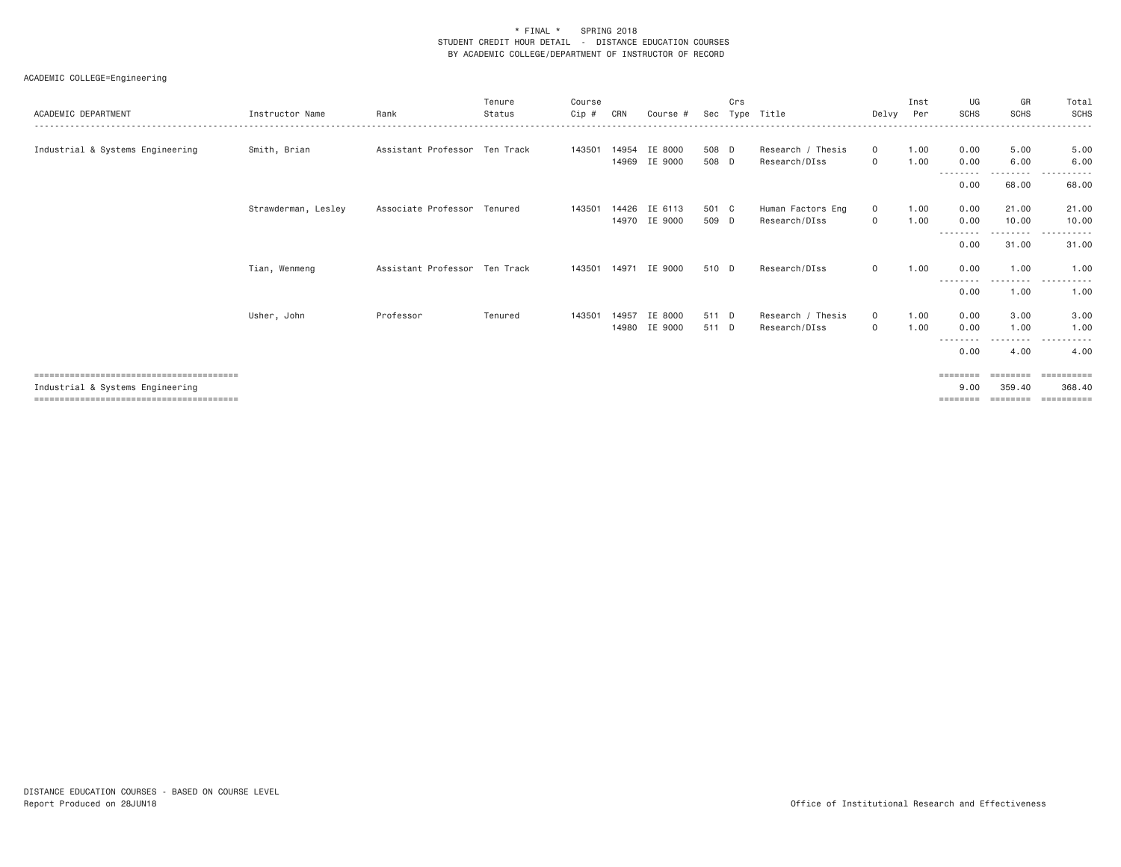| ACADEMIC DEPARTMENT              | Instructor Name     | Rank                          | Tenure<br>Status | Course<br>Cip # | CRN   | Course #                 | Sec            | Crs | Type Title                         | Delvy                   | Inst<br>Per  | UG<br>SCHS                            | GR<br><b>SCHS</b>                       | Total<br>SCHS                                      |
|----------------------------------|---------------------|-------------------------------|------------------|-----------------|-------|--------------------------|----------------|-----|------------------------------------|-------------------------|--------------|---------------------------------------|-----------------------------------------|----------------------------------------------------|
| Industrial & Systems Engineering | Smith, Brian        | Assistant Professor Ten Track |                  | 143501          | 14954 | IE 8000<br>14969 IE 9000 | 508 D<br>508 D |     | Research / Thesis<br>Research/DIss | $\mathbf{0}$<br>$\circ$ | 1.00<br>1.00 | 0.00<br>0.00                          | 5.00<br>6.00                            | 5.00<br>6.00                                       |
|                                  |                     |                               |                  |                 |       |                          |                |     |                                    |                         |              | - - - - - - - - -<br>0.00             | $\frac{1}{2}$<br>68.00                  | 68.00                                              |
|                                  | Strawderman, Lesley | Associate Professor Tenured   |                  | 143501          | 14426 | IE 6113<br>14970 IE 9000 | 501 C<br>509 D |     | Human Factors Eng<br>Research/DIss | $\circ$<br>$\mathbf{0}$ | 1.00<br>1.00 | 0.00<br>0.00<br>--------              | 21.00<br>10.00<br>. <b>.</b>            | 21.00<br>10,00<br>.<br>$\sim$ $\sim$ $\sim$ $\sim$ |
|                                  |                     |                               |                  |                 |       |                          |                |     |                                    |                         |              | 0.00                                  | 31.00                                   | 31.00                                              |
|                                  | Tian, Wenmeng       | Assistant Professor Ten Track |                  | 143501          | 14971 | IE 9000                  | 510 D          |     | Research/DIss                      | $\circ$                 | 1.00         | 0.00<br>--------                      | 1,00<br>--------                        | 1.00<br>.                                          |
|                                  |                     |                               |                  |                 |       |                          |                |     |                                    |                         |              | 0.00                                  | 1.00                                    | 1.00                                               |
|                                  | Usher, John         | Professor                     | Tenured          | 143501          | 14957 | IE 8000<br>14980 IE 9000 | 511 D<br>511 D |     | Research / Thesis<br>Research/DIss | $\circ$<br>$\mathbf{0}$ | 1.00<br>1.00 | 0.00<br>0.00<br>- - - - - - - - -     | 3.00<br>1.00<br>---------               | 3.00<br>1.00<br>.                                  |
|                                  |                     |                               |                  |                 |       |                          |                |     |                                    |                         |              | 0.00                                  | 4.00                                    | 4.00                                               |
| Industrial & Systems Engineering |                     |                               |                  |                 |       |                          |                |     |                                    |                         |              | $=$ = = = = = = =<br>9,00<br>======== | $=$ = = = = = = =<br>359.40<br>======== | ==========<br>368,40<br>==========                 |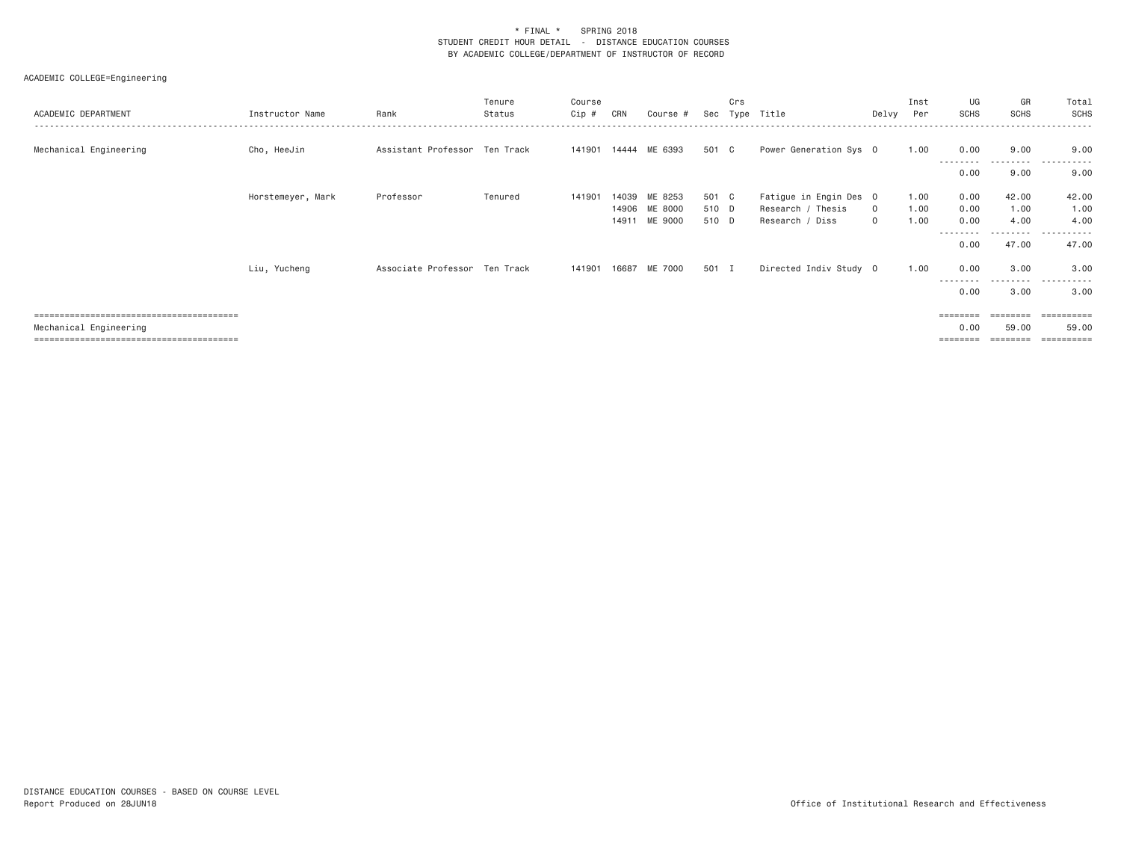| ACADEMIC DEPARTMENT                                                                                                  | Instructor Name   | Rank                          | Tenure<br>Status | Course<br>Cip # | CRN   | Course #             | Sec   | Crs | Type Title             | Delvy    | Inst<br>Per | UG<br>SCHS                | GR<br><b>SCHS</b> | Total<br>SCHS       |
|----------------------------------------------------------------------------------------------------------------------|-------------------|-------------------------------|------------------|-----------------|-------|----------------------|-------|-----|------------------------|----------|-------------|---------------------------|-------------------|---------------------|
| Mechanical Engineering                                                                                               | Cho, HeeJin       | Assistant Professor Ten Track |                  |                 |       | 141901 14444 ME 6393 | 501 C |     | Power Generation Sys 0 |          | 1.00        | 0.00<br>--------          | 9.00<br>--------- | 9.00<br>.           |
|                                                                                                                      |                   |                               |                  |                 |       |                      |       |     |                        |          |             | 0.00                      | 9.00              | 9.00                |
|                                                                                                                      | Horstemeyer, Mark | Professor                     | Tenured          | 141901          | 14039 | ME 8253              | 501 C |     | Fatigue in Engin Des 0 |          | 1.00        | 0.00                      | 42.00             | 42.00               |
|                                                                                                                      |                   |                               |                  |                 |       | 14906 ME 8000        | 510 D |     | Research / Thesis      | $\circ$  | 1.00        | 0.00                      | 1.00              | 1.00                |
|                                                                                                                      |                   |                               |                  |                 |       | 14911 ME 9000        | 510 D |     | Research / Diss        | $\Omega$ | 1.00        | 0.00                      | 4.00              | 4.00                |
|                                                                                                                      |                   |                               |                  |                 |       |                      |       |     |                        |          |             | - - - - - - - - -<br>0.00 | --------<br>47.00 | ----------<br>47.00 |
|                                                                                                                      | Liu, Yucheng      | Associate Professor Ten Track |                  | 141901          |       | 16687 ME 7000        | 501 I |     | Directed Indiv Study 0 |          | 1.00        | 0.00                      | 3.00              | 3.00                |
|                                                                                                                      |                   |                               |                  |                 |       |                      |       |     |                        |          |             | --------<br>0.00          | ---------<br>3.00 | .<br>3.00           |
| <u> 1999 - 1999 - 1999 - 1999 - 1999 - 1999 - 1999 - 1999 - 1999 - 1999 - 1999 - 1999 - 1999 - 1999 - 1999 - 199</u> |                   |                               |                  |                 |       |                      |       |     |                        |          |             | ========                  |                   | ==========          |
| Mechanical Engineering                                                                                               |                   |                               |                  |                 |       |                      |       |     |                        |          |             | 0.00                      | 59.00             | 59.00               |
|                                                                                                                      |                   |                               |                  |                 |       |                      |       |     |                        |          |             | ========                  | ========          |                     |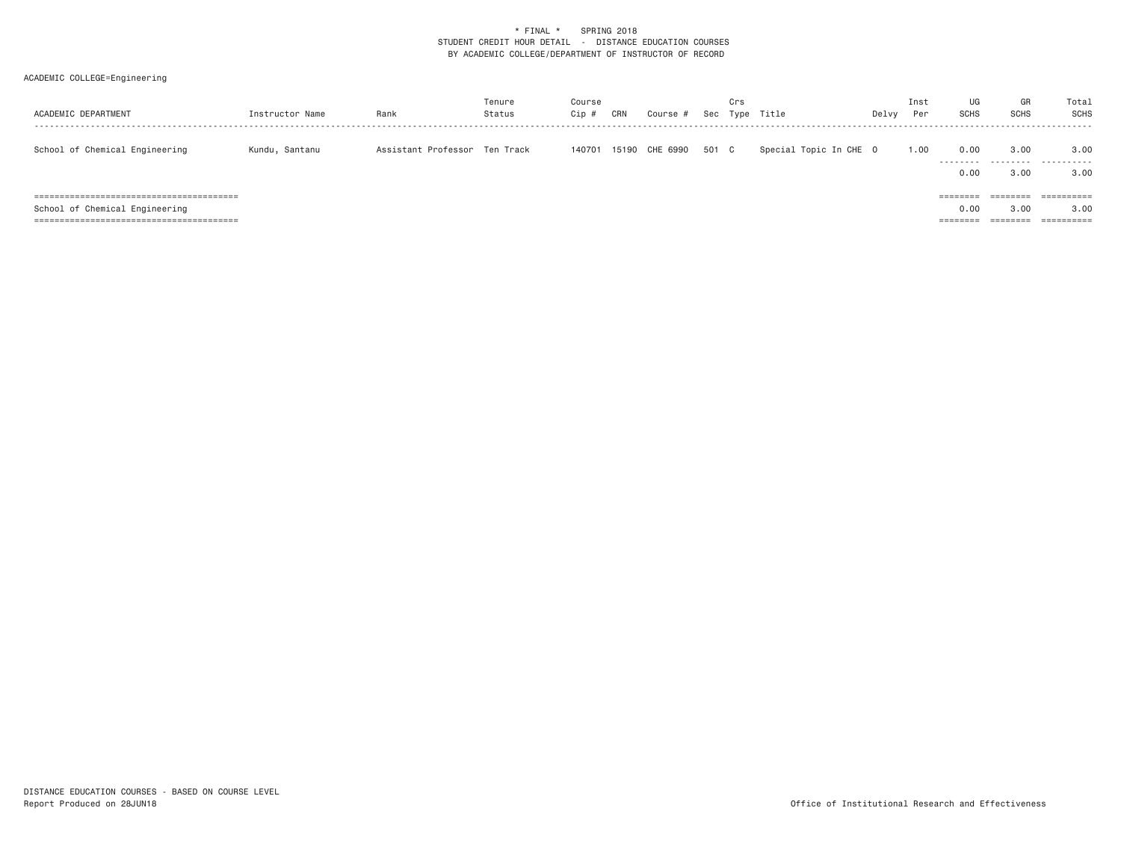| ACADEMIC DEPARTMENT            | Instructor Name | Rank                          | Tenure<br>Status | Course<br>$Cip$ # | CRN   | Course # | Sec   | Crs | Type Title             | Delvy | Inst<br>Per | UG<br><b>SCHS</b>                        | GR<br><b>SCHS</b>                       | Total<br>SCHS                               |
|--------------------------------|-----------------|-------------------------------|------------------|-------------------|-------|----------|-------|-----|------------------------|-------|-------------|------------------------------------------|-----------------------------------------|---------------------------------------------|
| School of Chemical Engineering | Kundu, Santanu  | Assistant Professor Ten Track |                  | 140701            | 15190 | CHE 6990 | 501 C |     | Special Topic In CHE 0 |       | 1.00        | 0.00<br>.<br>0.00                        | 3,00<br>.<br>3.00                       | 3,00<br>.<br>3,00                           |
| School of Chemical Engineering |                 |                               |                  |                   |       |          |       |     |                        |       |             | ========<br>0.00<br>--------<br>======== | ========<br>3.00<br>________<br>======= | ==========<br>3,00<br>$=$ = = = = = = = = = |